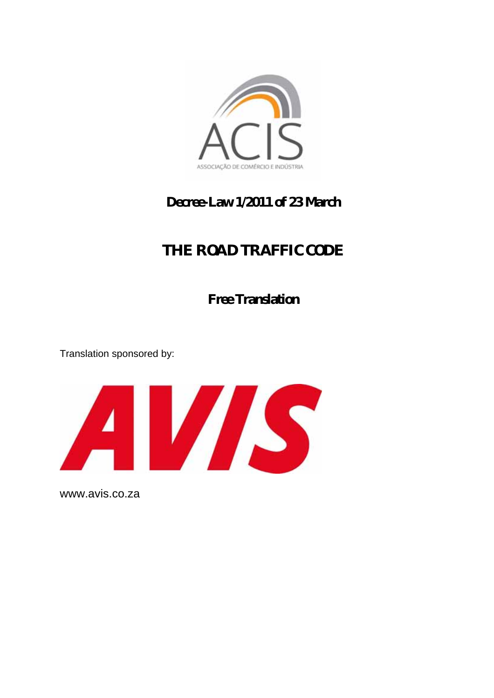

## **Decree-Law 1/2011 of 23 March**

# **THE ROAD TRAFFIC CODE**

**Free Translation** 

Translation sponsored by:



[www.avis.co.za](http://www.avis.co.za/)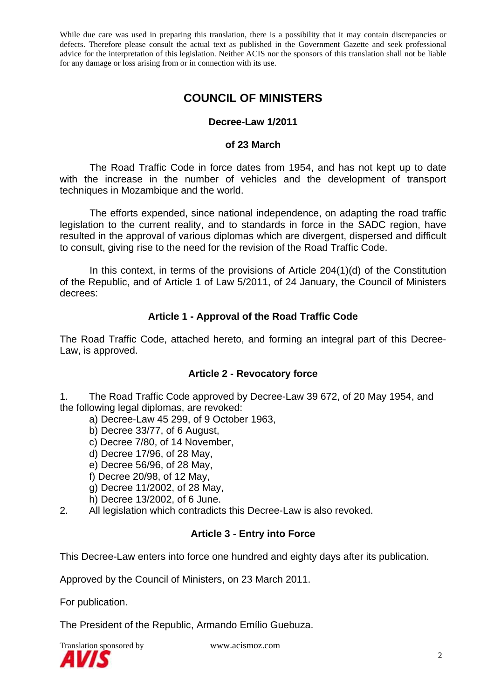## **COUNCIL OF MINISTERS**

## **Decree-Law 1/2011**

#### **of 23 March**

 The Road Traffic Code in force dates from 1954, and has not kept up to date with the increase in the number of vehicles and the development of transport techniques in Mozambique and the world.

 The efforts expended, since national independence, on adapting the road traffic legislation to the current reality, and to standards in force in the SADC region, have resulted in the approval of various diplomas which are divergent, dispersed and difficult to consult, giving rise to the need for the revision of the Road Traffic Code.

 In this context, in terms of the provisions of Article 204(1)(d) of the Constitution of the Republic, and of Article 1 of Law 5/2011, of 24 January, the Council of Ministers decrees:

## **Article 1 - Approval of the Road Traffic Code**

The Road Traffic Code, attached hereto, and forming an integral part of this Decree-Law, is approved.

#### **Article 2 - Revocatory force**

1. The Road Traffic Code approved by Decree-Law 39 672, of 20 May 1954, and the following legal diplomas, are revoked:

- a) Decree-Law 45 299, of 9 October 1963,
	- b) Decree 33/77, of 6 August,
	- c) Decree 7/80, of 14 November,
	- d) Decree 17/96, of 28 May,
	- e) Decree 56/96, of 28 May,
	- f) Decree 20/98, of 12 May,
	- g) Decree 11/2002, of 28 May,
	- h) Decree 13/2002, of 6 June.
- 2. All legislation which contradicts this Decree-Law is also revoked.

## **Article 3 - Entry into Force**

This Decree-Law enters into force one hundred and eighty days after its publication.

Approved by the Council of Ministers, on 23 March 2011.

For publication.

The President of the Republic, Armando Emílio Guebuza.

Translation sponsored by www.acismoz.com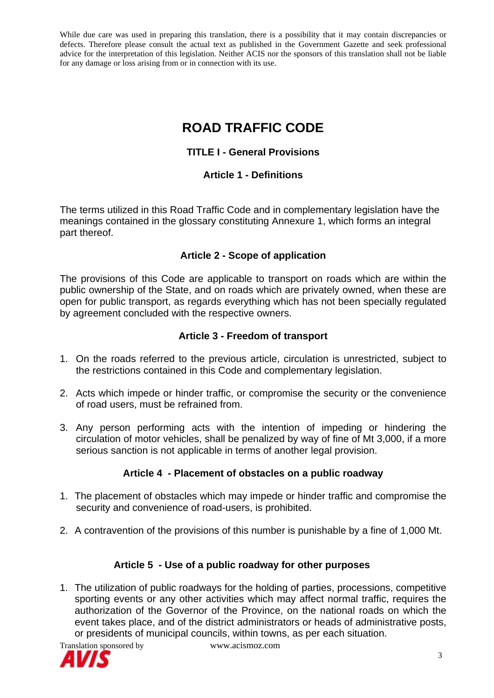## **ROAD TRAFFIC CODE**

## **TITLE I - General Provisions**

## **Article 1 - Definitions**

The terms utilized in this Road Traffic Code and in complementary legislation have the meanings contained in the glossary constituting Annexure 1, which forms an integral part thereof.

## **Article 2 - Scope of application**

The provisions of this Code are applicable to transport on roads which are within the public ownership of the State, and on roads which are privately owned, when these are open for public transport, as regards everything which has not been specially regulated by agreement concluded with the respective owners.

#### **Article 3 - Freedom of transport**

- 1. On the roads referred to the previous article, circulation is unrestricted, subject to the restrictions contained in this Code and complementary legislation.
- 2. Acts which impede or hinder traffic, or compromise the security or the convenience of road users, must be refrained from.
- 3. Any person performing acts with the intention of impeding or hindering the circulation of motor vehicles, shall be penalized by way of fine of Mt 3,000, if a more serious sanction is not applicable in terms of another legal provision.

## **Article 4 - Placement of obstacles on a public roadway**

- 1. The placement of obstacles which may impede or hinder traffic and compromise the security and convenience of road-users, is prohibited.
- 2. A contravention of the provisions of this number is punishable by a fine of 1,000 Mt.

## **Article 5 - Use of a public roadway for other purposes**

1. The utilization of public roadways for the holding of parties, processions, competitive sporting events or any other activities which may affect normal traffic, requires the authorization of the Governor of the Province, on the national roads on which the event takes place, and of the district administrators or heads of administrative posts, or presidents of municipal councils, within towns, as per each situation.

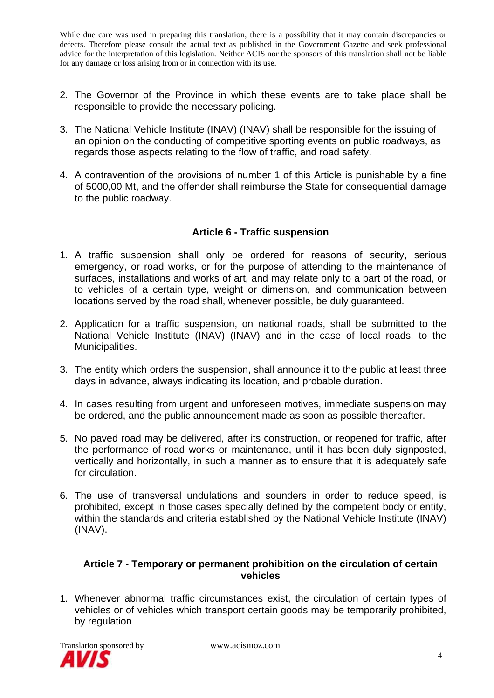- 2. The Governor of the Province in which these events are to take place shall be responsible to provide the necessary policing.
- 3. The National Vehicle Institute (INAV) (INAV) shall be responsible for the issuing of an opinion on the conducting of competitive sporting events on public roadways, as regards those aspects relating to the flow of traffic, and road safety.
- 4. A contravention of the provisions of number 1 of this Article is punishable by a fine of 5000,00 Mt, and the offender shall reimburse the State for consequential damage to the public roadway.

## **Article 6 - Traffic suspension**

- 1. A traffic suspension shall only be ordered for reasons of security, serious emergency, or road works, or for the purpose of attending to the maintenance of surfaces, installations and works of art, and may relate only to a part of the road, or to vehicles of a certain type, weight or dimension, and communication between locations served by the road shall, whenever possible, be duly guaranteed.
- 2. Application for a traffic suspension, on national roads, shall be submitted to the National Vehicle Institute (INAV) (INAV) and in the case of local roads, to the Municipalities.
- 3. The entity which orders the suspension, shall announce it to the public at least three days in advance, always indicating its location, and probable duration.
- 4. In cases resulting from urgent and unforeseen motives, immediate suspension may be ordered, and the public announcement made as soon as possible thereafter.
- 5. No paved road may be delivered, after its construction, or reopened for traffic, after the performance of road works or maintenance, until it has been duly signposted, vertically and horizontally, in such a manner as to ensure that it is adequately safe for circulation.
- 6. The use of transversal undulations and sounders in order to reduce speed, is prohibited, except in those cases specially defined by the competent body or entity, within the standards and criteria established by the National Vehicle Institute (INAV) (INAV).

#### **Article 7 - Temporary or permanent prohibition on the circulation of certain vehicles**

1. Whenever abnormal traffic circumstances exist, the circulation of certain types of vehicles or of vehicles which transport certain goods may be temporarily prohibited, by regulation

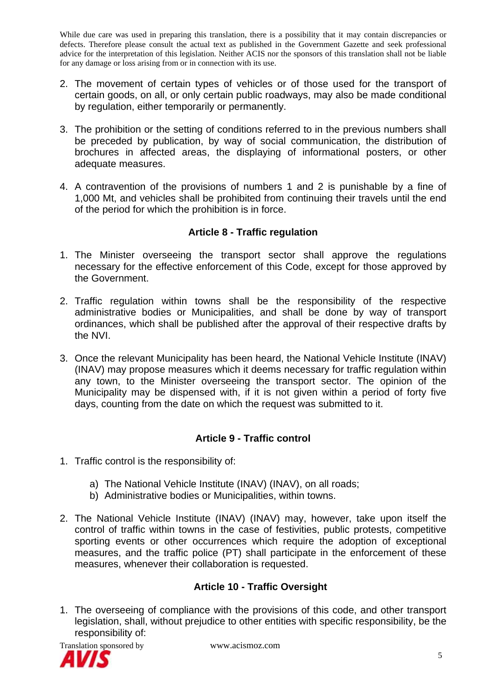- 2. The movement of certain types of vehicles or of those used for the transport of certain goods, on all, or only certain public roadways, may also be made conditional by regulation, either temporarily or permanently.
- 3. The prohibition or the setting of conditions referred to in the previous numbers shall be preceded by publication, by way of social communication, the distribution of brochures in affected areas, the displaying of informational posters, or other adequate measures.
- 4. A contravention of the provisions of numbers 1 and 2 is punishable by a fine of 1,000 Mt, and vehicles shall be prohibited from continuing their travels until the end of the period for which the prohibition is in force.

## **Article 8 - Traffic regulation**

- 1. The Minister overseeing the transport sector shall approve the regulations necessary for the effective enforcement of this Code, except for those approved by the Government.
- 2. Traffic regulation within towns shall be the responsibility of the respective administrative bodies or Municipalities, and shall be done by way of transport ordinances, which shall be published after the approval of their respective drafts by the NVI.
- 3. Once the relevant Municipality has been heard, the National Vehicle Institute (INAV) (INAV) may propose measures which it deems necessary for traffic regulation within any town, to the Minister overseeing the transport sector. The opinion of the Municipality may be dispensed with, if it is not given within a period of forty five days, counting from the date on which the request was submitted to it.

## **Article 9 - Traffic control**

- 1. Traffic control is the responsibility of:
	- a) The National Vehicle Institute (INAV) (INAV), on all roads;
	- b) Administrative bodies or Municipalities, within towns.
- 2. The National Vehicle Institute (INAV) (INAV) may, however, take upon itself the control of traffic within towns in the case of festivities, public protests, competitive sporting events or other occurrences which require the adoption of exceptional measures, and the traffic police (PT) shall participate in the enforcement of these measures, whenever their collaboration is requested.

## **Article 10 - Traffic Oversight**

1. The overseeing of compliance with the provisions of this code, and other transport legislation, shall, without prejudice to other entities with specific responsibility, be the responsibility of:



Translation sponsored by www.acismoz.com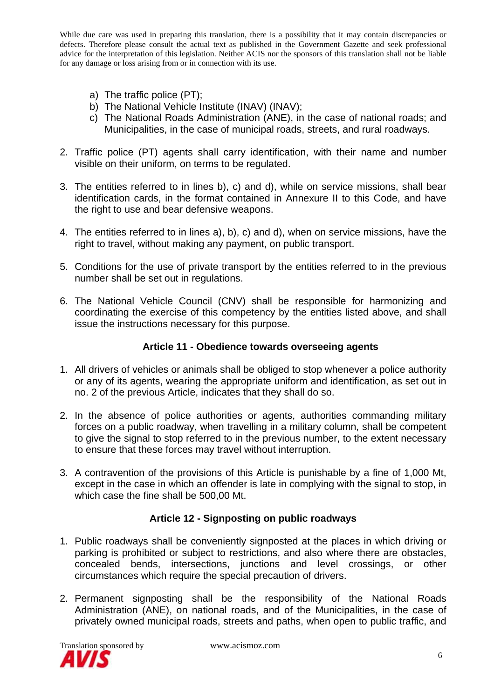- a) The traffic police (PT);
- b) The National Vehicle Institute (INAV) (INAV);
- c) The National Roads Administration (ANE), in the case of national roads; and Municipalities, in the case of municipal roads, streets, and rural roadways.
- 2. Traffic police (PT) agents shall carry identification, with their name and number visible on their uniform, on terms to be regulated.
- 3. The entities referred to in lines b), c) and d), while on service missions, shall bear identification cards, in the format contained in Annexure II to this Code, and have the right to use and bear defensive weapons.
- 4. The entities referred to in lines a), b), c) and d), when on service missions, have the right to travel, without making any payment, on public transport.
- 5. Conditions for the use of private transport by the entities referred to in the previous number shall be set out in regulations.
- 6. The National Vehicle Council (CNV) shall be responsible for harmonizing and coordinating the exercise of this competency by the entities listed above, and shall issue the instructions necessary for this purpose.

#### **Article 11 - Obedience towards overseeing agents**

- 1. All drivers of vehicles or animals shall be obliged to stop whenever a police authority or any of its agents, wearing the appropriate uniform and identification, as set out in no. 2 of the previous Article, indicates that they shall do so.
- 2. In the absence of police authorities or agents, authorities commanding military forces on a public roadway, when travelling in a military column, shall be competent to give the signal to stop referred to in the previous number, to the extent necessary to ensure that these forces may travel without interruption.
- 3. A contravention of the provisions of this Article is punishable by a fine of 1,000 Mt, except in the case in which an offender is late in complying with the signal to stop, in which case the fine shall be 500,00 Mt.

## **Article 12 - Signposting on public roadways**

- 1. Public roadways shall be conveniently signposted at the places in which driving or parking is prohibited or subject to restrictions, and also where there are obstacles, concealed bends, intersections, junctions and level crossings, or other circumstances which require the special precaution of drivers.
- 2. Permanent signposting shall be the responsibility of the National Roads Administration (ANE), on national roads, and of the Municipalities, in the case of privately owned municipal roads, streets and paths, when open to public traffic, and

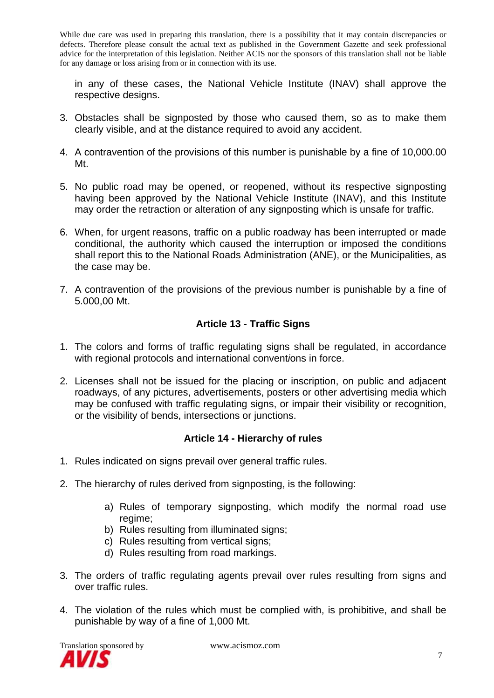in any of these cases, the National Vehicle Institute (INAV) shall approve the respective designs.

- 3. Obstacles shall be signposted by those who caused them, so as to make them clearly visible, and at the distance required to avoid any accident.
- 4. A contravention of the provisions of this number is punishable by a fine of 10,000.00 Mt.
- 5. No public road may be opened, or reopened, without its respective signposting having been approved by the National Vehicle Institute (INAV), and this Institute may order the retraction or alteration of any signposting which is unsafe for traffic.
- 6. When, for urgent reasons, traffic on a public roadway has been interrupted or made conditional, the authority which caused the interruption or imposed the conditions shall report this to the National Roads Administration (ANE), or the Municipalities, as the case may be.
- 7. A contravention of the provisions of the previous number is punishable by a fine of 5.000,00 Mt.

## **Article 13 - Traffic Signs**

- 1. The colors and forms of traffic regulating signs shall be regulated, in accordance with regional protocols and international convent*i*ons in force.
- 2. Licenses shall not be issued for the placing or inscription, on public and adjacent roadways, of any pictures, advertisements, posters or other advertising media which may be confused with traffic regulating signs, or impair their visibility or recognition, or the visibility of bends, intersections or junctions.

## **Article 14 - Hierarchy of rules**

- 1. Rules indicated on signs prevail over general traffic rules.
- 2. The hierarchy of rules derived from signposting, is the following:
	- a) Rules of temporary signposting, which modify the normal road use regime;
	- b) Rules resulting from illuminated signs;
	- c) Rules resulting from vertical signs;
	- d) Rules resulting from road markings.
- 3. The orders of traffic regulating agents prevail over rules resulting from signs and over traffic rules.
- 4. The violation of the rules which must be complied with, is prohibitive, and shall be punishable by way of a fine of 1,000 Mt.

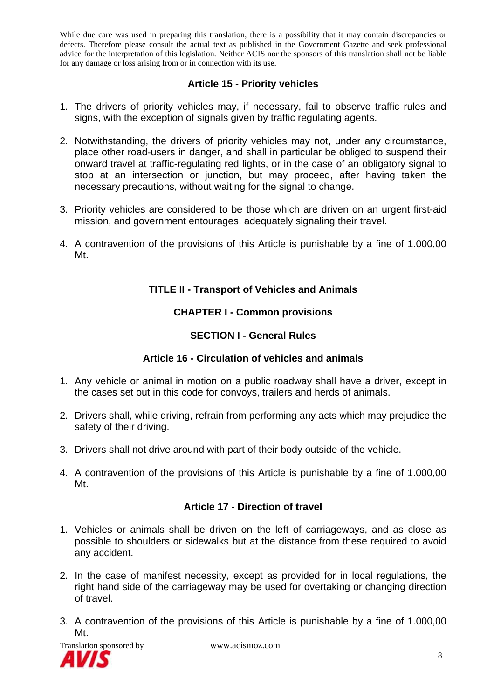## **Article 15 - Priority vehicles**

- 1. The drivers of priority vehicles may, if necessary, fail to observe traffic rules and signs, with the exception of signals given by traffic regulating agents.
- 2. Notwithstanding, the drivers of priority vehicles may not, under any circumstance, place other road-users in danger, and shall in particular be obliged to suspend their onward travel at traffic-regulating red lights, or in the case of an obligatory signal to stop at an intersection or junction, but may proceed, after having taken the necessary precautions, without waiting for the signal to change.
- 3. Priority vehicles are considered to be those which are driven on an urgent first-aid mission, and government entourages, adequately signaling their travel.
- 4. A contravention of the provisions of this Article is punishable by a fine of 1.000,00 Mt.

## **TITLE II - Transport of Vehicles and Animals**

## **CHAPTER I - Common provisions**

## **SECTION I - General Rules**

## **Article 16 - Circulation of vehicles and animals**

- 1. Any vehicle or animal in motion on a public roadway shall have a driver, except in the cases set out in this code for convoys, trailers and herds of animals.
- 2. Drivers shall, while driving, refrain from performing any acts which may prejudice the safety of their driving.
- 3. Drivers shall not drive around with part of their body outside of the vehicle.
- 4. A contravention of the provisions of this Article is punishable by a fine of 1.000,00 Mt.

## **Article 17 - Direction of travel**

- 1. Vehicles or animals shall be driven on the left of carriageways, and as close as possible to shoulders or sidewalks but at the distance from these required to avoid any accident.
- 2. In the case of manifest necessity, except as provided for in local regulations, the right hand side of the carriageway may be used for overtaking or changing direction of travel.
- 3. A contravention of the provisions of this Article is punishable by a fine of 1.000,00 Mt.

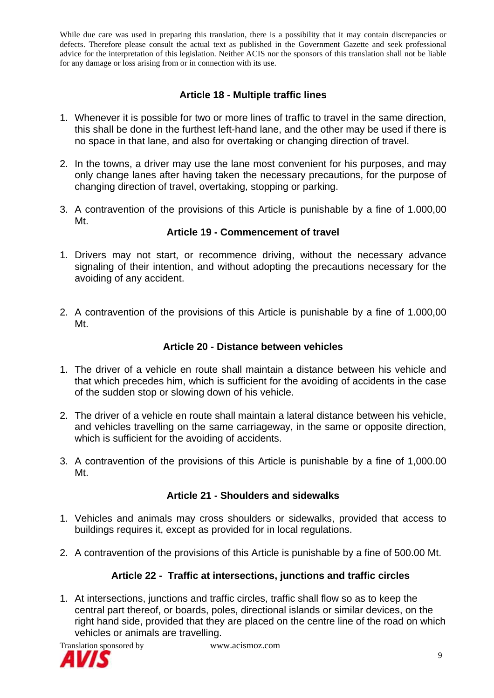## **Article 18 - Multiple traffic lines**

- 1. Whenever it is possible for two or more lines of traffic to travel in the same direction, this shall be done in the furthest left-hand lane, and the other may be used if there is no space in that lane, and also for overtaking or changing direction of travel.
- 2. In the towns, a driver may use the lane most convenient for his purposes, and may only change lanes after having taken the necessary precautions, for the purpose of changing direction of travel, overtaking, stopping or parking.
- 3. A contravention of the provisions of this Article is punishable by a fine of 1.000,00 Mt.

### **Article 19 - Commencement of travel**

- 1. Drivers may not start, or recommence driving, without the necessary advance signaling of their intention, and without adopting the precautions necessary for the avoiding of any accident.
- 2. A contravention of the provisions of this Article is punishable by a fine of 1.000,00 Mt.

#### **Article 20 - Distance between vehicles**

- 1. The driver of a vehicle en route shall maintain a distance between his vehicle and that which precedes him, which is sufficient for the avoiding of accidents in the case of the sudden stop or slowing down of his vehicle.
- 2. The driver of a vehicle en route shall maintain a lateral distance between his vehicle, and vehicles travelling on the same carriageway, in the same or opposite direction, which is sufficient for the avoiding of accidents.
- 3. A contravention of the provisions of this Article is punishable by a fine of 1,000.00 Mt.

#### **Article 21 - Shoulders and sidewalks**

- 1. Vehicles and animals may cross shoulders or sidewalks, provided that access to buildings requires it, except as provided for in local regulations.
- 2. A contravention of the provisions of this Article is punishable by a fine of 500.00 Mt.

#### **Article 22 - Traffic at intersections, junctions and traffic circles**

1. At intersections, junctions and traffic circles, traffic shall flow so as to keep the central part thereof, or boards, poles, directional islands or similar devices, on the right hand side, provided that they are placed on the centre line of the road on which vehicles or animals are travelling.

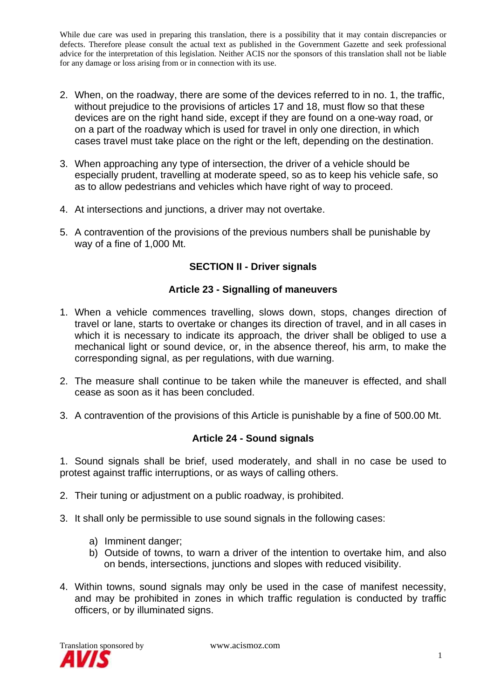- 2. When, on the roadway, there are some of the devices referred to in no. 1, the traffic, without prejudice to the provisions of articles 17 and 18, must flow so that these devices are on the right hand side, except if they are found on a one-way road, or on a part of the roadway which is used for travel in only one direction, in which cases travel must take place on the right or the left, depending on the destination.
- 3. When approaching any type of intersection, the driver of a vehicle should be especially prudent, travelling at moderate speed, so as to keep his vehicle safe, so as to allow pedestrians and vehicles which have right of way to proceed.
- 4. At intersections and junctions, a driver may not overtake.
- 5. A contravention of the provisions of the previous numbers shall be punishable by way of a fine of 1,000 Mt.

## **SECTION II - Driver signals**

#### **Article 23 - Signalling of maneuvers**

- 1. When a vehicle commences travelling, slows down, stops, changes direction of travel or lane, starts to overtake or changes its direction of travel, and in all cases in which it is necessary to indicate its approach, the driver shall be obliged to use a mechanical light or sound device, or, in the absence thereof, his arm, to make the corresponding signal, as per regulations, with due warning.
- 2. The measure shall continue to be taken while the maneuver is effected, and shall cease as soon as it has been concluded.
- 3. A contravention of the provisions of this Article is punishable by a fine of 500.00 Mt.

#### **Article 24 - Sound signals**

1. Sound signals shall be brief, used moderately, and shall in no case be used to protest against traffic interruptions, or as ways of calling others.

- 2. Their tuning or adjustment on a public roadway, is prohibited.
- 3. It shall only be permissible to use sound signals in the following cases:
	- a) Imminent danger;
	- b) Outside of towns, to warn a driver of the intention to overtake him, and also on bends, intersections, junctions and slopes with reduced visibility.
- 4. Within towns, sound signals may only be used in the case of manifest necessity, and may be prohibited in zones in which traffic regulation is conducted by traffic officers, or by illuminated signs.

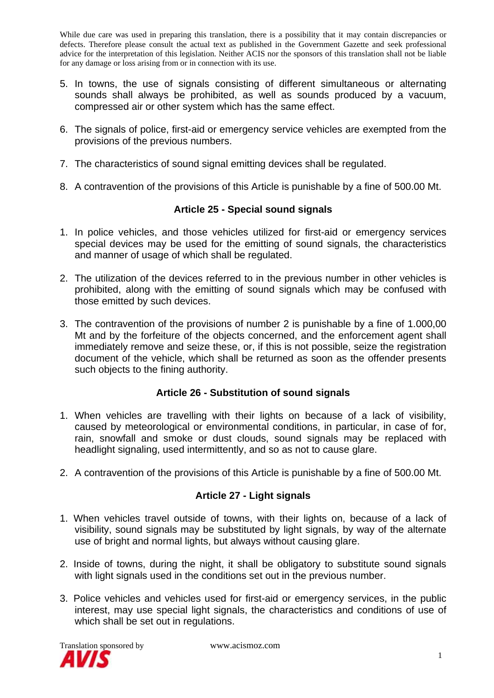- 5. In towns, the use of signals consisting of different simultaneous or alternating sounds shall always be prohibited, as well as sounds produced by a vacuum, compressed air or other system which has the same effect.
- 6. The signals of police, first-aid or emergency service vehicles are exempted from the provisions of the previous numbers.
- 7. The characteristics of sound signal emitting devices shall be regulated.
- 8. A contravention of the provisions of this Article is punishable by a fine of 500.00 Mt.

## **Article 25 - Special sound signals**

- 1. In police vehicles, and those vehicles utilized for first-aid or emergency services special devices may be used for the emitting of sound signals, the characteristics and manner of usage of which shall be regulated.
- 2. The utilization of the devices referred to in the previous number in other vehicles is prohibited, along with the emitting of sound signals which may be confused with those emitted by such devices.
- 3. The contravention of the provisions of number 2 is punishable by a fine of 1.000,00 Mt and by the forfeiture of the objects concerned, and the enforcement agent shall immediately remove and seize these, or, if this is not possible, seize the registration document of the vehicle, which shall be returned as soon as the offender presents such objects to the fining authority.

## **Article 26 - Substitution of sound signals**

- 1. When vehicles are travelling with their lights on because of a lack of visibility, caused by meteorological or environmental conditions, in particular, in case of for, rain, snowfall and smoke or dust clouds, sound signals may be replaced with headlight signaling, used intermittently, and so as not to cause glare.
- 2. A contravention of the provisions of this Article is punishable by a fine of 500.00 Mt.

#### **Article 27 - Light signals**

- 1. When vehicles travel outside of towns, with their lights on, because of a lack of visibility, sound signals may be substituted by light signals, by way of the alternate use of bright and normal lights, but always without causing glare.
- 2. Inside of towns, during the night, it shall be obligatory to substitute sound signals with light signals used in the conditions set out in the previous number.
- 3. Police vehicles and vehicles used for first-aid or emergency services, in the public interest, may use special light signals, the characteristics and conditions of use of which shall be set out in regulations.

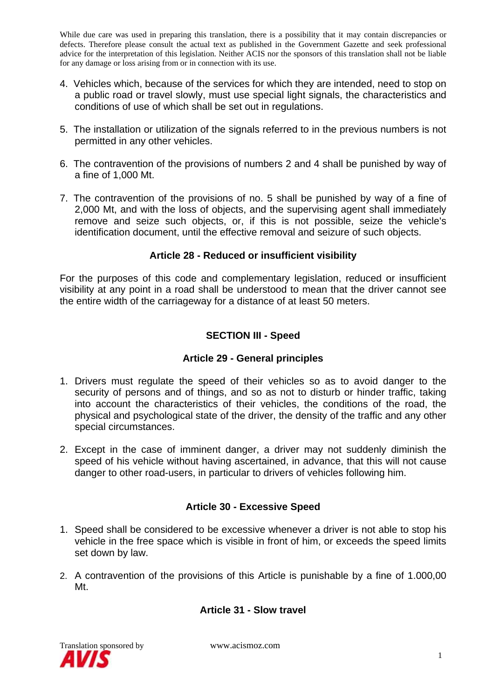- 4. Vehicles which, because of the services for which they are intended, need to stop on a public road or travel slowly, must use special light signals, the characteristics and conditions of use of which shall be set out in regulations.
- 5. The installation or utilization of the signals referred to in the previous numbers is not permitted in any other vehicles.
- 6. The contravention of the provisions of numbers 2 and 4 shall be punished by way of a fine of 1,000 Mt.
- 7. The contravention of the provisions of no. 5 shall be punished by way of a fine of 2,000 Mt, and with the loss of objects, and the supervising agent shall immediately remove and seize such objects, or, if this is not possible, seize the vehicle's identification document, until the effective removal and seizure of such objects.

## **Article 28 - Reduced or insufficient visibility**

For the purposes of this code and complementary legislation, reduced or insufficient visibility at any point in a road shall be understood to mean that the driver cannot see the entire width of the carriageway for a distance of at least 50 meters.

## **SECTION III - Speed**

#### **Article 29 - General principles**

- 1. Drivers must regulate the speed of their vehicles so as to avoid danger to the security of persons and of things, and so as not to disturb or hinder traffic, taking into account the characteristics of their vehicles, the conditions of the road, the physical and psychological state of the driver, the density of the traffic and any other special circumstances.
- 2. Except in the case of imminent danger, a driver may not suddenly diminish the speed of his vehicle without having ascertained, in advance, that this will not cause danger to other road-users, in particular to drivers of vehicles following him.

## **Article 30 - Excessive Speed**

- 1. Speed shall be considered to be excessive whenever a driver is not able to stop his vehicle in the free space which is visible in front of him, or exceeds the speed limits set down by law.
- 2. A contravention of the provisions of this Article is punishable by a fine of 1.000,00 Mt.

## **Article 31 - Slow travel**

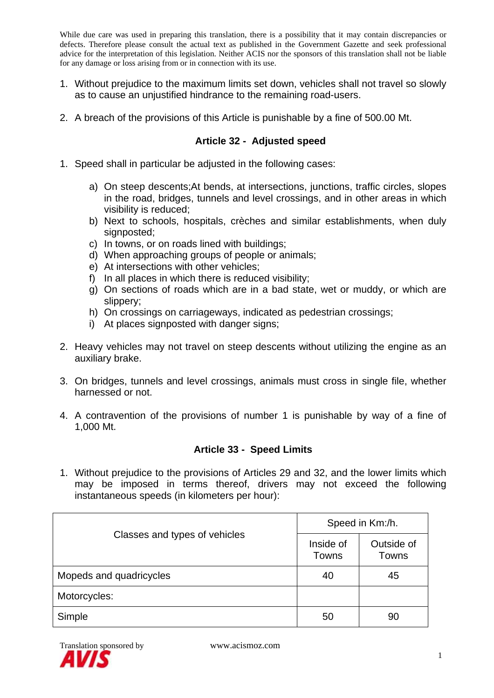- 1. Without prejudice to the maximum limits set down, vehicles shall not travel so slowly as to cause an unjustified hindrance to the remaining road-users.
- 2. A breach of the provisions of this Article is punishable by a fine of 500.00 Mt.

## **Article 32 - Adjusted speed**

- 1. Speed shall in particular be adjusted in the following cases:
	- a) On steep descents;At bends, at intersections, junctions, traffic circles, slopes in the road, bridges, tunnels and level crossings, and in other areas in which visibility is reduced;
	- b) Next to schools, hospitals, crèches and similar establishments, when duly signposted:
	- c) In towns, or on roads lined with buildings;
	- d) When approaching groups of people or animals;
	- e) At intersections with other vehicles;
	- f) In all places in which there is reduced visibility;
	- g) On sections of roads which are in a bad state, wet or muddy, or which are slippery;
	- h) On crossings on carriageways, indicated as pedestrian crossings;
	- i) At places signposted with danger signs;
- 2. Heavy vehicles may not travel on steep descents without utilizing the engine as an auxiliary brake.
- 3. On bridges, tunnels and level crossings, animals must cross in single file, whether harnessed or not.
- 4. A contravention of the provisions of number 1 is punishable by way of a fine of 1,000 Mt.

## **Article 33 - Speed Limits**

1. Without prejudice to the provisions of Articles 29 and 32, and the lower limits which may be imposed in terms thereof, drivers may not exceed the following instantaneous speeds (in kilometers per hour):

|                               | Speed in Km:/h.    |                     |  |
|-------------------------------|--------------------|---------------------|--|
| Classes and types of vehicles | Inside of<br>Towns | Outside of<br>Towns |  |
| Mopeds and quadricycles       | 40                 | 45                  |  |
| Motorcycles:                  |                    |                     |  |
| Simple                        | 50                 | 90                  |  |

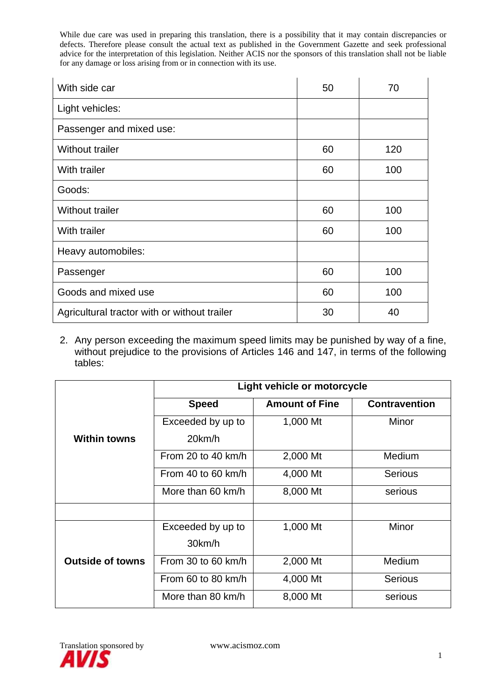| With side car                                | 50 | 70  |
|----------------------------------------------|----|-----|
| Light vehicles:                              |    |     |
| Passenger and mixed use:                     |    |     |
| <b>Without trailer</b>                       | 60 | 120 |
| With trailer                                 | 60 | 100 |
| Goods:                                       |    |     |
| <b>Without trailer</b>                       | 60 | 100 |
| With trailer                                 | 60 | 100 |
| Heavy automobiles:                           |    |     |
| Passenger                                    | 60 | 100 |
| Goods and mixed use                          | 60 | 100 |
| Agricultural tractor with or without trailer | 30 | 40  |

2. Any person exceeding the maximum speed limits may be punished by way of a fine, without prejudice to the provisions of Articles 146 and 147, in terms of the following tables:

|                         | Light vehicle or motorcycle           |          |                      |  |
|-------------------------|---------------------------------------|----------|----------------------|--|
|                         | <b>Speed</b><br><b>Amount of Fine</b> |          | <b>Contravention</b> |  |
|                         | Exceeded by up to                     | 1,000 Mt |                      |  |
| <b>Within towns</b>     | 20km/h                                |          |                      |  |
|                         | From 20 to 40 km/h                    | 2,000 Mt | Medium               |  |
|                         | From 40 to 60 km/h<br>4,000 Mt        |          | <b>Serious</b>       |  |
|                         | More than 60 km/h                     | 8,000 Mt | serious              |  |
|                         |                                       |          |                      |  |
|                         | Exceeded by up to                     | 1,000 Mt | Minor                |  |
|                         | 30km/h                                |          |                      |  |
| <b>Outside of towns</b> | From 30 to 60 $km/h$                  | 2,000 Mt | Medium               |  |
|                         | From 60 to 80 $km/h$                  | 4,000 Mt | <b>Serious</b>       |  |
|                         | More than 80 km/h                     | 8,000 Mt | serious              |  |

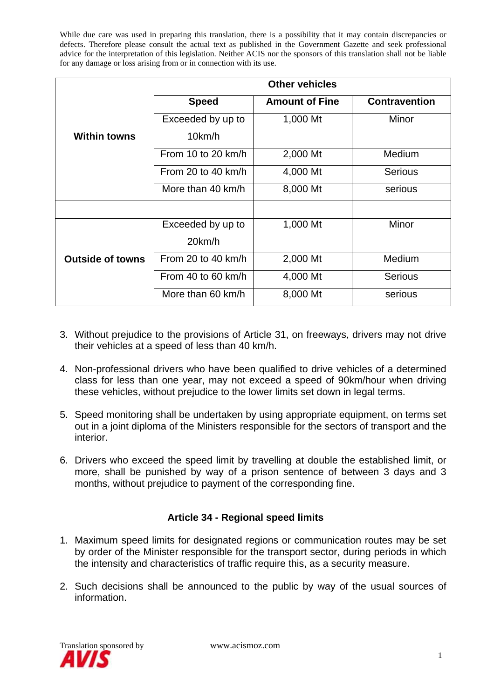|                         | <b>Other vehicles</b>                 |          |                      |  |
|-------------------------|---------------------------------------|----------|----------------------|--|
|                         | <b>Speed</b><br><b>Amount of Fine</b> |          | <b>Contravention</b> |  |
|                         | Exceeded by up to                     | 1,000 Mt |                      |  |
| <b>Within towns</b>     | 10km/h                                |          |                      |  |
|                         | From 10 to 20 km/h                    | 2,000 Mt | Medium               |  |
|                         | From 20 to 40 $km/h$<br>4,000 Mt      |          | <b>Serious</b>       |  |
|                         | More than 40 km/h                     | 8,000 Mt | serious              |  |
|                         |                                       |          |                      |  |
|                         | Exceeded by up to                     | 1,000 Mt | Minor                |  |
|                         | 20km/h                                |          |                      |  |
| <b>Outside of towns</b> | From 20 to 40 km/h                    | 2,000 Mt | Medium               |  |
|                         | From 40 to 60 km/h                    | 4,000 Mt | <b>Serious</b>       |  |
|                         | More than 60 km/h                     | 8,000 Mt | serious              |  |

- 3. Without prejudice to the provisions of Article 31, on freeways, drivers may not drive their vehicles at a speed of less than 40 km/h.
- 4. Non-professional drivers who have been qualified to drive vehicles of a determined class for less than one year, may not exceed a speed of 90km/hour when driving these vehicles, without prejudice to the lower limits set down in legal terms.
- 5. Speed monitoring shall be undertaken by using appropriate equipment, on terms set out in a joint diploma of the Ministers responsible for the sectors of transport and the interior.
- 6. Drivers who exceed the speed limit by travelling at double the established limit, or more, shall be punished by way of a prison sentence of between 3 days and 3 months, without prejudice to payment of the corresponding fine.

## **Article 34 - Regional speed limits**

- 1. Maximum speed limits for designated regions or communication routes may be set by order of the Minister responsible for the transport sector, during periods in which the intensity and characteristics of traffic require this, as a security measure.
- 2. Such decisions shall be announced to the public by way of the usual sources of information.

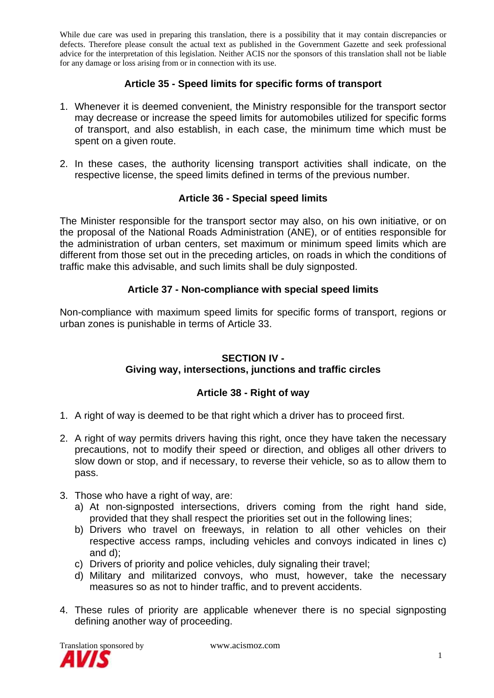## **Article 35 - Speed limits for specific forms of transport**

- 1. Whenever it is deemed convenient, the Ministry responsible for the transport sector may decrease or increase the speed limits for automobiles utilized for specific forms of transport, and also establish, in each case, the minimum time which must be spent on a given route.
- 2. In these cases, the authority licensing transport activities shall indicate, on the respective license, the speed limits defined in terms of the previous number.

## **Article 36 - Special speed limits**

The Minister responsible for the transport sector may also, on his own initiative, or on the proposal of the National Roads Administration (ANE), or of entities responsible for the administration of urban centers, set maximum or minimum speed limits which are different from those set out in the preceding articles, on roads in which the conditions of traffic make this advisable, and such limits shall be duly signposted.

#### **Article 37 - Non-compliance with special speed limits**

Non-compliance with maximum speed limits for specific forms of transport, regions or urban zones is punishable in terms of Article 33.

#### **SECTION IV -**

## **Giving way, intersections, junctions and traffic circles**

## **Article 38 - Right of way**

- 1. A right of way is deemed to be that right which a driver has to proceed first.
- 2. A right of way permits drivers having this right, once they have taken the necessary precautions, not to modify their speed or direction, and obliges all other drivers to slow down or stop, and if necessary, to reverse their vehicle, so as to allow them to pass.
- 3. Those who have a right of way, are:
	- a) At non-signposted intersections, drivers coming from the right hand side, provided that they shall respect the priorities set out in the following lines;
	- b) Drivers who travel on freeways, in relation to all other vehicles on their respective access ramps, including vehicles and convoys indicated in lines c) and d);
	- c) Drivers of priority and police vehicles, duly signaling their travel;
	- d) Military and militarized convoys, who must, however, take the necessary measures so as not to hinder traffic, and to prevent accidents.
- 4. These rules of priority are applicable whenever there is no special signposting defining another way of proceeding.

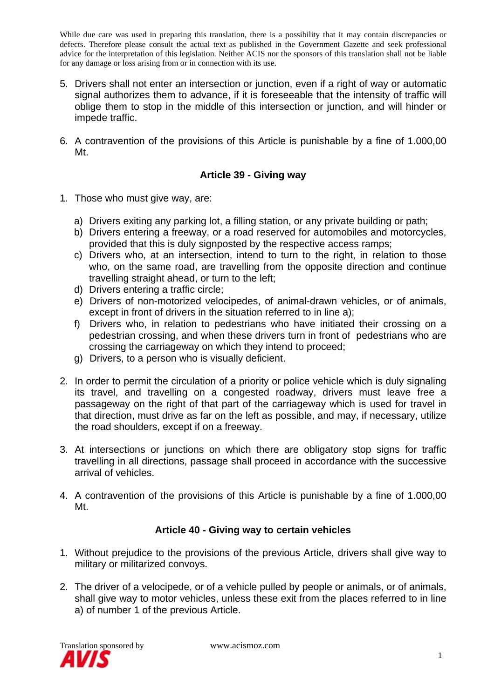- 5. Drivers shall not enter an intersection or junction, even if a right of way or automatic signal authorizes them to advance, if it is foreseeable that the intensity of traffic will oblige them to stop in the middle of this intersection or junction, and will hinder or impede traffic.
- 6. A contravention of the provisions of this Article is punishable by a fine of 1.000,00 Mt.

## **Article 39 - Giving way**

- 1. Those who must give way, are:
	- a) Drivers exiting any parking lot, a filling station, or any private building or path;
	- b) Drivers entering a freeway, or a road reserved for automobiles and motorcycles, provided that this is duly signposted by the respective access ramps;
	- c) Drivers who, at an intersection, intend to turn to the right, in relation to those who, on the same road, are travelling from the opposite direction and continue travelling straight ahead, or turn to the left;
	- d) Drivers entering a traffic circle;
	- e) Drivers of non-motorized velocipedes, of animal-drawn vehicles, or of animals, except in front of drivers in the situation referred to in line a);
	- f) Drivers who, in relation to pedestrians who have initiated their crossing on a pedestrian crossing, and when these drivers turn in front of pedestrians who are crossing the carriageway on which they intend to proceed;
	- g) Drivers, to a person who is visually deficient.
- 2. In order to permit the circulation of a priority or police vehicle which is duly signaling its travel, and travelling on a congested roadway, drivers must leave free a passageway on the right of that part of the carriageway which is used for travel in that direction, must drive as far on the left as possible, and may, if necessary, utilize the road shoulders, except if on a freeway.
- 3. At intersections or junctions on which there are obligatory stop signs for traffic travelling in all directions, passage shall proceed in accordance with the successive arrival of vehicles.
- 4. A contravention of the provisions of this Article is punishable by a fine of 1.000,00 Mt.

## **Article 40 - Giving way to certain vehicles**

- 1. Without prejudice to the provisions of the previous Article, drivers shall give way to military or militarized convoys.
- 2. The driver of a velocipede, or of a vehicle pulled by people or animals, or of animals, shall give way to motor vehicles, unless these exit from the places referred to in line a) of number 1 of the previous Article.

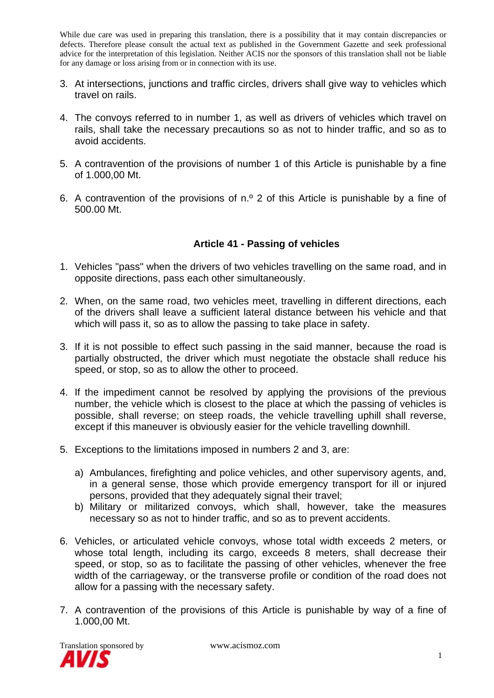- 3. At intersections, junctions and traffic circles, drivers shall give way to vehicles which travel on rails.
- 4. The convoys referred to in number 1, as well as drivers of vehicles which travel on rails, shall take the necessary precautions so as not to hinder traffic, and so as to avoid accidents.
- 5. A contravention of the provisions of number 1 of this Article is punishable by a fine of 1.000,00 Mt.
- 6. A contravention of the provisions of n.º 2 of this Article is punishable by a fine of 500.00 Mt.

#### **Article 41 - Passing of vehicles**

- 1. Vehicles "pass" when the drivers of two vehicles travelling on the same road, and in opposite directions, pass each other simultaneously.
- 2. When, on the same road, two vehicles meet, travelling in different directions, each of the drivers shall leave a sufficient lateral distance between his vehicle and that which will pass it, so as to allow the passing to take place in safety.
- 3. If it is not possible to effect such passing in the said manner, because the road is partially obstructed, the driver which must negotiate the obstacle shall reduce his speed, or stop, so as to allow the other to proceed.
- 4. If the impediment cannot be resolved by applying the provisions of the previous number, the vehicle which is closest to the place at which the passing of vehicles is possible, shall reverse; on steep roads, the vehicle travelling uphill shall reverse, except if this maneuver is obviously easier for the vehicle travelling downhill.
- 5. Exceptions to the limitations imposed in numbers 2 and 3, are:
	- a) Ambulances, firefighting and police vehicles, and other supervisory agents, and, in a general sense, those which provide emergency transport for ill or injured persons, provided that they adequately signal their travel;
	- b) Military or militarized convoys, which shall, however, take the measures necessary so as not to hinder traffic, and so as to prevent accidents.
- 6. Vehicles, or articulated vehicle convoys, whose total width exceeds 2 meters, or whose total length, including its cargo, exceeds 8 meters, shall decrease their speed, or stop, so as to facilitate the passing of other vehicles, whenever the free width of the carriageway, or the transverse profile or condition of the road does not allow for a passing with the necessary safety.
- 7. A contravention of the provisions of this Article is punishable by way of a fine of 1.000,00 Mt.

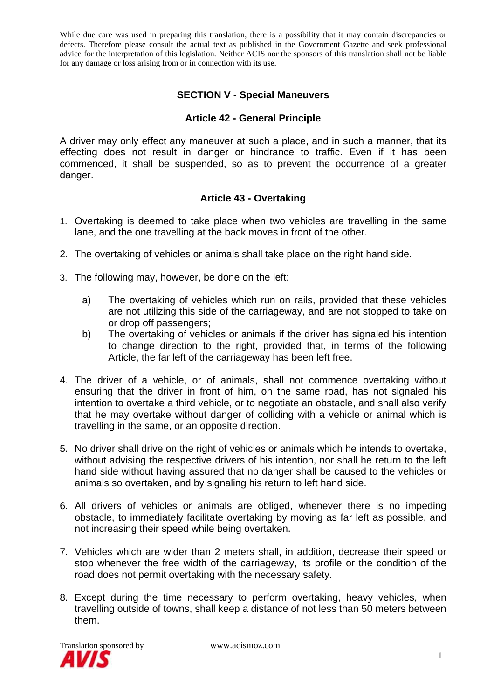## **SECTION V - Special Maneuvers**

#### **Article 42 - General Principle**

A driver may only effect any maneuver at such a place, and in such a manner, that its effecting does not result in danger or hindrance to traffic. Even if it has been commenced, it shall be suspended, so as to prevent the occurrence of a greater danger.

## **Article 43 - Overtaking**

- 1. Overtaking is deemed to take place when two vehicles are travelling in the same lane, and the one travelling at the back moves in front of the other.
- 2. The overtaking of vehicles or animals shall take place on the right hand side.
- 3. The following may, however, be done on the left:
	- a) The overtaking of vehicles which run on rails, provided that these vehicles are not utilizing this side of the carriageway, and are not stopped to take on or drop off passengers;
	- b) The overtaking of vehicles or animals if the driver has signaled his intention to change direction to the right, provided that, in terms of the following Article, the far left of the carriageway has been left free.
- 4. The driver of a vehicle, or of animals, shall not commence overtaking without ensuring that the driver in front of him, on the same road, has not signaled his intention to overtake a third vehicle, or to negotiate an obstacle, and shall also verify that he may overtake without danger of colliding with a vehicle or animal which is travelling in the same, or an opposite direction.
- 5. No driver shall drive on the right of vehicles or animals which he intends to overtake, without advising the respective drivers of his intention, nor shall he return to the left hand side without having assured that no danger shall be caused to the vehicles or animals so overtaken, and by signaling his return to left hand side.
- 6. All drivers of vehicles or animals are obliged, whenever there is no impeding obstacle, to immediately facilitate overtaking by moving as far left as possible, and not increasing their speed while being overtaken.
- 7. Vehicles which are wider than 2 meters shall, in addition, decrease their speed or stop whenever the free width of the carriageway, its profile or the condition of the road does not permit overtaking with the necessary safety.
- 8. Except during the time necessary to perform overtaking, heavy vehicles, when travelling outside of towns, shall keep a distance of not less than 50 meters between them.

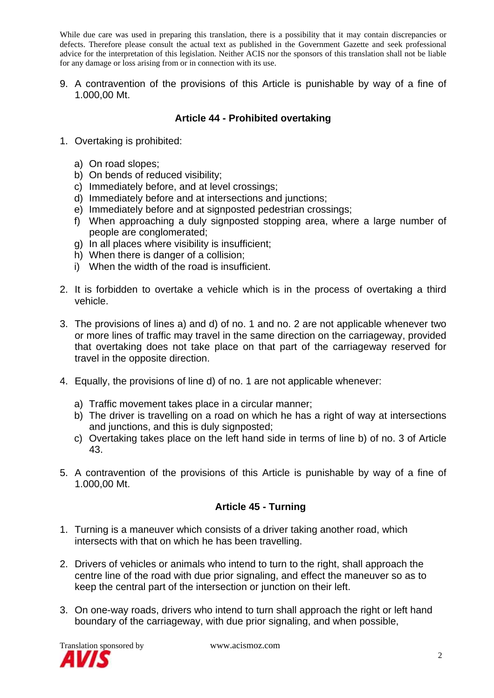9. A contravention of the provisions of this Article is punishable by way of a fine of 1.000,00 Mt.

## **Article 44 - Prohibited overtaking**

- 1. Overtaking is prohibited:
	- a) On road slopes;
	- b) On bends of reduced visibility;
	- c) Immediately before, and at level crossings;
	- d) Immediately before and at intersections and junctions;
	- e) Immediately before and at signposted pedestrian crossings;
	- f) When approaching a duly signposted stopping area, where a large number of people are conglomerated;
	- g) In all places where visibility is insufficient;
	- h) When there is danger of a collision;
	- i) When the width of the road is insufficient.
- 2. It is forbidden to overtake a vehicle which is in the process of overtaking a third vehicle.
- 3. The provisions of lines a) and d) of no. 1 and no. 2 are not applicable whenever two or more lines of traffic may travel in the same direction on the carriageway, provided that overtaking does not take place on that part of the carriageway reserved for travel in the opposite direction.
- 4. Equally, the provisions of line d) of no. 1 are not applicable whenever:
	- a) Traffic movement takes place in a circular manner;
	- b) The driver is travelling on a road on which he has a right of way at intersections and junctions, and this is duly signposted;
	- c) Overtaking takes place on the left hand side in terms of line b) of no. 3 of Article 43.
- 5. A contravention of the provisions of this Article is punishable by way of a fine of 1.000,00 Mt.

## **Article 45 - Turning**

- 1. Turning is a maneuver which consists of a driver taking another road, which intersects with that on which he has been travelling.
- 2. Drivers of vehicles or animals who intend to turn to the right, shall approach the centre line of the road with due prior signaling, and effect the maneuver so as to keep the central part of the intersection or junction on their left.
- 3. On one-way roads, drivers who intend to turn shall approach the right or left hand boundary of the carriageway, with due prior signaling, and when possible,

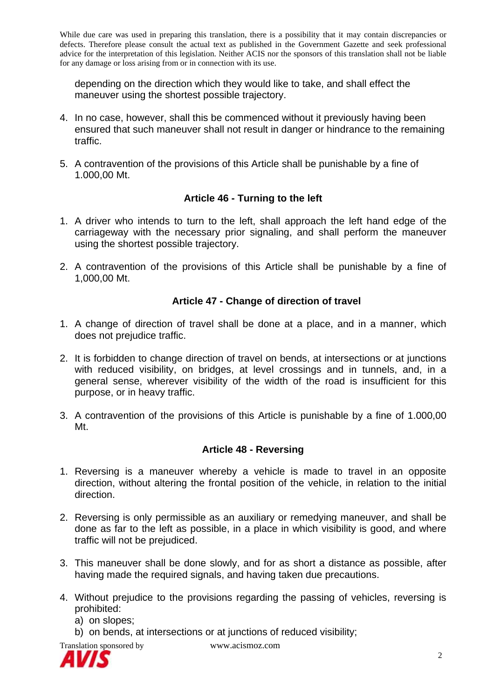depending on the direction which they would like to take, and shall effect the maneuver using the shortest possible trajectory.

- 4. In no case, however, shall this be commenced without it previously having been ensured that such maneuver shall not result in danger or hindrance to the remaining traffic.
- 5. A contravention of the provisions of this Article shall be punishable by a fine of 1.000,00 Mt.

## **Article 46 - Turning to the left**

- 1. A driver who intends to turn to the left, shall approach the left hand edge of the carriageway with the necessary prior signaling, and shall perform the maneuver using the shortest possible trajectory.
- 2. A contravention of the provisions of this Article shall be punishable by a fine of 1,000,00 Mt.

## **Article 47 - Change of direction of travel**

- 1. A change of direction of travel shall be done at a place, and in a manner, which does not prejudice traffic.
- 2. It is forbidden to change direction of travel on bends, at intersections or at junctions with reduced visibility, on bridges, at level crossings and in tunnels, and, in a general sense, wherever visibility of the width of the road is insufficient for this purpose, or in heavy traffic.
- 3. A contravention of the provisions of this Article is punishable by a fine of 1.000,00 Mt.

## **Article 48 - Reversing**

- 1. Reversing is a maneuver whereby a vehicle is made to travel in an opposite direction, without altering the frontal position of the vehicle, in relation to the initial direction.
- 2. Reversing is only permissible as an auxiliary or remedying maneuver, and shall be done as far to the left as possible, in a place in which visibility is good, and where traffic will not be prejudiced.
- 3. This maneuver shall be done slowly, and for as short a distance as possible, after having made the required signals, and having taken due precautions.
- 4. Without prejudice to the provisions regarding the passing of vehicles, reversing is prohibited:
	- a) on slopes;
	- b) on bends, at intersections or at junctions of reduced visibility;

Translation sponsored by www.acismoz.com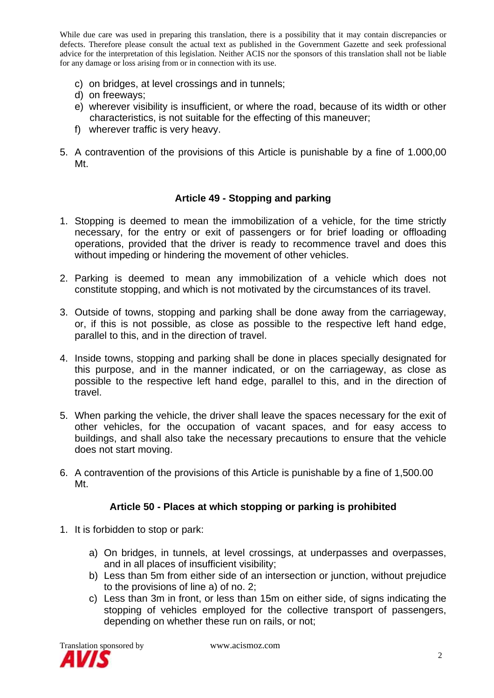- c) on bridges, at level crossings and in tunnels;
- d) on freeways;
- e) wherever visibility is insufficient, or where the road, because of its width or other characteristics, is not suitable for the effecting of this maneuver;
- f) wherever traffic is very heavy.
- 5. A contravention of the provisions of this Article is punishable by a fine of 1.000,00 Mt.

#### **Article 49 - Stopping and parking**

- 1. Stopping is deemed to mean the immobilization of a vehicle, for the time strictly necessary, for the entry or exit of passengers or for brief loading or offloading operations, provided that the driver is ready to recommence travel and does this without impeding or hindering the movement of other vehicles.
- 2. Parking is deemed to mean any immobilization of a vehicle which does not constitute stopping, and which is not motivated by the circumstances of its travel.
- 3. Outside of towns, stopping and parking shall be done away from the carriageway, or, if this is not possible, as close as possible to the respective left hand edge, parallel to this, and in the direction of travel.
- 4. Inside towns, stopping and parking shall be done in places specially designated for this purpose, and in the manner indicated, or on the carriageway, as close as possible to the respective left hand edge, parallel to this, and in the direction of travel.
- 5. When parking the vehicle, the driver shall leave the spaces necessary for the exit of other vehicles, for the occupation of vacant spaces, and for easy access to buildings, and shall also take the necessary precautions to ensure that the vehicle does not start moving.
- 6. A contravention of the provisions of this Article is punishable by a fine of 1,500.00 Mt.

#### **Article 50 - Places at which stopping or parking is prohibited**

- 1. It is forbidden to stop or park:
	- a) On bridges, in tunnels, at level crossings, at underpasses and overpasses, and in all places of insufficient visibility;
	- b) Less than 5m from either side of an intersection or junction, without prejudice to the provisions of line a) of no. 2;
	- c) Less than 3m in front, or less than 15m on either side, of signs indicating the stopping of vehicles employed for the collective transport of passengers, depending on whether these run on rails, or not;

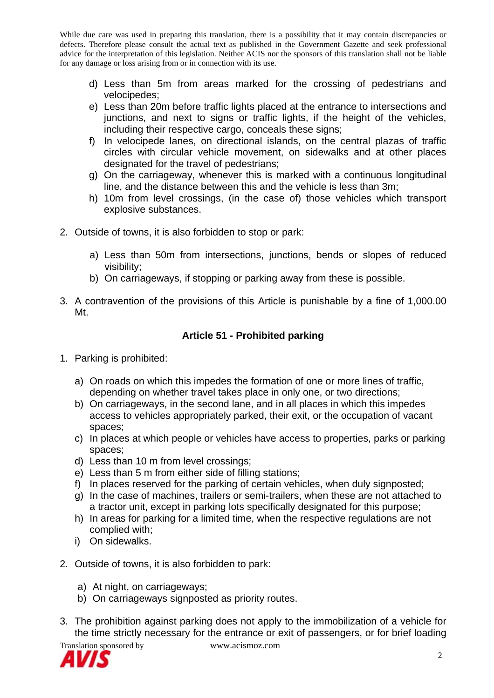- d) Less than 5m from areas marked for the crossing of pedestrians and velocipedes;
- e) Less than 20m before traffic lights placed at the entrance to intersections and junctions, and next to signs or traffic lights, if the height of the vehicles, including their respective cargo, conceals these signs;
- f) In velocipede lanes, on directional islands, on the central plazas of traffic circles with circular vehicle movement, on sidewalks and at other places designated for the travel of pedestrians;
- g) On the carriageway, whenever this is marked with a continuous longitudinal line, and the distance between this and the vehicle is less than 3m;
- h) 10m from level crossings, (in the case of) those vehicles which transport explosive substances.
- 2. Outside of towns, it is also forbidden to stop or park:
	- a) Less than 50m from intersections, junctions, bends or slopes of reduced visibility;
	- b) On carriageways, if stopping or parking away from these is possible.
- 3. A contravention of the provisions of this Article is punishable by a fine of 1,000.00 Mt.

## **Article 51 - Prohibited parking**

- 1. Parking is prohibited:
	- a) On roads on which this impedes the formation of one or more lines of traffic, depending on whether travel takes place in only one, or two directions;
	- b) On carriageways, in the second lane, and in all places in which this impedes access to vehicles appropriately parked, their exit, or the occupation of vacant spaces;
	- c) In places at which people or vehicles have access to properties, parks or parking spaces;
	- d) Less than 10 m from level crossings;
	- e) Less than 5 m from either side of filling stations;
	- f) In places reserved for the parking of certain vehicles, when duly signposted;
	- g) In the case of machines, trailers or semi-trailers, when these are not attached to a tractor unit, except in parking lots specifically designated for this purpose;
	- h) In areas for parking for a limited time, when the respective regulations are not complied with;
	- i) On sidewalks.
- 2. Outside of towns, it is also forbidden to park:
	- a) At night, on carriageways;
	- b) On carriageways signposted as priority routes.
- 3. The prohibition against parking does not apply to the immobilization of a vehicle for the time strictly necessary for the entrance or exit of passengers, or for brief loading



Translation sponsored by www.acismoz.com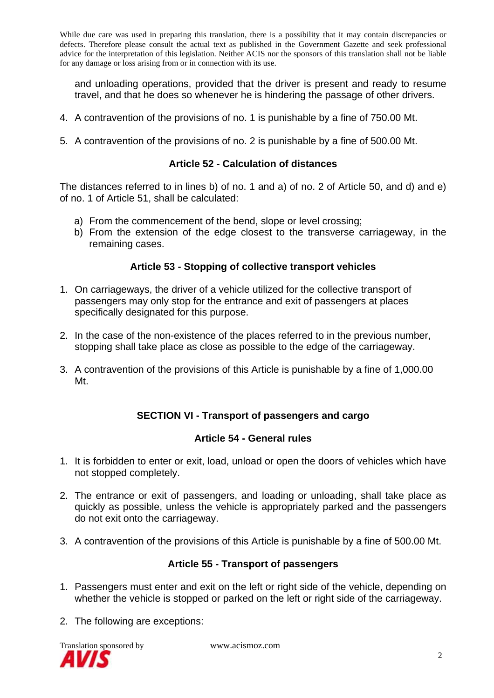and unloading operations, provided that the driver is present and ready to resume travel, and that he does so whenever he is hindering the passage of other drivers.

- 4. A contravention of the provisions of no. 1 is punishable by a fine of 750.00 Mt.
- 5. A contravention of the provisions of no. 2 is punishable by a fine of 500.00 Mt.

#### **Article 52 - Calculation of distances**

The distances referred to in lines b) of no. 1 and a) of no. 2 of Article 50, and d) and e) of no. 1 of Article 51, shall be calculated:

- a) From the commencement of the bend, slope or level crossing;
- b) From the extension of the edge closest to the transverse carriageway, in the remaining cases.

#### **Article 53 - Stopping of collective transport vehicles**

- 1. On carriageways, the driver of a vehicle utilized for the collective transport of passengers may only stop for the entrance and exit of passengers at places specifically designated for this purpose.
- 2. In the case of the non-existence of the places referred to in the previous number, stopping shall take place as close as possible to the edge of the carriageway.
- 3. A contravention of the provisions of this Article is punishable by a fine of 1,000.00 Mt.

## **SECTION VI - Transport of passengers and cargo**

#### **Article 54 - General rules**

- 1. It is forbidden to enter or exit, load, unload or open the doors of vehicles which have not stopped completely.
- 2. The entrance or exit of passengers, and loading or unloading, shall take place as quickly as possible, unless the vehicle is appropriately parked and the passengers do not exit onto the carriageway.
- 3. A contravention of the provisions of this Article is punishable by a fine of 500.00 Mt.

#### **Article 55 - Transport of passengers**

- 1. Passengers must enter and exit on the left or right side of the vehicle, depending on whether the vehicle is stopped or parked on the left or right side of the carriageway.
- 2. The following are exceptions:

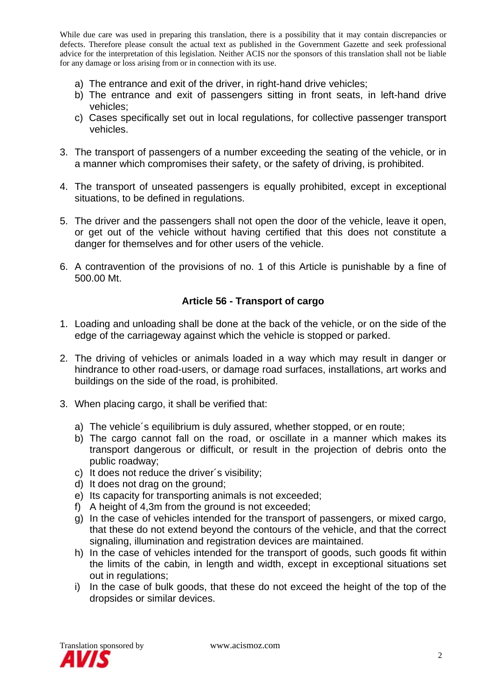- a) The entrance and exit of the driver, in right-hand drive vehicles;
- b) The entrance and exit of passengers sitting in front seats, in left-hand drive vehicles;
- c) Cases specifically set out in local regulations, for collective passenger transport vehicles.
- 3. The transport of passengers of a number exceeding the seating of the vehicle, or in a manner which compromises their safety, or the safety of driving, is prohibited.
- 4. The transport of unseated passengers is equally prohibited, except in exceptional situations, to be defined in regulations.
- 5. The driver and the passengers shall not open the door of the vehicle, leave it open, or get out of the vehicle without having certified that this does not constitute a danger for themselves and for other users of the vehicle.
- 6. A contravention of the provisions of no. 1 of this Article is punishable by a fine of 500.00 Mt.

## **Article 56 - Transport of cargo**

- 1. Loading and unloading shall be done at the back of the vehicle, or on the side of the edge of the carriageway against which the vehicle is stopped or parked.
- 2. The driving of vehicles or animals loaded in a way which may result in danger or hindrance to other road-users, or damage road surfaces, installations, art works and buildings on the side of the road, is prohibited.
- 3. When placing cargo, it shall be verified that:
	- a) The vehicle´s equilibrium is duly assured, whether stopped, or en route;
	- b) The cargo cannot fall on the road, or oscillate in a manner which makes its transport dangerous or difficult, or result in the projection of debris onto the public roadway;
	- c) It does not reduce the driver´s visibility;
	- d) It does not drag on the ground;
	- e) Its capacity for transporting animals is not exceeded;
	- f) A height of 4,3m from the ground is not exceeded;
	- g) In the case of vehicles intended for the transport of passengers, or mixed cargo, that these do not extend beyond the contours of the vehicle, and that the correct signaling, illumination and registration devices are maintained.
	- h) In the case of vehicles intended for the transport of goods, such goods fit within the limits of the cabin*,* in length and width, except in exceptional situations set out in regulations;
	- i) In the case of bulk goods, that these do not exceed the height of the top of the dropsides or similar devices.

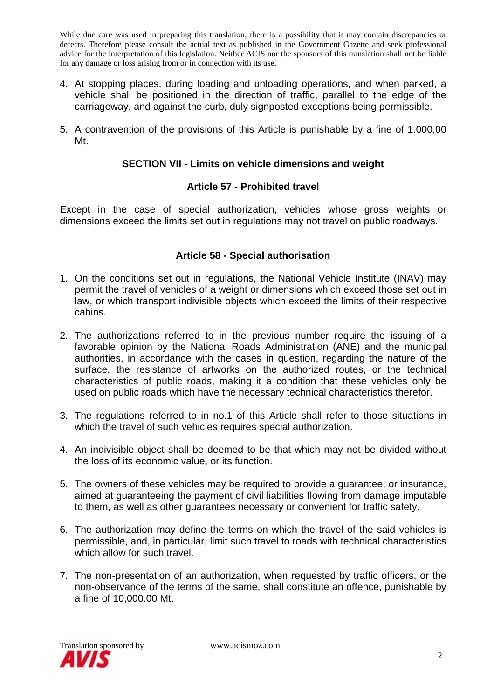- 4. At stopping places, during loading and unloading operations, and when parked, a vehicle shall be positioned in the direction of traffic, parallel to the edge of the carriageway, and against the curb, duly signposted exceptions being permissible.
- 5. A contravention of the provisions of this Article is punishable by a fine of 1.000,00 Mt.

## **SECTION VII - Limits on vehicle dimensions and weight**

#### **Article 57 - Prohibited travel**

Except in the case of special authorization, vehicles whose gross weights or dimensions exceed the limits set out in regulations may not travel on public roadways.

#### **Article 58 - Special authorisation**

- 1. On the conditions set out in regulations, the National Vehicle Institute (INAV) may permit the travel of vehicles of a weight or dimensions which exceed those set out in law, or which transport indivisible objects which exceed the limits of their respective cabins.
- 2. The authorizations referred to in the previous number require the issuing of a favorable opinion by the National Roads Administration (ANE) and the municipal authorities, in accordance with the cases in question, regarding the nature of the surface, the resistance of artworks on the authorized routes, or the technical characteristics of public roads, making it a condition that these vehicles only be used on public roads which have the necessary technical characteristics therefor.
- 3. The regulations referred to in no.1 of this Article shall refer to those situations in which the travel of such vehicles requires special authorization.
- 4. An indivisible object shall be deemed to be that which may not be divided without the loss of its economic value, or its function.
- 5. The owners of these vehicles may be required to provide a guarantee, or insurance, aimed at guaranteeing the payment of civil liabilities flowing from damage imputable to them, as well as other guarantees necessary or convenient for traffic safety.
- 6. The authorization may define the terms on which the travel of the said vehicles is permissible, and, in particular, limit such travel to roads with technical characteristics which allow for such travel.
- 7. The non-presentation of an authorization, when requested by traffic officers, or the non-observance of the terms of the same, shall constitute an offence, punishable by a fine of 10,000.00 Mt.

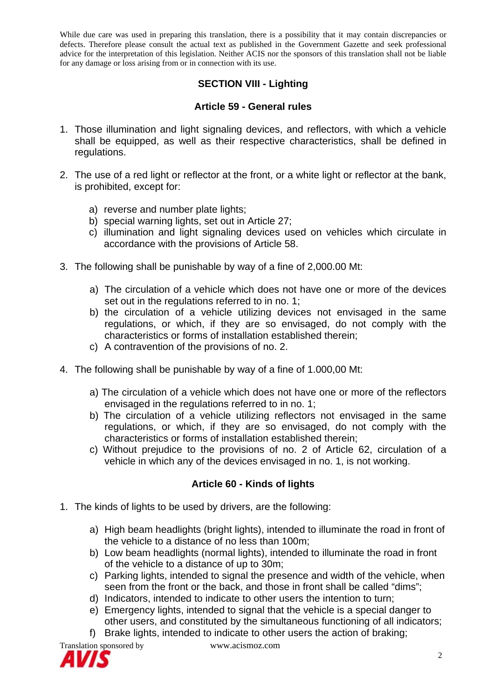## **SECTION VIII - Lighting**

#### **Article 59 - General rules**

- 1. Those illumination and light signaling devices, and reflectors, with which a vehicle shall be equipped, as well as their respective characteristics, shall be defined in regulations.
- 2. The use of a red light or reflector at the front, or a white light or reflector at the bank, is prohibited, except for:
	- a) reverse and number plate lights;
	- b) special warning lights, set out in Article 27;
	- c) illumination and light signaling devices used on vehicles which circulate in accordance with the provisions of Article 58.
- 3. The following shall be punishable by way of a fine of 2,000.00 Mt:
	- a) The circulation of a vehicle which does not have one or more of the devices set out in the regulations referred to in no. 1;
	- b) the circulation of a vehicle utilizing devices not envisaged in the same regulations, or which, if they are so envisaged, do not comply with the characteristics or forms of installation established therein;
	- c) A contravention of the provisions of no. 2.
- 4. The following shall be punishable by way of a fine of 1.000,00 Mt:
	- a) The circulation of a vehicle which does not have one or more of the reflectors envisaged in the regulations referred to in no. 1;
	- b) The circulation of a vehicle utilizing reflectors not envisaged in the same regulations, or which, if they are so envisaged, do not comply with the characteristics or forms of installation established therein;
	- c) Without prejudice to the provisions of no. 2 of Article 62, circulation of a vehicle in which any of the devices envisaged in no. 1, is not working.

## **Article 60 - Kinds of lights**

- 1. The kinds of lights to be used by drivers, are the following:
	- a) High beam headlights (bright lights), intended to illuminate the road in front of the vehicle to a distance of no less than 100m;
	- b) Low beam headlights (normal lights), intended to illuminate the road in front of the vehicle to a distance of up to 30m;
	- c) Parking lights, intended to signal the presence and width of the vehicle, when seen from the front or the back, and those in front shall be called "dims";
	- d) Indicators, intended to indicate to other users the intention to turn;
	- e) Emergency lights, intended to signal that the vehicle is a special danger to other users, and constituted by the simultaneous functioning of all indicators;
	- f) Brake lights, intended to indicate to other users the action of braking;

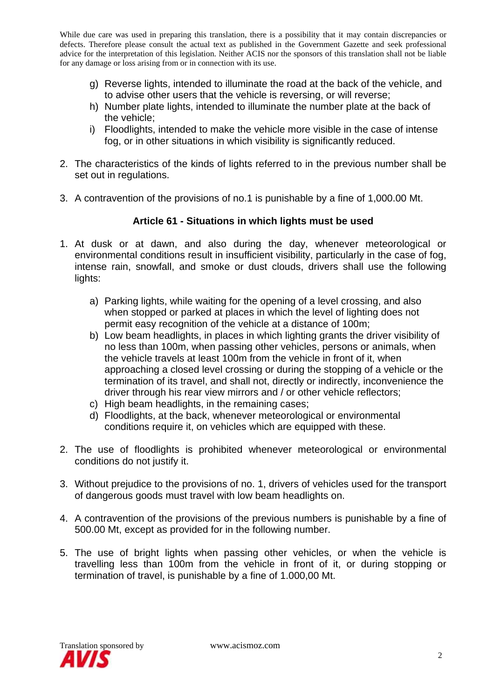- g) Reverse lights, intended to illuminate the road at the back of the vehicle, and to advise other users that the vehicle is reversing, or will reverse;
- h) Number plate lights, intended to illuminate the number plate at the back of the vehicle;
- i) Floodlights, intended to make the vehicle more visible in the case of intense fog, or in other situations in which visibility is significantly reduced.
- 2. The characteristics of the kinds of lights referred to in the previous number shall be set out in regulations.
- 3. A contravention of the provisions of no.1 is punishable by a fine of 1,000.00 Mt.

#### **Article 61 - Situations in which lights must be used**

- 1. At dusk or at dawn, and also during the day, whenever meteorological or environmental conditions result in insufficient visibility, particularly in the case of fog, intense rain, snowfall, and smoke or dust clouds, drivers shall use the following lights:
	- a) Parking lights, while waiting for the opening of a level crossing, and also when stopped or parked at places in which the level of lighting does not permit easy recognition of the vehicle at a distance of 100m;
	- b) Low beam headlights, in places in which lighting grants the driver visibility of no less than 100m, when passing other vehicles, persons or animals, when the vehicle travels at least 100m from the vehicle in front of it, when approaching a closed level crossing or during the stopping of a vehicle or the termination of its travel, and shall not, directly or indirectly, inconvenience the driver through his rear view mirrors and / or other vehicle reflectors;
	- c) High beam headlights, in the remaining cases;
	- d) Floodlights, at the back, whenever meteorological or environmental conditions require it, on vehicles which are equipped with these.
- 2. The use of floodlights is prohibited whenever meteorological or environmental conditions do not justify it.
- 3. Without prejudice to the provisions of no. 1, drivers of vehicles used for the transport of dangerous goods must travel with low beam headlights on.
- 4. A contravention of the provisions of the previous numbers is punishable by a fine of 500.00 Mt, except as provided for in the following number.
- 5. The use of bright lights when passing other vehicles, or when the vehicle is travelling less than 100m from the vehicle in front of it, or during stopping or termination of travel, is punishable by a fine of 1.000,00 Mt.

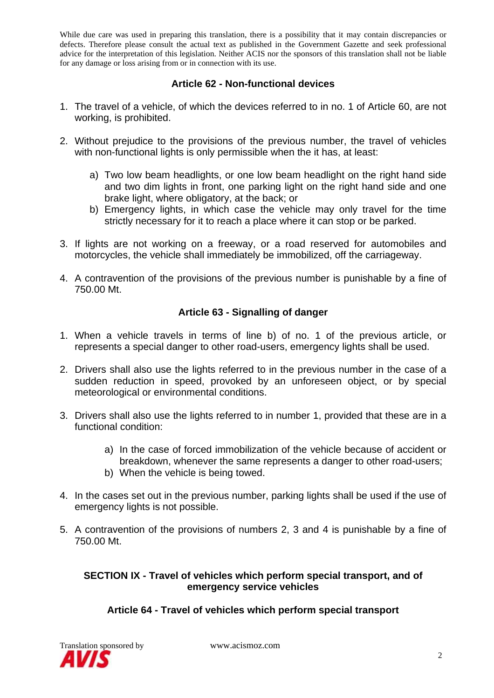## **Article 62 - Non-functional devices**

- 1. The travel of a vehicle, of which the devices referred to in no. 1 of Article 60, are not working, is prohibited.
- 2. Without prejudice to the provisions of the previous number, the travel of vehicles with non-functional lights is only permissible when the it has, at least:
	- a) Two low beam headlights, or one low beam headlight on the right hand side and two dim lights in front, one parking light on the right hand side and one brake light, where obligatory, at the back; or
	- b) Emergency lights, in which case the vehicle may only travel for the time strictly necessary for it to reach a place where it can stop or be parked.
- 3. If lights are not working on a freeway, or a road reserved for automobiles and motorcycles, the vehicle shall immediately be immobilized, off the carriageway.
- 4. A contravention of the provisions of the previous number is punishable by a fine of 750.00 Mt.

## **Article 63 - Signalling of danger**

- 1. When a vehicle travels in terms of line b) of no. 1 of the previous article, or represents a special danger to other road-users, emergency lights shall be used.
- 2. Drivers shall also use the lights referred to in the previous number in the case of a sudden reduction in speed, provoked by an unforeseen object, or by special meteorological or environmental conditions.
- 3. Drivers shall also use the lights referred to in number 1, provided that these are in a functional condition:
	- a) In the case of forced immobilization of the vehicle because of accident or breakdown, whenever the same represents a danger to other road-users;
	- b) When the vehicle is being towed.
- 4. In the cases set out in the previous number, parking lights shall be used if the use of emergency lights is not possible.
- 5. A contravention of the provisions of numbers 2, 3 and 4 is punishable by a fine of 750.00 Mt.

#### **SECTION IX - Travel of vehicles which perform special transport, and of emergency service vehicles**

## **Article 64 - Travel of vehicles which perform special transport**

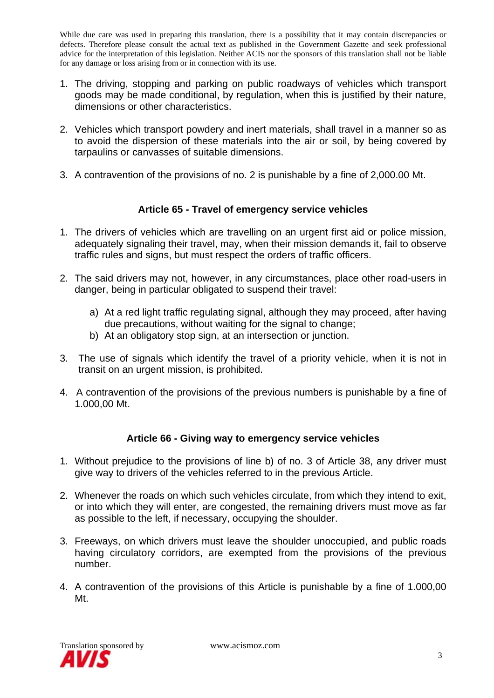- 1. The driving, stopping and parking on public roadways of vehicles which transport goods may be made conditional, by regulation, when this is justified by their nature, dimensions or other characteristics.
- 2. Vehicles which transport powdery and inert materials, shall travel in a manner so as to avoid the dispersion of these materials into the air or soil, by being covered by tarpaulins or canvasses of suitable dimensions.
- 3. A contravention of the provisions of no. 2 is punishable by a fine of 2,000.00 Mt.

## **Article 65 - Travel of emergency service vehicles**

- 1. The drivers of vehicles which are travelling on an urgent first aid or police mission, adequately signaling their travel, may, when their mission demands it, fail to observe traffic rules and signs, but must respect the orders of traffic officers.
- 2. The said drivers may not, however, in any circumstances, place other road-users in danger, being in particular obligated to suspend their travel:
	- a) At a red light traffic regulating signal, although they may proceed, after having due precautions, without waiting for the signal to change;
	- b) At an obligatory stop sign, at an intersection or junction.
- 3. The use of signals which identify the travel of a priority vehicle, when it is not in transit on an urgent mission, is prohibited.
- 4. A contravention of the provisions of the previous numbers is punishable by a fine of 1.000,00 Mt.

## **Article 66 - Giving way to emergency service vehicles**

- 1. Without prejudice to the provisions of line b) of no. 3 of Article 38, any driver must give way to drivers of the vehicles referred to in the previous Article.
- 2. Whenever the roads on which such vehicles circulate, from which they intend to exit, or into which they will enter, are congested, the remaining drivers must move as far as possible to the left, if necessary, occupying the shoulder.
- 3. Freeways, on which drivers must leave the shoulder unoccupied, and public roads having circulatory corridors, are exempted from the provisions of the previous number.
- 4. A contravention of the provisions of this Article is punishable by a fine of 1.000,00 Mt.

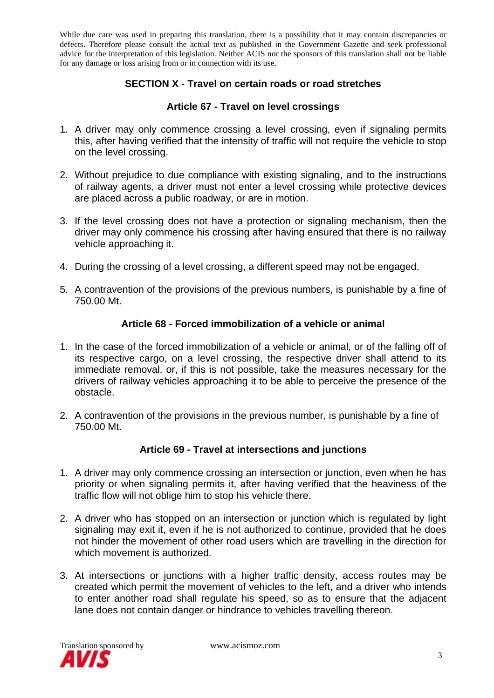## **SECTION X - Travel on certain roads or road stretches**

## **Article 67 - Travel on level crossings**

- 1. A driver may only commence crossing a level crossing, even if signaling permits this, after having verified that the intensity of traffic will not require the vehicle to stop on the level crossing.
- 2. Without prejudice to due compliance with existing signaling, and to the instructions of railway agents, a driver must not enter a level crossing while protective devices are placed across a public roadway, or are in motion.
- 3. If the level crossing does not have a protection or signaling mechanism, then the driver may only commence his crossing after having ensured that there is no railway vehicle approaching it.
- 4. During the crossing of a level crossing, a different speed may not be engaged.
- 5. A contravention of the provisions of the previous numbers, is punishable by a fine of 750.00 Mt.

#### **Article 68 - Forced immobilization of a vehicle or animal**

- 1. In the case of the forced immobilization of a vehicle or animal, or of the falling off of its respective cargo, on a level crossing, the respective driver shall attend to its immediate removal, or, if this is not possible, take the measures necessary for the drivers of railway vehicles approaching it to be able to perceive the presence of the obstacle.
- 2. A contravention of the provisions in the previous number, is punishable by a fine of 750.00 Mt.

## **Article 69 - Travel at intersections and junctions**

- 1. A driver may only commence crossing an intersection or junction, even when he has priority or when signaling permits it, after having verified that the heaviness of the traffic flow will not oblige him to stop his vehicle there.
- 2. A driver who has stopped on an intersection or junction which is regulated by light signaling may exit it, even if he is not authorized to continue, provided that he does not hinder the movement of other road users which are travelling in the direction for which movement is authorized.
- 3. At intersections or junctions with a higher traffic density, access routes may be created which permit the movement of vehicles to the left, and a driver who intends to enter another road shall regulate his speed, so as to ensure that the adjacent lane does not contain danger or hindrance to vehicles travelling thereon.

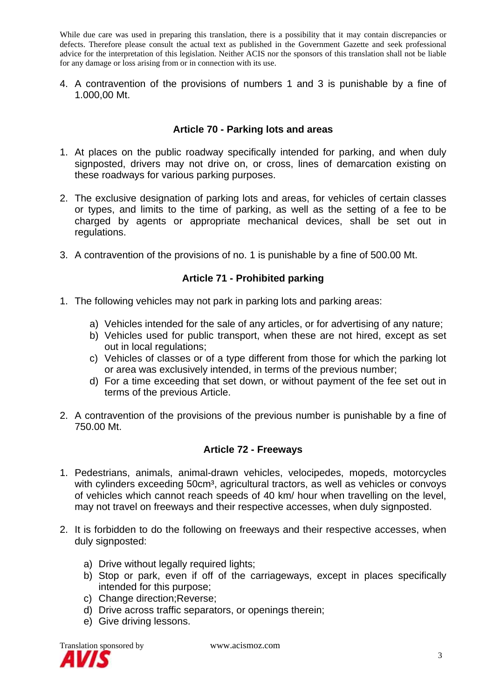4. A contravention of the provisions of numbers 1 and 3 is punishable by a fine of 1.000,00 Mt.

## **Article 70 - Parking lots and areas**

- 1. At places on the public roadway specifically intended for parking, and when duly signposted, drivers may not drive on, or cross, lines of demarcation existing on these roadways for various parking purposes.
- 2. The exclusive designation of parking lots and areas, for vehicles of certain classes or types, and limits to the time of parking, as well as the setting of a fee to be charged by agents or appropriate mechanical devices, shall be set out in regulations.
- 3. A contravention of the provisions of no. 1 is punishable by a fine of 500.00 Mt.

## **Article 71 - Prohibited parking**

- 1. The following vehicles may not park in parking lots and parking areas:
	- a) Vehicles intended for the sale of any articles, or for advertising of any nature;
	- b) Vehicles used for public transport, when these are not hired, except as set out in local regulations;
	- c) Vehicles of classes or of a type different from those for which the parking lot or area was exclusively intended, in terms of the previous number;
	- d) For a time exceeding that set down, or without payment of the fee set out in terms of the previous Article.
- 2. A contravention of the provisions of the previous number is punishable by a fine of 750.00 Mt.

#### **Article 72 - Freeways**

- 1. Pedestrians, animals, animal-drawn vehicles, velocipedes, mopeds, motorcycles with cylinders exceeding 50cm<sup>3</sup>, agricultural tractors, as well as vehicles or convoys of vehicles which cannot reach speeds of 40 km/ hour when travelling on the level, may not travel on freeways and their respective accesses, when duly signposted.
- 2. It is forbidden to do the following on freeways and their respective accesses, when duly signposted:
	- a) Drive without legally required lights;
	- b) Stop or park, even if off of the carriageways, except in places specifically intended for this purpose;
	- c) Change direction;Reverse;
	- d) Drive across traffic separators, or openings therein;
	- e) Give driving lessons.

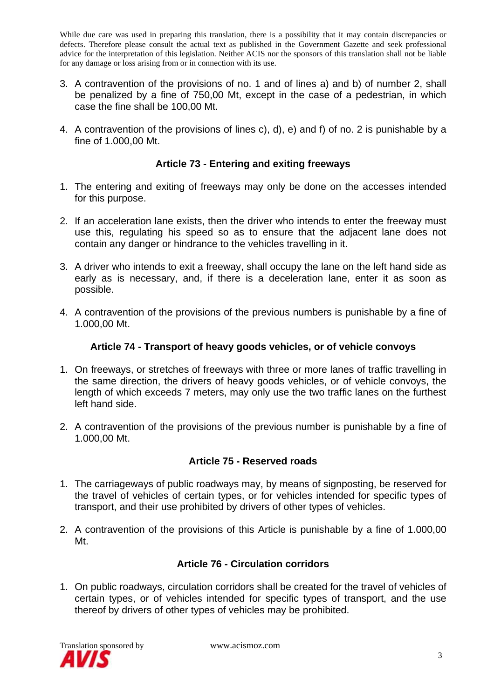- 3. A contravention of the provisions of no. 1 and of lines a) and b) of number 2, shall be penalized by a fine of 750,00 Mt, except in the case of a pedestrian, in which case the fine shall be 100,00 Mt.
- 4. A contravention of the provisions of lines c), d), e) and f) of no. 2 is punishable by a fine of 1.000,00 Mt.

## **Article 73 - Entering and exiting freeways**

- 1. The entering and exiting of freeways may only be done on the accesses intended for this purpose.
- 2. If an acceleration lane exists, then the driver who intends to enter the freeway must use this, regulating his speed so as to ensure that the adjacent lane does not contain any danger or hindrance to the vehicles travelling in it.
- 3. A driver who intends to exit a freeway, shall occupy the lane on the left hand side as early as is necessary, and, if there is a deceleration lane, enter it as soon as possible.
- 4. A contravention of the provisions of the previous numbers is punishable by a fine of 1.000,00 Mt.

## **Article 74 - Transport of heavy goods vehicles, or of vehicle convoys**

- 1. On freeways, or stretches of freeways with three or more lanes of traffic travelling in the same direction, the drivers of heavy goods vehicles, or of vehicle convoys, the length of which exceeds 7 meters, may only use the two traffic lanes on the furthest left hand side.
- 2. A contravention of the provisions of the previous number is punishable by a fine of 1.000,00 Mt.

## **Article 75 - Reserved roads**

- 1. The carriageways of public roadways may, by means of signposting, be reserved for the travel of vehicles of certain types, or for vehicles intended for specific types of transport, and their use prohibited by drivers of other types of vehicles.
- 2. A contravention of the provisions of this Article is punishable by a fine of 1.000,00 Mt.

## **Article 76 - Circulation corridors**

1. On public roadways, circulation corridors shall be created for the travel of vehicles of certain types, or of vehicles intended for specific types of transport, and the use thereof by drivers of other types of vehicles may be prohibited.

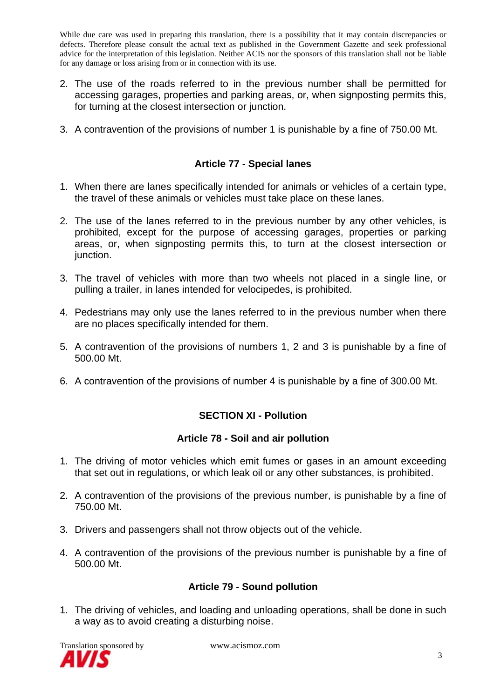- 2. The use of the roads referred to in the previous number shall be permitted for accessing garages, properties and parking areas, or, when signposting permits this, for turning at the closest intersection or junction.
- 3. A contravention of the provisions of number 1 is punishable by a fine of 750.00 Mt.

## **Article 77 - Special lanes**

- 1. When there are lanes specifically intended for animals or vehicles of a certain type, the travel of these animals or vehicles must take place on these lanes.
- 2. The use of the lanes referred to in the previous number by any other vehicles, is prohibited, except for the purpose of accessing garages, properties or parking areas, or, when signposting permits this, to turn at the closest intersection or junction.
- 3. The travel of vehicles with more than two wheels not placed in a single line, or pulling a trailer, in lanes intended for velocipedes, is prohibited.
- 4. Pedestrians may only use the lanes referred to in the previous number when there are no places specifically intended for them.
- 5. A contravention of the provisions of numbers 1, 2 and 3 is punishable by a fine of 500.00 Mt.
- 6. A contravention of the provisions of number 4 is punishable by a fine of 300.00 Mt.

## **SECTION XI - Pollution**

#### **Article 78 - Soil and air pollution**

- 1. The driving of motor vehicles which emit fumes or gases in an amount exceeding that set out in regulations, or which leak oil or any other substances, is prohibited.
- 2. A contravention of the provisions of the previous number, is punishable by a fine of 750.00 Mt.
- 3. Drivers and passengers shall not throw objects out of the vehicle.
- 4. A contravention of the provisions of the previous number is punishable by a fine of 500.00 Mt.

## **Article 79 - Sound pollution**

1. The driving of vehicles, and loading and unloading operations, shall be done in such a way as to avoid creating a disturbing noise.

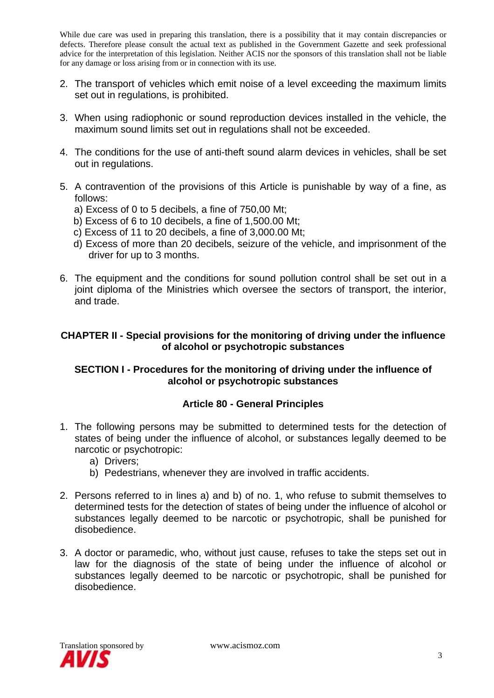- 2. The transport of vehicles which emit noise of a level exceeding the maximum limits set out in regulations, is prohibited.
- 3. When using radiophonic or sound reproduction devices installed in the vehicle, the maximum sound limits set out in regulations shall not be exceeded.
- 4. The conditions for the use of anti-theft sound alarm devices in vehicles, shall be set out in regulations.
- 5. A contravention of the provisions of this Article is punishable by way of a fine, as follows:
	- a) Excess of 0 to 5 decibels, a fine of 750,00 Mt;
	- b) Excess of 6 to 10 decibels, a fine of 1,500.00 Mt;
	- c) Excess of 11 to 20 decibels, a fine of 3,000.00 Mt;
	- d) Excess of more than 20 decibels, seizure of the vehicle, and imprisonment of the driver for up to 3 months.
- 6. The equipment and the conditions for sound pollution control shall be set out in a joint diploma of the Ministries which oversee the sectors of transport, the interior, and trade.

## **CHAPTER II - Special provisions for the monitoring of driving under the influence of alcohol or psychotropic substances**

## **SECTION I - Procedures for the monitoring of driving under the influence of alcohol or psychotropic substances**

## **Article 80 - General Principles**

- 1. The following persons may be submitted to determined tests for the detection of states of being under the influence of alcohol, or substances legally deemed to be narcotic or psychotropic:
	- a) Drivers;
	- b) Pedestrians, whenever they are involved in traffic accidents.
- 2. Persons referred to in lines a) and b) of no. 1, who refuse to submit themselves to determined tests for the detection of states of being under the influence of alcohol or substances legally deemed to be narcotic or psychotropic, shall be punished for disobedience.
- 3. A doctor or paramedic, who, without just cause, refuses to take the steps set out in law for the diagnosis of the state of being under the influence of alcohol or substances legally deemed to be narcotic or psychotropic, shall be punished for disobedience.

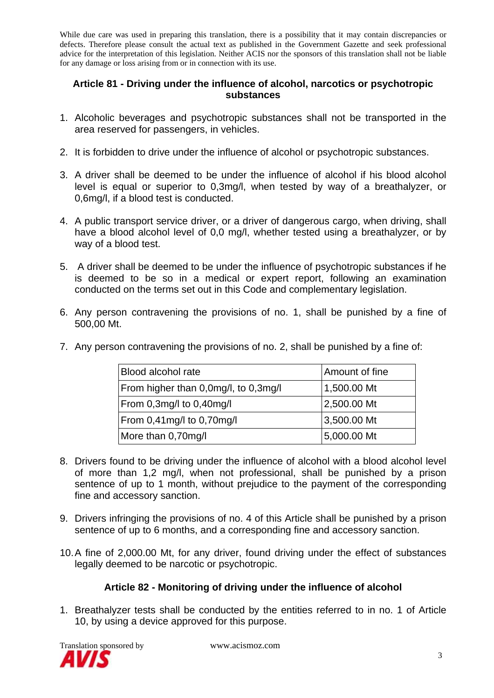### **Article 81 - Driving under the influence of alcohol, narcotics or psychotropic substances**

- 1. Alcoholic beverages and psychotropic substances shall not be transported in the area reserved for passengers, in vehicles.
- 2. It is forbidden to drive under the influence of alcohol or psychotropic substances.
- 3. A driver shall be deemed to be under the influence of alcohol if his blood alcohol level is equal or superior to 0,3mg/l, when tested by way of a breathalyzer, or 0,6mg/l, if a blood test is conducted.
- 4. A public transport service driver, or a driver of dangerous cargo, when driving, shall have a blood alcohol level of 0,0 mg/l, whether tested using a breathalyzer, or by way of a blood test.
- 5. A driver shall be deemed to be under the influence of psychotropic substances if he is deemed to be so in a medical or expert report, following an examination conducted on the terms set out in this Code and complementary legislation.
- 6. Any person contravening the provisions of no. 1, shall be punished by a fine of 500,00 Mt.

|  | 7. Any person contravening the provisions of no. 2, shall be punished by a fine of: |  |  |  |
|--|-------------------------------------------------------------------------------------|--|--|--|
|  |                                                                                     |  |  |  |

| Blood alcohol rate                   | Amount of fine |  |  |
|--------------------------------------|----------------|--|--|
| From higher than 0,0mg/l, to 0,3mg/l | 1,500.00 Mt    |  |  |
| From 0,3mg/l to 0,40mg/l             | 2,500.00 Mt    |  |  |
| From 0,41mg/l to 0,70mg/l            | 3,500.00 Mt    |  |  |
| More than 0,70mg/l                   | 5,000.00 Mt    |  |  |

- 8. Drivers found to be driving under the influence of alcohol with a blood alcohol level of more than 1,2 mg/l, when not professional, shall be punished by a prison sentence of up to 1 month, without prejudice to the payment of the corresponding fine and accessory sanction.
- 9. Drivers infringing the provisions of no. 4 of this Article shall be punished by a prison sentence of up to 6 months, and a corresponding fine and accessory sanction.
- 10. A fine of 2,000.00 Mt, for any driver, found driving under the effect of substances legally deemed to be narcotic or psychotropic.

## **Article 82 - Monitoring of driving under the influence of alcohol**

1. Breathalyzer tests shall be conducted by the entities referred to in no. 1 of Article 10, by using a device approved for this purpose.

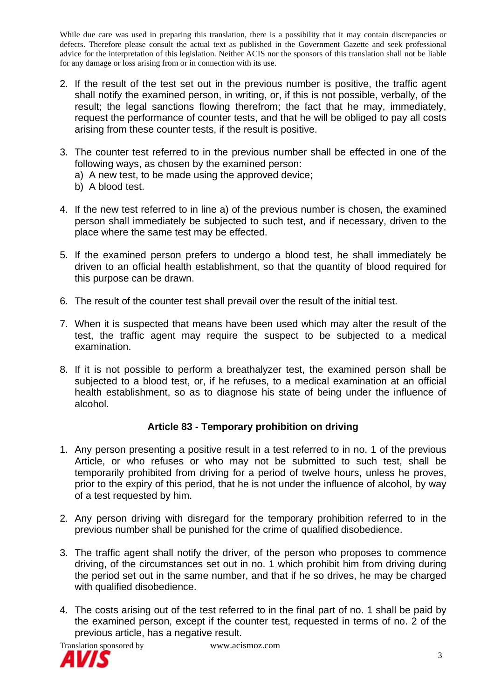- 2. If the result of the test set out in the previous number is positive, the traffic agent shall notify the examined person, in writing, or, if this is not possible, verbally, of the result; the legal sanctions flowing therefrom; the fact that he may, immediately, request the performance of counter tests, and that he will be obliged to pay all costs arising from these counter tests, if the result is positive.
- 3. The counter test referred to in the previous number shall be effected in one of the following ways, as chosen by the examined person:
	- a) A new test, to be made using the approved device;
	- b) A blood test.
- 4. If the new test referred to in line a) of the previous number is chosen, the examined person shall immediately be subjected to such test, and if necessary, driven to the place where the same test may be effected.
- 5. If the examined person prefers to undergo a blood test, he shall immediately be driven to an official health establishment, so that the quantity of blood required for this purpose can be drawn.
- 6. The result of the counter test shall prevail over the result of the initial test.
- 7. When it is suspected that means have been used which may alter the result of the test, the traffic agent may require the suspect to be subjected to a medical examination.
- 8. If it is not possible to perform a breathalyzer test, the examined person shall be subjected to a blood test, or, if he refuses, to a medical examination at an official health establishment, so as to diagnose his state of being under the influence of alcohol.

## **Article 83 - Temporary prohibition on driving**

- 1. Any person presenting a positive result in a test referred to in no. 1 of the previous Article, or who refuses or who may not be submitted to such test, shall be temporarily prohibited from driving for a period of twelve hours, unless he proves, prior to the expiry of this period, that he is not under the influence of alcohol, by way of a test requested by him.
- 2. Any person driving with disregard for the temporary prohibition referred to in the previous number shall be punished for the crime of qualified disobedience.
- 3. The traffic agent shall notify the driver, of the person who proposes to commence driving, of the circumstances set out in no. 1 which prohibit him from driving during the period set out in the same number, and that if he so drives, he may be charged with qualified disobedience.
- 4. The costs arising out of the test referred to in the final part of no. 1 shall be paid by the examined person, except if the counter test, requested in terms of no. 2 of the previous article, has a negative result.

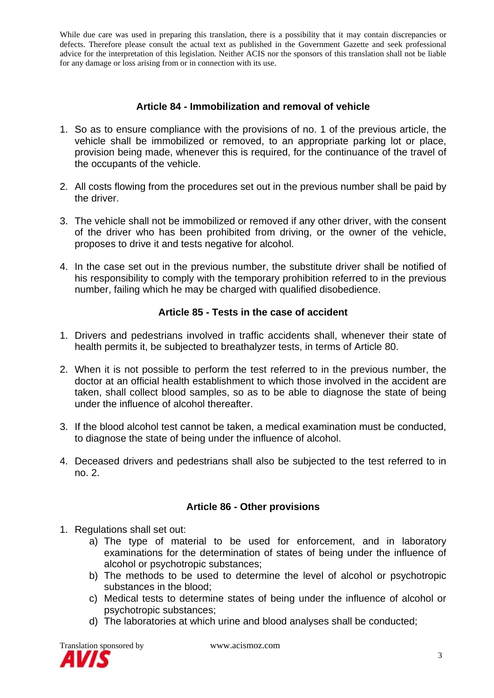#### **Article 84 - Immobilization and removal of vehicle**

- 1. So as to ensure compliance with the provisions of no. 1 of the previous article, the vehicle shall be immobilized or removed, to an appropriate parking lot or place, provision being made, whenever this is required, for the continuance of the travel of the occupants of the vehicle.
- 2. All costs flowing from the procedures set out in the previous number shall be paid by the driver.
- 3. The vehicle shall not be immobilized or removed if any other driver, with the consent of the driver who has been prohibited from driving, or the owner of the vehicle, proposes to drive it and tests negative for alcohol.
- 4. In the case set out in the previous number, the substitute driver shall be notified of his responsibility to comply with the temporary prohibition referred to in the previous number, failing which he may be charged with qualified disobedience.

## **Article 85 - Tests in the case of accident**

- 1. Drivers and pedestrians involved in traffic accidents shall, whenever their state of health permits it, be subjected to breathalyzer tests, in terms of Article 80.
- 2. When it is not possible to perform the test referred to in the previous number, the doctor at an official health establishment to which those involved in the accident are taken, shall collect blood samples, so as to be able to diagnose the state of being under the influence of alcohol thereafter.
- 3. If the blood alcohol test cannot be taken, a medical examination must be conducted, to diagnose the state of being under the influence of alcohol.
- 4. Deceased drivers and pedestrians shall also be subjected to the test referred to in no. 2.

## **Article 86 - Other provisions**

- 1. Regulations shall set out:
	- a) The type of material to be used for enforcement, and in laboratory examinations for the determination of states of being under the influence of alcohol or psychotropic substances;
	- b) The methods to be used to determine the level of alcohol or psychotropic substances in the blood;
	- c) Medical tests to determine states of being under the influence of alcohol or psychotropic substances;
	- d) The laboratories at which urine and blood analyses shall be conducted;

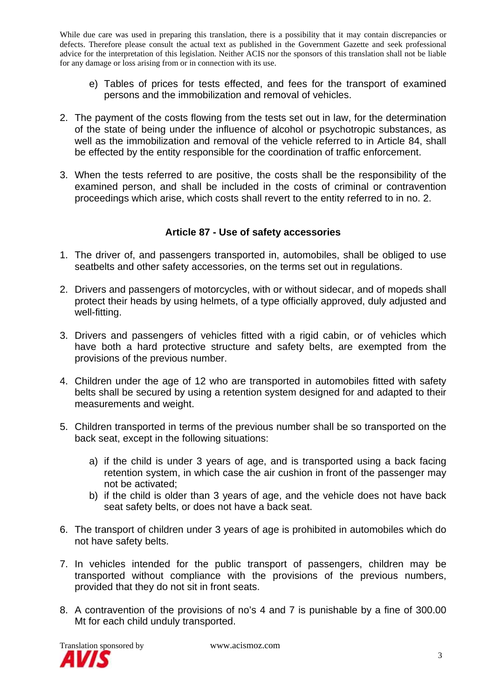- e) Tables of prices for tests effected, and fees for the transport of examined persons and the immobilization and removal of vehicles.
- 2. The payment of the costs flowing from the tests set out in law, for the determination of the state of being under the influence of alcohol or psychotropic substances, as well as the immobilization and removal of the vehicle referred to in Article 84, shall be effected by the entity responsible for the coordination of traffic enforcement.
- 3. When the tests referred to are positive, the costs shall be the responsibility of the examined person, and shall be included in the costs of criminal or contravention proceedings which arise, which costs shall revert to the entity referred to in no. 2.

## **Article 87 - Use of safety accessories**

- 1. The driver of, and passengers transported in, automobiles, shall be obliged to use seatbelts and other safety accessories, on the terms set out in regulations.
- 2. Drivers and passengers of motorcycles, with or without sidecar, and of mopeds shall protect their heads by using helmets, of a type officially approved, duly adjusted and well-fitting.
- 3. Drivers and passengers of vehicles fitted with a rigid cabin, or of vehicles which have both a hard protective structure and safety belts, are exempted from the provisions of the previous number.
- 4. Children under the age of 12 who are transported in automobiles fitted with safety belts shall be secured by using a retention system designed for and adapted to their measurements and weight.
- 5. Children transported in terms of the previous number shall be so transported on the back seat, except in the following situations:
	- a) if the child is under 3 years of age, and is transported using a back facing retention system, in which case the air cushion in front of the passenger may not be activated;
	- b) if the child is older than 3 years of age, and the vehicle does not have back seat safety belts, or does not have a back seat.
- 6. The transport of children under 3 years of age is prohibited in automobiles which do not have safety belts.
- 7. In vehicles intended for the public transport of passengers, children may be transported without compliance with the provisions of the previous numbers, provided that they do not sit in front seats.
- 8. A contravention of the provisions of no's 4 and 7 is punishable by a fine of 300.00 Mt for each child unduly transported.

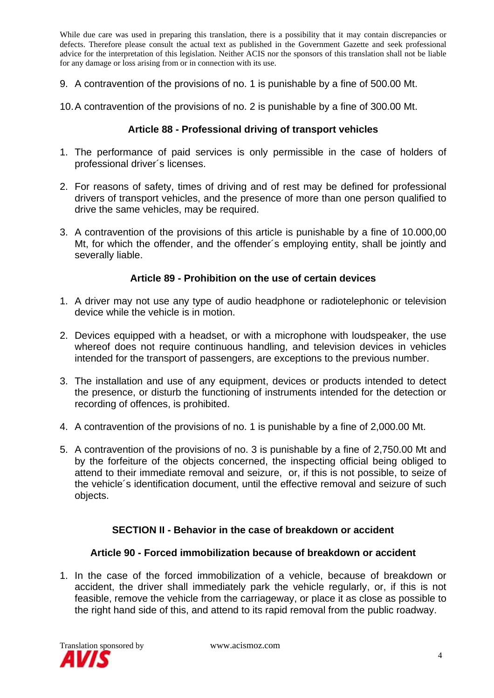- 9. A contravention of the provisions of no. 1 is punishable by a fine of 500.00 Mt.
- 10. A contravention of the provisions of no. 2 is punishable by a fine of 300.00 Mt.

#### **Article 88 - Professional driving of transport vehicles**

- 1. The performance of paid services is only permissible in the case of holders of professional driver´s licenses.
- 2. For reasons of safety, times of driving and of rest may be defined for professional drivers of transport vehicles, and the presence of more than one person qualified to drive the same vehicles, may be required.
- 3. A contravention of the provisions of this article is punishable by a fine of 10.000,00 Mt, for which the offender, and the offender´s employing entity, shall be jointly and severally liable.

#### **Article 89 - Prohibition on the use of certain devices**

- 1. A driver may not use any type of audio headphone or radiotelephonic or television device while the vehicle is in motion.
- 2. Devices equipped with a headset, or with a microphone with loudspeaker, the use whereof does not require continuous handling, and television devices in vehicles intended for the transport of passengers, are exceptions to the previous number.
- 3. The installation and use of any equipment, devices or products intended to detect the presence, or disturb the functioning of instruments intended for the detection or recording of offences, is prohibited.
- 4. A contravention of the provisions of no. 1 is punishable by a fine of 2,000.00 Mt.
- 5. A contravention of the provisions of no. 3 is punishable by a fine of 2,750.00 Mt and by the forfeiture of the objects concerned, the inspecting official being obliged to attend to their immediate removal and seizure, or, if this is not possible, to seize of the vehicle´s identification document, until the effective removal and seizure of such objects.

## **SECTION II - Behavior in the case of breakdown or accident**

# **Article 90 - Forced immobilization because of breakdown or accident**

1. In the case of the forced immobilization of a vehicle, because of breakdown or accident, the driver shall immediately park the vehicle regularly, or, if this is not feasible, remove the vehicle from the carriageway, or place it as close as possible to the right hand side of this, and attend to its rapid removal from the public roadway.

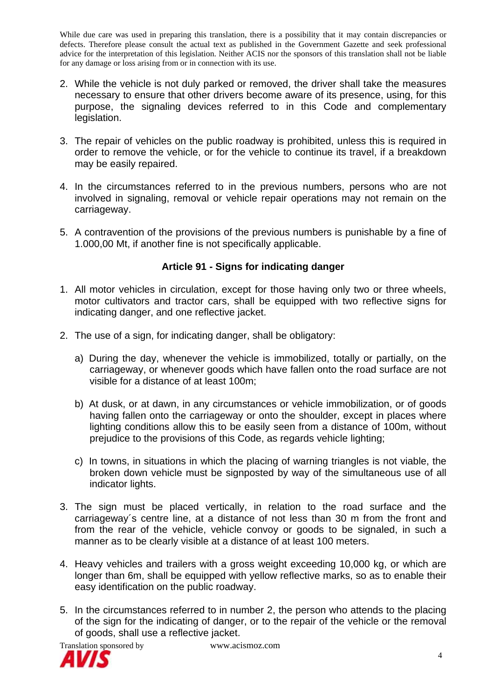- 2. While the vehicle is not duly parked or removed, the driver shall take the measures necessary to ensure that other drivers become aware of its presence, using, for this purpose, the signaling devices referred to in this Code and complementary legislation.
- 3. The repair of vehicles on the public roadway is prohibited, unless this is required in order to remove the vehicle, or for the vehicle to continue its travel, if a breakdown may be easily repaired.
- 4. In the circumstances referred to in the previous numbers, persons who are not involved in signaling, removal or vehicle repair operations may not remain on the carriageway.
- 5. A contravention of the provisions of the previous numbers is punishable by a fine of 1.000,00 Mt, if another fine is not specifically applicable.

# **Article 91 - Signs for indicating danger**

- 1. All motor vehicles in circulation, except for those having only two or three wheels, motor cultivators and tractor cars, shall be equipped with two reflective signs for indicating danger, and one reflective jacket.
- 2. The use of a sign, for indicating danger, shall be obligatory:
	- a) During the day, whenever the vehicle is immobilized, totally or partially, on the carriageway, or whenever goods which have fallen onto the road surface are not visible for a distance of at least 100m;
	- b) At dusk, or at dawn, in any circumstances or vehicle immobilization, or of goods having fallen onto the carriageway or onto the shoulder, except in places where lighting conditions allow this to be easily seen from a distance of 100m, without prejudice to the provisions of this Code, as regards vehicle lighting;
	- c) In towns, in situations in which the placing of warning triangles is not viable, the broken down vehicle must be signposted by way of the simultaneous use of all indicator lights.
- 3. The sign must be placed vertically, in relation to the road surface and the carriageway´s centre line, at a distance of not less than 30 m from the front and from the rear of the vehicle, vehicle convoy or goods to be signaled, in such a manner as to be clearly visible at a distance of at least 100 meters.
- 4. Heavy vehicles and trailers with a gross weight exceeding 10,000 kg, or which are longer than 6m, shall be equipped with yellow reflective marks, so as to enable their easy identification on the public roadway.
- 5. In the circumstances referred to in number 2, the person who attends to the placing of the sign for the indicating of danger, or to the repair of the vehicle or the removal of goods, shall use a reflective jacket.

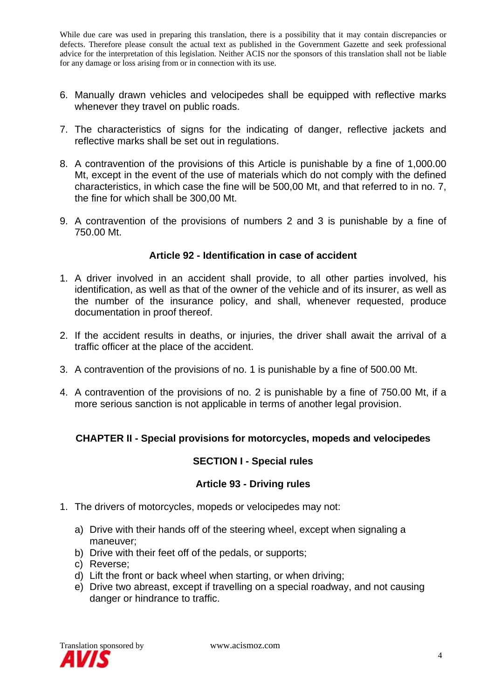- 6. Manually drawn vehicles and velocipedes shall be equipped with reflective marks whenever they travel on public roads.
- 7. The characteristics of signs for the indicating of danger, reflective jackets and reflective marks shall be set out in regulations.
- 8. A contravention of the provisions of this Article is punishable by a fine of 1,000.00 Mt, except in the event of the use of materials which do not comply with the defined characteristics, in which case the fine will be 500,00 Mt, and that referred to in no. 7, the fine for which shall be 300,00 Mt.
- 9. A contravention of the provisions of numbers 2 and 3 is punishable by a fine of 750.00 Mt.

#### **Article 92 - Identification in case of accident**

- 1. A driver involved in an accident shall provide, to all other parties involved, his identification, as well as that of the owner of the vehicle and of its insurer, as well as the number of the insurance policy, and shall, whenever requested, produce documentation in proof thereof.
- 2. If the accident results in deaths, or injuries, the driver shall await the arrival of a traffic officer at the place of the accident.
- 3. A contravention of the provisions of no. 1 is punishable by a fine of 500.00 Mt.
- 4. A contravention of the provisions of no. 2 is punishable by a fine of 750.00 Mt, if a more serious sanction is not applicable in terms of another legal provision.

## **CHAPTER II - Special provisions for motorcycles, mopeds and velocipedes**

#### **SECTION I - Special rules**

#### **Article 93 - Driving rules**

- 1. The drivers of motorcycles, mopeds or velocipedes may not:
	- a) Drive with their hands off of the steering wheel, except when signaling a maneuver;
	- b) Drive with their feet off of the pedals, or supports;
	- c) Reverse;
	- d) Lift the front or back wheel when starting, or when driving;
	- e) Drive two abreast, except if travelling on a special roadway, and not causing danger or hindrance to traffic.

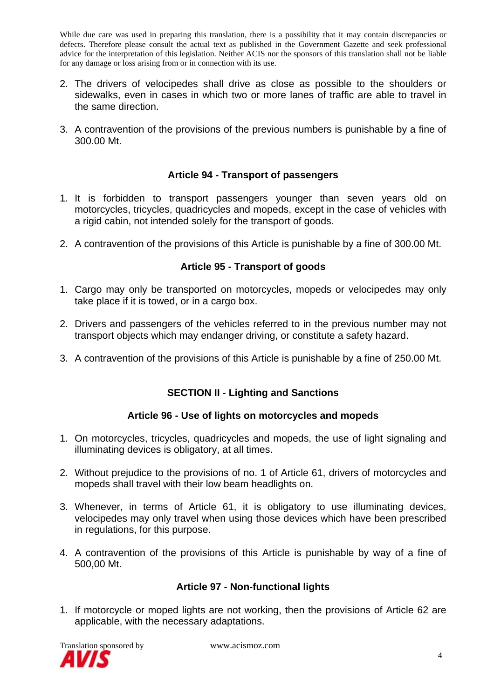- 2. The drivers of velocipedes shall drive as close as possible to the shoulders or sidewalks, even in cases in which two or more lanes of traffic are able to travel in the same direction.
- 3. A contravention of the provisions of the previous numbers is punishable by a fine of 300.00 Mt.

#### **Article 94 - Transport of passengers**

- 1. It is forbidden to transport passengers younger than seven years old on motorcycles, tricycles, quadricycles and mopeds, except in the case of vehicles with a rigid cabin, not intended solely for the transport of goods.
- 2. A contravention of the provisions of this Article is punishable by a fine of 300.00 Mt.

## **Article 95 - Transport of goods**

- 1. Cargo may only be transported on motorcycles, mopeds or velocipedes may only take place if it is towed, or in a cargo box.
- 2. Drivers and passengers of the vehicles referred to in the previous number may not transport objects which may endanger driving, or constitute a safety hazard.
- 3. A contravention of the provisions of this Article is punishable by a fine of 250.00 Mt.

## **SECTION II - Lighting and Sanctions**

## **Article 96 - Use of lights on motorcycles and mopeds**

- 1. On motorcycles, tricycles, quadricycles and mopeds, the use of light signaling and illuminating devices is obligatory, at all times.
- 2. Without prejudice to the provisions of no. 1 of Article 61, drivers of motorcycles and mopeds shall travel with their low beam headlights on.
- 3. Whenever, in terms of Article 61, it is obligatory to use illuminating devices, velocipedes may only travel when using those devices which have been prescribed in regulations, for this purpose.
- 4. A contravention of the provisions of this Article is punishable by way of a fine of 500,00 Mt.

## **Article 97 - Non-functional lights**

1. If motorcycle or moped lights are not working, then the provisions of Article 62 are applicable, with the necessary adaptations.

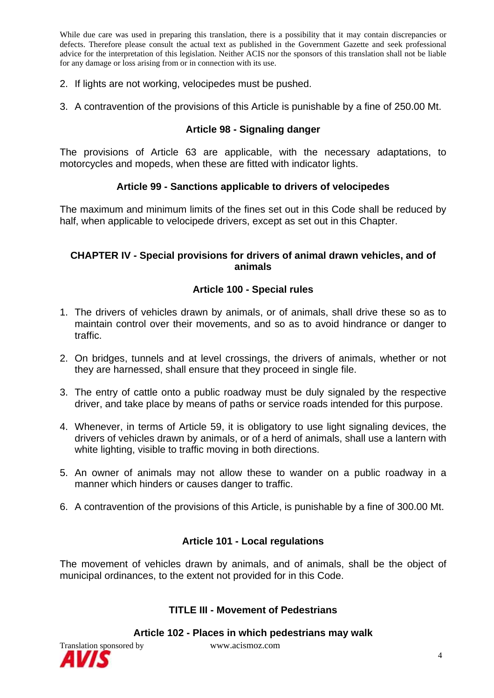- 2. If lights are not working, velocipedes must be pushed.
- 3. A contravention of the provisions of this Article is punishable by a fine of 250.00 Mt.

#### **Article 98 - Signaling danger**

The provisions of Article 63 are applicable, with the necessary adaptations, to motorcycles and mopeds, when these are fitted with indicator lights.

#### **Article 99 - Sanctions applicable to drivers of velocipedes**

The maximum and minimum limits of the fines set out in this Code shall be reduced by half, when applicable to velocipede drivers, except as set out in this Chapter.

#### **CHAPTER IV - Special provisions for drivers of animal drawn vehicles, and of animals**

#### **Article 100 - Special rules**

- 1. The drivers of vehicles drawn by animals, or of animals, shall drive these so as to maintain control over their movements, and so as to avoid hindrance or danger to traffic.
- 2. On bridges, tunnels and at level crossings, the drivers of animals, whether or not they are harnessed, shall ensure that they proceed in single file.
- 3. The entry of cattle onto a public roadway must be duly signaled by the respective driver, and take place by means of paths or service roads intended for this purpose.
- 4. Whenever, in terms of Article 59, it is obligatory to use light signaling devices, the drivers of vehicles drawn by animals, or of a herd of animals, shall use a lantern with white lighting, visible to traffic moving in both directions.
- 5. An owner of animals may not allow these to wander on a public roadway in a manner which hinders or causes danger to traffic.
- 6. A contravention of the provisions of this Article, is punishable by a fine of 300.00 Mt.

## **Article 101 - Local regulations**

The movement of vehicles drawn by animals, and of animals, shall be the object of municipal ordinances, to the extent not provided for in this Code.

#### **TITLE III - Movement of Pedestrians**

**Article 102 - Places in which pedestrians may walk**

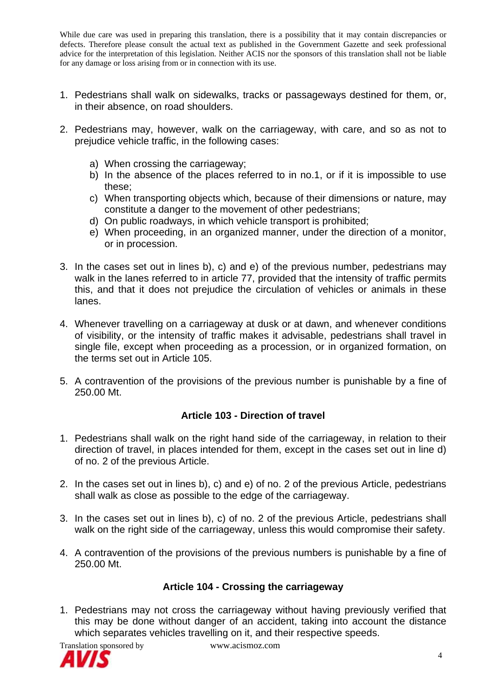- 1. Pedestrians shall walk on sidewalks, tracks or passageways destined for them, or, in their absence, on road shoulders.
- 2. Pedestrians may, however, walk on the carriageway, with care, and so as not to prejudice vehicle traffic, in the following cases:
	- a) When crossing the carriageway;
	- b) In the absence of the places referred to in no.1, or if it is impossible to use these;
	- c) When transporting objects which, because of their dimensions or nature, may constitute a danger to the movement of other pedestrians;
	- d) On public roadways, in which vehicle transport is prohibited;
	- e) When proceeding, in an organized manner, under the direction of a monitor, or in procession.
- 3. In the cases set out in lines b), c) and e) of the previous number, pedestrians may walk in the lanes referred to in article 77, provided that the intensity of traffic permits this, and that it does not prejudice the circulation of vehicles or animals in these lanes.
- 4. Whenever travelling on a carriageway at dusk or at dawn, and whenever conditions of visibility, or the intensity of traffic makes it advisable, pedestrians shall travel in single file, except when proceeding as a procession, or in organized formation, on the terms set out in Article 105.
- 5. A contravention of the provisions of the previous number is punishable by a fine of 250.00 Mt.

## **Article 103 - Direction of travel**

- 1. Pedestrians shall walk on the right hand side of the carriageway, in relation to their direction of travel, in places intended for them, except in the cases set out in line d) of no. 2 of the previous Article.
- 2. In the cases set out in lines b), c) and e) of no. 2 of the previous Article, pedestrians shall walk as close as possible to the edge of the carriageway.
- 3. In the cases set out in lines b), c) of no. 2 of the previous Article, pedestrians shall walk on the right side of the carriageway, unless this would compromise their safety.
- 4. A contravention of the provisions of the previous numbers is punishable by a fine of 250.00 Mt.

# **Article 104 - Crossing the carriageway**

1. Pedestrians may not cross the carriageway without having previously verified that this may be done without danger of an accident, taking into account the distance which separates vehicles travelling on it, and their respective speeds.

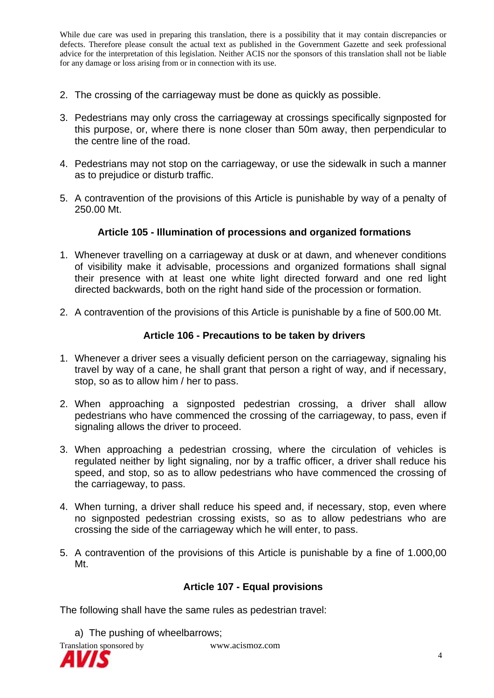- 2. The crossing of the carriageway must be done as quickly as possible.
- 3. Pedestrians may only cross the carriageway at crossings specifically signposted for this purpose, or, where there is none closer than 50m away, then perpendicular to the centre line of the road.
- 4. Pedestrians may not stop on the carriageway, or use the sidewalk in such a manner as to prejudice or disturb traffic.
- 5. A contravention of the provisions of this Article is punishable by way of a penalty of 250.00 Mt.

#### **Article 105 - Illumination of processions and organized formations**

- 1. Whenever travelling on a carriageway at dusk or at dawn, and whenever conditions of visibility make it advisable, processions and organized formations shall signal their presence with at least one white light directed forward and one red light directed backwards, both on the right hand side of the procession or formation.
- 2. A contravention of the provisions of this Article is punishable by a fine of 500.00 Mt.

#### **Article 106 - Precautions to be taken by drivers**

- 1. Whenever a driver sees a visually deficient person on the carriageway, signaling his travel by way of a cane, he shall grant that person a right of way, and if necessary, stop, so as to allow him / her to pass.
- 2. When approaching a signposted pedestrian crossing, a driver shall allow pedestrians who have commenced the crossing of the carriageway, to pass, even if signaling allows the driver to proceed.
- 3. When approaching a pedestrian crossing, where the circulation of vehicles is regulated neither by light signaling, nor by a traffic officer, a driver shall reduce his speed, and stop, so as to allow pedestrians who have commenced the crossing of the carriageway, to pass.
- 4. When turning, a driver shall reduce his speed and, if necessary, stop, even where no signposted pedestrian crossing exists, so as to allow pedestrians who are crossing the side of the carriageway which he will enter, to pass.
- 5. A contravention of the provisions of this Article is punishable by a fine of 1.000,00 Mt.

## **Article 107 - Equal provisions**

The following shall have the same rules as pedestrian travel:

a) The pushing of wheelbarrows;

Translation sponsored by www.acismoz.com

4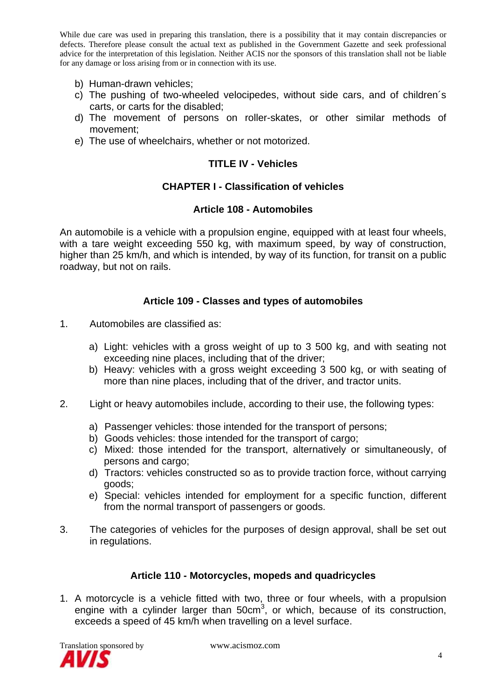- b) Human-drawn vehicles;
- c) The pushing of two-wheeled velocipedes, without side cars, and of children´s carts, or carts for the disabled;
- d) The movement of persons on roller-skates, or other similar methods of movement;
- e) The use of wheelchairs, whether or not motorized.

#### **TITLE IV - Vehicles**

#### **CHAPTER I - Classification of vehicles**

#### **Article 108 - Automobiles**

An automobile is a vehicle with a propulsion engine, equipped with at least four wheels, with a tare weight exceeding 550 kg, with maximum speed, by way of construction, higher than 25 km/h, and which is intended, by way of its function, for transit on a public roadway, but not on rails.

#### **Article 109 - Classes and types of automobiles**

- 1. Automobiles are classified as:
	- a) Light: vehicles with a gross weight of up to 3 500 kg, and with seating not exceeding nine places, including that of the driver;
	- b) Heavy: vehicles with a gross weight exceeding 3 500 kg, or with seating of more than nine places, including that of the driver, and tractor units.
- 2. Light or heavy automobiles include, according to their use, the following types:
	- a) Passenger vehicles: those intended for the transport of persons;
	- b) Goods vehicles: those intended for the transport of cargo;
	- c) Mixed: those intended for the transport, alternatively or simultaneously, of persons and cargo;
	- d) Tractors: vehicles constructed so as to provide traction force, without carrying goods;
	- e) Special: vehicles intended for employment for a specific function, different from the normal transport of passengers or goods.
- 3. The categories of vehicles for the purposes of design approval, shall be set out in regulations.

#### **Article 110 - Motorcycles, mopeds and quadricycles**

1. A motorcycle is a vehicle fitted with two, three or four wheels, with a propulsion engine with a cylinder larger than  $50 \text{cm}^3$ , or which, because of its construction, exceeds a speed of 45 km/h when travelling on a level surface.

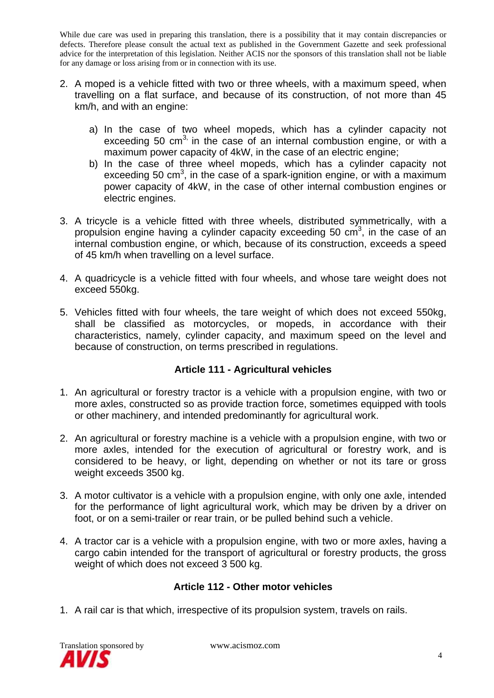- 2. A moped is a vehicle fitted with two or three wheels, with a maximum speed, when travelling on a flat surface, and because of its construction, of not more than 45 km/h, and with an engine:
	- a) In the case of two wheel mopeds, which has a cylinder capacity not exceeding 50  $\text{cm}^3$  in the case of an internal combustion engine, or with a maximum power capacity of 4kW, in the case of an electric engine;
	- b) In the case of three wheel mopeds, which has a cylinder capacity not exceeding 50 cm<sup>3</sup>, in the case of a spark-ignition engine, or with a maximum power capacity of 4kW, in the case of other internal combustion engines or electric engines.
- 3. A tricycle is a vehicle fitted with three wheels, distributed symmetrically, with a propulsion engine having a cylinder capacity exceeding 50  $\text{cm}^3$ , in the case of an internal combustion engine, or which, because of its construction, exceeds a speed of 45 km/h when travelling on a level surface.
- 4. A quadricycle is a vehicle fitted with four wheels, and whose tare weight does not exceed 550kg.
- 5. Vehicles fitted with four wheels, the tare weight of which does not exceed 550kg, shall be classified as motorcycles, or mopeds, in accordance with their characteristics, namely, cylinder capacity, and maximum speed on the level and because of construction, on terms prescribed in regulations.

# **Article 111 - Agricultural vehicles**

- 1. An agricultural or forestry tractor is a vehicle with a propulsion engine, with two or more axles, constructed so as provide traction force, sometimes equipped with tools or other machinery, and intended predominantly for agricultural work.
- 2. An agricultural or forestry machine is a vehicle with a propulsion engine, with two or more axles, intended for the execution of agricultural or forestry work, and is considered to be heavy, or light, depending on whether or not its tare or gross weight exceeds 3500 kg.
- 3. A motor cultivator is a vehicle with a propulsion engine, with only one axle, intended for the performance of light agricultural work, which may be driven by a driver on foot, or on a semi-trailer or rear train, or be pulled behind such a vehicle.
- 4. A tractor car is a vehicle with a propulsion engine, with two or more axles, having a cargo cabin intended for the transport of agricultural or forestry products, the gross weight of which does not exceed 3 500 kg.

# **Article 112 - Other motor vehicles**

1. A rail car is that which, irrespective of its propulsion system, travels on rails.

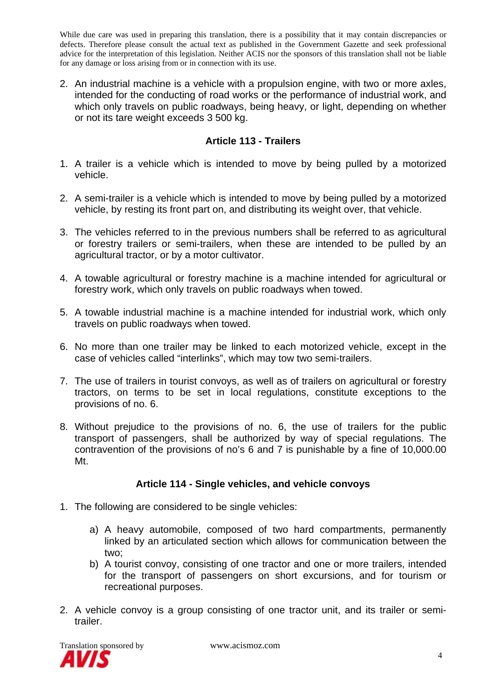2. An industrial machine is a vehicle with a propulsion engine, with two or more axles, intended for the conducting of road works or the performance of industrial work, and which only travels on public roadways, being heavy, or light, depending on whether or not its tare weight exceeds 3 500 kg.

# **Article 113 - Trailers**

- 1. A trailer is a vehicle which is intended to move by being pulled by a motorized vehicle.
- 2. A semi-trailer is a vehicle which is intended to move by being pulled by a motorized vehicle, by resting its front part on, and distributing its weight over, that vehicle.
- 3. The vehicles referred to in the previous numbers shall be referred to as agricultural or forestry trailers or semi-trailers, when these are intended to be pulled by an agricultural tractor, or by a motor cultivator.
- 4. A towable agricultural or forestry machine is a machine intended for agricultural or forestry work, which only travels on public roadways when towed.
- 5. A towable industrial machine is a machine intended for industrial work, which only travels on public roadways when towed.
- 6. No more than one trailer may be linked to each motorized vehicle, except in the case of vehicles called "interlinks", which may tow two semi-trailers.
- 7. The use of trailers in tourist convoys, as well as of trailers on agricultural or forestry tractors, on terms to be set in local regulations, constitute exceptions to the provisions of no. 6.
- 8. Without prejudice to the provisions of no. 6, the use of trailers for the public transport of passengers, shall be authorized by way of special regulations. The contravention of the provisions of no's 6 and 7 is punishable by a fine of 10,000.00 Mt.

## **Article 114 - Single vehicles, and vehicle convoys**

- 1. The following are considered to be single vehicles:
	- a) A heavy automobile, composed of two hard compartments, permanently linked by an articulated section which allows for communication between the two;
	- b) A tourist convoy, consisting of one tractor and one or more trailers, intended for the transport of passengers on short excursions, and for tourism or recreational purposes.
- 2. A vehicle convoy is a group consisting of one tractor unit, and its trailer or semitrailer.

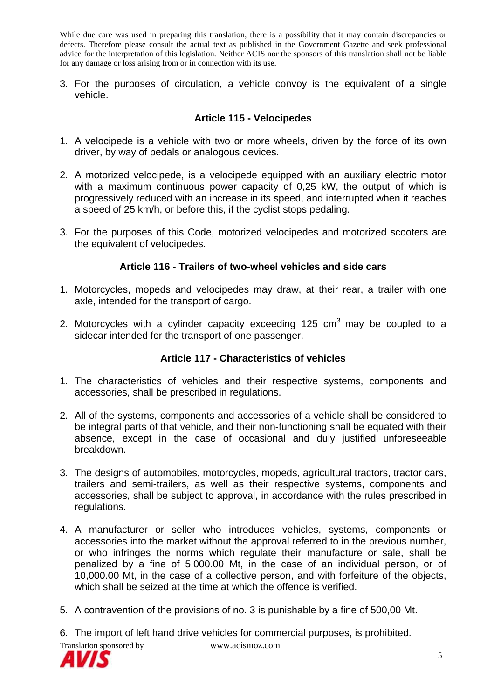3. For the purposes of circulation, a vehicle convoy is the equivalent of a single vehicle.

## **Article 115 - Velocipedes**

- 1. A velocipede is a vehicle with two or more wheels, driven by the force of its own driver, by way of pedals or analogous devices.
- 2. A motorized velocipede, is a velocipede equipped with an auxiliary electric motor with a maximum continuous power capacity of 0,25 kW, the output of which is progressively reduced with an increase in its speed, and interrupted when it reaches a speed of 25 km/h, or before this, if the cyclist stops pedaling.
- 3. For the purposes of this Code, motorized velocipedes and motorized scooters are the equivalent of velocipedes.

## **Article 116 - Trailers of two-wheel vehicles and side cars**

- 1. Motorcycles, mopeds and velocipedes may draw, at their rear, a trailer with one axle, intended for the transport of cargo.
- 2. Motorcycles with a cylinder capacity exceeding  $125 \text{ cm}^3$  may be coupled to a sidecar intended for the transport of one passenger.

## **Article 117 - Characteristics of vehicles**

- 1. The characteristics of vehicles and their respective systems, components and accessories, shall be prescribed in regulations.
- 2. All of the systems, components and accessories of a vehicle shall be considered to be integral parts of that vehicle, and their non-functioning shall be equated with their absence, except in the case of occasional and duly justified unforeseeable breakdown.
- 3. The designs of automobiles, motorcycles, mopeds, agricultural tractors, tractor cars, trailers and semi-trailers, as well as their respective systems, components and accessories, shall be subject to approval, in accordance with the rules prescribed in regulations.
- 4. A manufacturer or seller who introduces vehicles, systems, components or accessories into the market without the approval referred to in the previous number, or who infringes the norms which regulate their manufacture or sale, shall be penalized by a fine of 5,000.00 Mt, in the case of an individual person, or of 10,000.00 Mt, in the case of a collective person, and with forfeiture of the objects, which shall be seized at the time at which the offence is verified.
- 5. A contravention of the provisions of no. 3 is punishable by a fine of 500,00 Mt.

6. The import of left hand drive vehicles for commercial purposes, is prohibited.



Translation sponsored by www.acismoz.com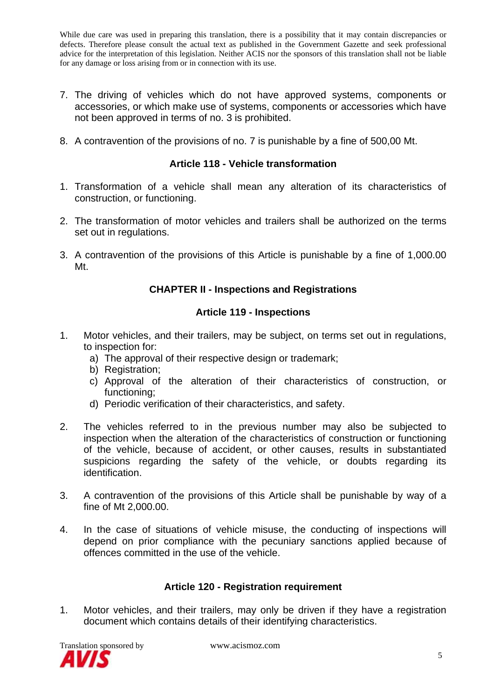- 7. The driving of vehicles which do not have approved systems, components or accessories, or which make use of systems, components or accessories which have not been approved in terms of no. 3 is prohibited.
- 8. A contravention of the provisions of no. 7 is punishable by a fine of 500,00 Mt.

#### **Article 118 - Vehicle transformation**

- 1. Transformation of a vehicle shall mean any alteration of its characteristics of construction, or functioning.
- 2. The transformation of motor vehicles and trailers shall be authorized on the terms set out in regulations.
- 3. A contravention of the provisions of this Article is punishable by a fine of 1,000.00 Mt.

## **CHAPTER II - Inspections and Registrations**

#### **Article 119 - Inspections**

- 1. Motor vehicles, and their trailers, may be subject, on terms set out in regulations, to inspection for:
	- a) The approval of their respective design or trademark;
	- b) Registration;
	- c) Approval of the alteration of their characteristics of construction, or functioning;
	- d) Periodic verification of their characteristics, and safety.
- 2. The vehicles referred to in the previous number may also be subjected to inspection when the alteration of the characteristics of construction or functioning of the vehicle, because of accident, or other causes, results in substantiated suspicions regarding the safety of the vehicle, or doubts regarding its identification.
- 3. A contravention of the provisions of this Article shall be punishable by way of a fine of Mt 2,000.00.
- 4. In the case of situations of vehicle misuse, the conducting of inspections will depend on prior compliance with the pecuniary sanctions applied because of offences committed in the use of the vehicle.

## **Article 120 - Registration requirement**

1. Motor vehicles, and their trailers, may only be driven if they have a registration document which contains details of their identifying characteristics.

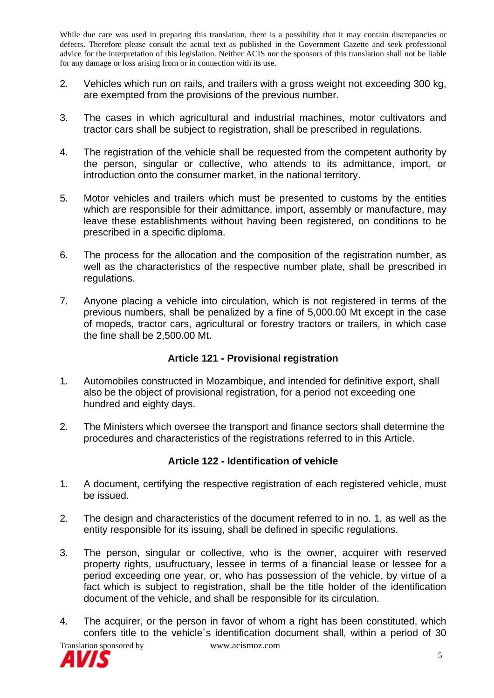- 2. Vehicles which run on rails, and trailers with a gross weight not exceeding 300 kg, are exempted from the provisions of the previous number.
- 3. The cases in which agricultural and industrial machines, motor cultivators and tractor cars shall be subject to registration, shall be prescribed in regulations.
- 4. The registration of the vehicle shall be requested from the competent authority by the person, singular or collective, who attends to its admittance, import, or introduction onto the consumer market, in the national territory.
- 5. Motor vehicles and trailers which must be presented to customs by the entities which are responsible for their admittance, import, assembly or manufacture, may leave these establishments without having been registered, on conditions to be prescribed in a specific diploma.
- 6. The process for the allocation and the composition of the registration number, as well as the characteristics of the respective number plate, shall be prescribed in regulations.
- 7. Anyone placing a vehicle into circulation, which is not registered in terms of the previous numbers, shall be penalized by a fine of 5,000.00 Mt except in the case of mopeds, tractor cars, agricultural or forestry tractors or trailers, in which case the fine shall be 2,500.00 Mt.

## **Article 121 - Provisional registration**

- 1. Automobiles constructed in Mozambique, and intended for definitive export, shall also be the object of provisional registration, for a period not exceeding one hundred and eighty days.
- 2. The Ministers which oversee the transport and finance sectors shall determine the procedures and characteristics of the registrations referred to in this Article.

## **Article 122 - Identification of vehicle**

- 1. A document, certifying the respective registration of each registered vehicle, must be issued.
- 2. The design and characteristics of the document referred to in no. 1, as well as the entity responsible for its issuing, shall be defined in specific regulations.
- 3. The person, singular or collective, who is the owner, acquirer with reserved property rights, usufructuary, lessee in terms of a financial lease or lessee for a period exceeding one year, or, who has possession of the vehicle, by virtue of a fact which is subject to registration, shall be the title holder of the identification document of the vehicle, and shall be responsible for its circulation.
- 4. The acquirer, or the person in favor of whom a right has been constituted, which confers title to the vehicle´s identification document shall, within a period of 30

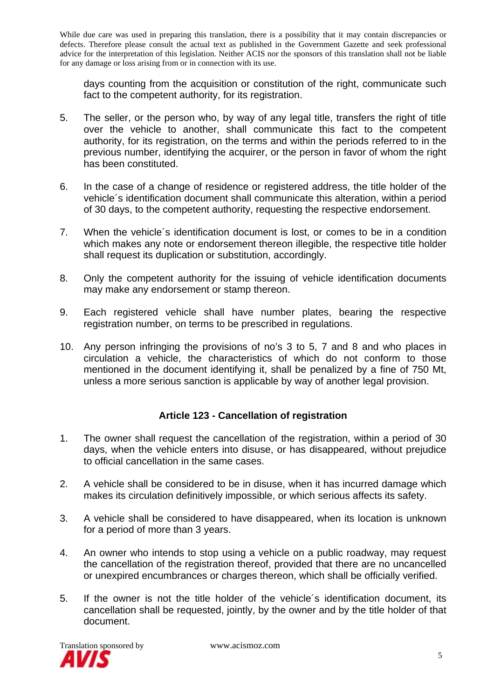days counting from the acquisition or constitution of the right, communicate such fact to the competent authority, for its registration.

- 5. The seller, or the person who, by way of any legal title, transfers the right of title over the vehicle to another, shall communicate this fact to the competent authority, for its registration, on the terms and within the periods referred to in the previous number, identifying the acquirer, or the person in favor of whom the right has been constituted.
- 6. In the case of a change of residence or registered address, the title holder of the vehicle´s identification document shall communicate this alteration, within a period of 30 days, to the competent authority, requesting the respective endorsement.
- 7. When the vehicle´s identification document is lost, or comes to be in a condition which makes any note or endorsement thereon illegible, the respective title holder shall request its duplication or substitution, accordingly.
- 8. Only the competent authority for the issuing of vehicle identification documents may make any endorsement or stamp thereon.
- 9. Each registered vehicle shall have number plates, bearing the respective registration number, on terms to be prescribed in regulations.
- 10. Any person infringing the provisions of no's 3 to 5, 7 and 8 and who places in circulation a vehicle, the characteristics of which do not conform to those mentioned in the document identifying it, shall be penalized by a fine of 750 Mt, unless a more serious sanction is applicable by way of another legal provision.

## **Article 123 - Cancellation of registration**

- 1. The owner shall request the cancellation of the registration, within a period of 30 days, when the vehicle enters into disuse, or has disappeared, without prejudice to official cancellation in the same cases.
- 2. A vehicle shall be considered to be in disuse, when it has incurred damage which makes its circulation definitively impossible, or which serious affects its safety.
- 3. A vehicle shall be considered to have disappeared, when its location is unknown for a period of more than 3 years.
- 4. An owner who intends to stop using a vehicle on a public roadway, may request the cancellation of the registration thereof, provided that there are no uncancelled or unexpired encumbrances or charges thereon, which shall be officially verified.
- 5. If the owner is not the title holder of the vehicle´s identification document, its cancellation shall be requested, jointly, by the owner and by the title holder of that document.

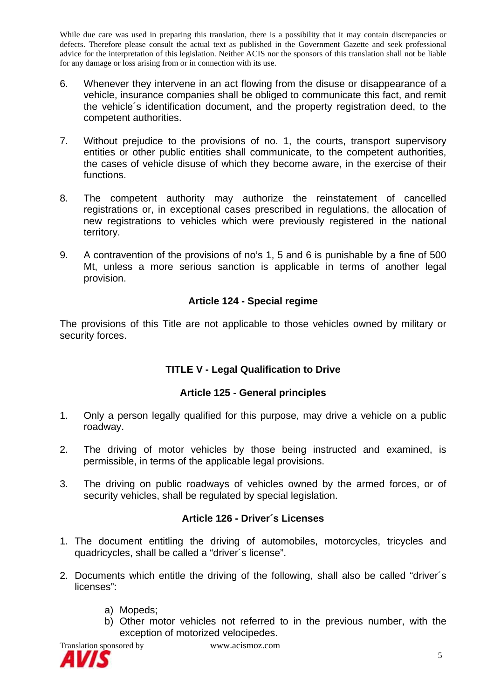- 6. Whenever they intervene in an act flowing from the disuse or disappearance of a vehicle, insurance companies shall be obliged to communicate this fact, and remit the vehicle´s identification document, and the property registration deed, to the competent authorities.
- 7. Without prejudice to the provisions of no. 1, the courts, transport supervisory entities or other public entities shall communicate, to the competent authorities, the cases of vehicle disuse of which they become aware, in the exercise of their functions.
- 8. The competent authority may authorize the reinstatement of cancelled registrations or, in exceptional cases prescribed in regulations, the allocation of new registrations to vehicles which were previously registered in the national territory.
- 9. A contravention of the provisions of no's 1, 5 and 6 is punishable by a fine of 500 Mt, unless a more serious sanction is applicable in terms of another legal provision.

# **Article 124 - Special regime**

The provisions of this Title are not applicable to those vehicles owned by military or security forces.

# **TITLE V - Legal Qualification to Drive**

# **Article 125 - General principles**

- 1. Only a person legally qualified for this purpose, may drive a vehicle on a public roadway.
- 2. The driving of motor vehicles by those being instructed and examined, is permissible, in terms of the applicable legal provisions.
- 3. The driving on public roadways of vehicles owned by the armed forces, or of security vehicles, shall be regulated by special legislation.

# **Article 126 - Driver´s Licenses**

- 1. The document entitling the driving of automobiles, motorcycles, tricycles and quadricycles, shall be called a "driver´s license".
- 2. Documents which entitle the driving of the following, shall also be called "driver´s licenses":
	- a) Mopeds;
	- b) Other motor vehicles not referred to in the previous number, with the exception of motorized velocipedes.



Translation sponsored by www.acismoz.com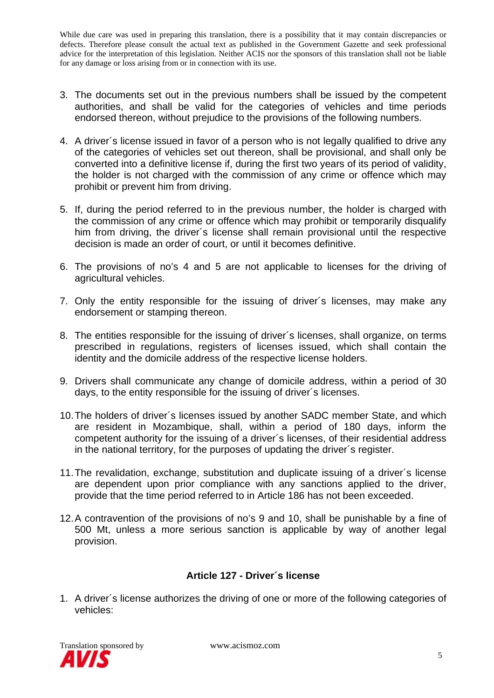- 3. The documents set out in the previous numbers shall be issued by the competent authorities, and shall be valid for the categories of vehicles and time periods endorsed thereon, without prejudice to the provisions of the following numbers.
- 4. A driver´s license issued in favor of a person who is not legally qualified to drive any of the categories of vehicles set out thereon, shall be provisional, and shall only be converted into a definitive license if, during the first two years of its period of validity, the holder is not charged with the commission of any crime or offence which may prohibit or prevent him from driving.
- 5. If, during the period referred to in the previous number, the holder is charged with the commission of any crime or offence which may prohibit or temporarily disqualify him from driving, the driver´s license shall remain provisional until the respective decision is made an order of court, or until it becomes definitive.
- 6. The provisions of no's 4 and 5 are not applicable to licenses for the driving of agricultural vehicles.
- 7. Only the entity responsible for the issuing of driver´s licenses, may make any endorsement or stamping thereon.
- 8. The entities responsible for the issuing of driver´s licenses, shall organize, on terms prescribed in regulations, registers of licenses issued, which shall contain the identity and the domicile address of the respective license holders.
- 9. Drivers shall communicate any change of domicile address, within a period of 30 days, to the entity responsible for the issuing of driver´s licenses.
- 10. The holders of driver´s licenses issued by another SADC member State, and which are resident in Mozambique, shall, within a period of 180 days, inform the competent authority for the issuing of a driver´s licenses, of their residential address in the national territory, for the purposes of updating the driver´s register.
- 11. The revalidation, exchange, substitution and duplicate issuing of a driver´s license are dependent upon prior compliance with any sanctions applied to the driver, provide that the time period referred to in Article 186 has not been exceeded.
- 12. A contravention of the provisions of no's 9 and 10, shall be punishable by a fine of 500 Mt, unless a more serious sanction is applicable by way of another legal provision.

## **Article 127 - Driver´s license**

1. A driver´s license authorizes the driving of one or more of the following categories of vehicles:

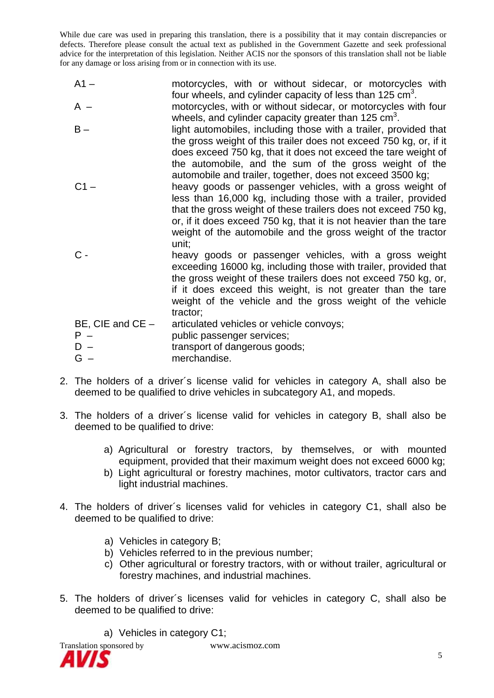- A1 motorcycles, with or without sidecar, or motorcycles with four wheels, and cylinder capacity of less than 125  $\text{cm}^3$ . A – motorcycles, with or without sidecar, or motorcycles with four
- wheels, and cylinder capacity greater than 125  $\textsf{cm}^{3}$ . B – light automobiles, including those with a trailer, provided that the gross weight of this trailer does not exceed 750 kg, or, if it
	- does exceed 750 kg, that it does not exceed the tare weight of the automobile, and the sum of the gross weight of the automobile and trailer, together, does not exceed 3500 kg;
- C1 heavy goods or passenger vehicles, with a gross weight of less than 16,000 kg, including those with a trailer, provided that the gross weight of these trailers does not exceed 750 kg, or, if it does exceed 750 kg, that it is not heavier than the tare weight of the automobile and the gross weight of the tractor unit;
- C heavy goods or passenger vehicles, with a gross weight exceeding 16000 kg, including those with trailer, provided that the gross weight of these trailers does not exceed 750 kg, or, if it does exceed this weight, is not greater than the tare weight of the vehicle and the gross weight of the vehicle tractor;

BE, CIE and CE – articulated vehicles or vehicle convoys; P – public passenger services; D – transport of dangerous goods; G – merchandise.

- 2. The holders of a driver´s license valid for vehicles in category A, shall also be deemed to be qualified to drive vehicles in subcategory A1, and mopeds.
- 3. The holders of a driver´s license valid for vehicles in category B, shall also be deemed to be qualified to drive:
	- a) Agricultural or forestry tractors, by themselves, or with mounted equipment, provided that their maximum weight does not exceed 6000 kg;
	- b) Light agricultural or forestry machines, motor cultivators, tractor cars and light industrial machines.
- 4. The holders of driver´s licenses valid for vehicles in category C1, shall also be deemed to be qualified to drive:
	- a) Vehicles in category B;
	- b) Vehicles referred to in the previous number;
	- c) Other agricultural or forestry tractors, with or without trailer, agricultural or forestry machines, and industrial machines.
- 5. The holders of driver´s licenses valid for vehicles in category C, shall also be deemed to be qualified to drive:

a) Vehicles in category C1;

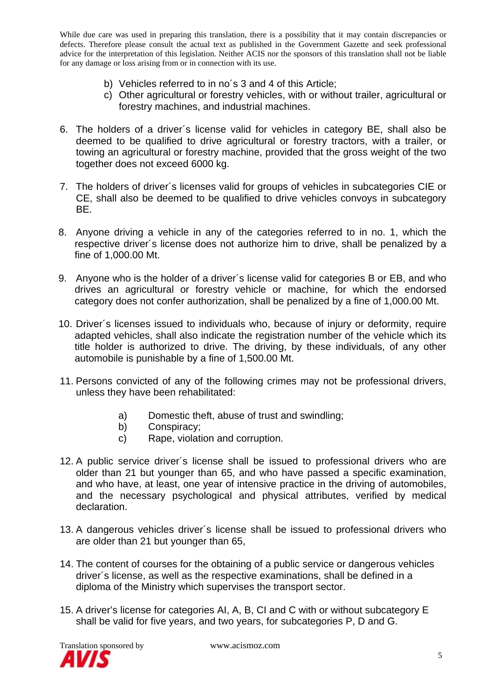- b) Vehicles referred to in no´s 3 and 4 of this Article;
- c) Other agricultural or forestry vehicles, with or without trailer, agricultural or forestry machines, and industrial machines.
- 6. The holders of a driver´s license valid for vehicles in category BE, shall also be deemed to be qualified to drive agricultural or forestry tractors, with a trailer, or towing an agricultural or forestry machine, provided that the gross weight of the two together does not exceed 6000 kg.
- 7. The holders of driver´s licenses valid for groups of vehicles in subcategories CIE or CE, shall also be deemed to be qualified to drive vehicles convoys in subcategory BE.
- 8. Anyone driving a vehicle in any of the categories referred to in no. 1, which the respective driver´s license does not authorize him to drive, shall be penalized by a fine of 1,000.00 Mt.
- 9. Anyone who is the holder of a driver´s license valid for categories B or EB, and who drives an agricultural or forestry vehicle or machine, for which the endorsed category does not confer authorization, shall be penalized by a fine of 1,000.00 Mt.
- 10. Driver´s licenses issued to individuals who, because of injury or deformity, require adapted vehicles, shall also indicate the registration number of the vehicle which its title holder is authorized to drive. The driving, by these individuals, of any other automobile is punishable by a fine of 1,500.00 Mt.
- 11. Persons convicted of any of the following crimes may not be professional drivers, unless they have been rehabilitated:
	- a) Domestic theft, abuse of trust and swindling;
	- b) Conspiracy;
	- c) Rape, violation and corruption.
- 12. A public service driver´s license shall be issued to professional drivers who are older than 21 but younger than 65, and who have passed a specific examination, and who have, at least, one year of intensive practice in the driving of automobiles, and the necessary psychological and physical attributes, verified by medical declaration.
- 13. A dangerous vehicles driver´s license shall be issued to professional drivers who are older than 21 but younger than 65,
- 14. The content of courses for the obtaining of a public service or dangerous vehicles driver´s license, as well as the respective examinations, shall be defined in a diploma of the Ministry which supervises the transport sector.
- 15. A driver's license for categories AI, A, B, CI and C with or without subcategory E shall be valid for five years, and two years, for subcategories P, D and G.

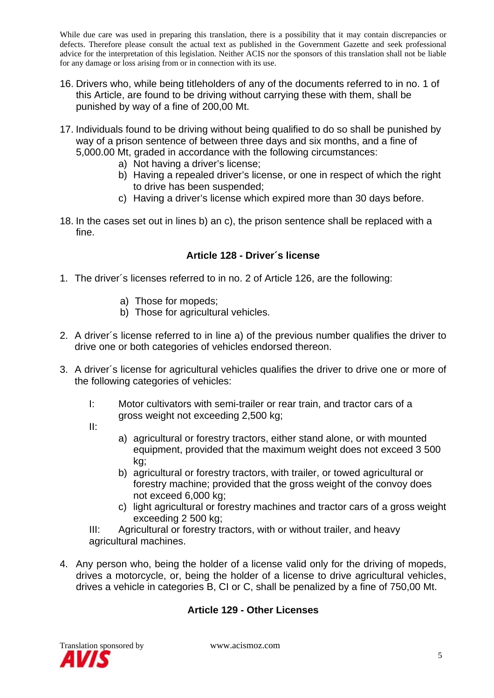- 16. Drivers who, while being titleholders of any of the documents referred to in no. 1 of this Article, are found to be driving without carrying these with them, shall be punished by way of a fine of 200,00 Mt.
- 17. Individuals found to be driving without being qualified to do so shall be punished by way of a prison sentence of between three days and six months, and a fine of 5,000.00 Mt, graded in accordance with the following circumstances:
	- a) Not having a driver's license;
	- b) Having a repealed driver's license, or one in respect of which the right to drive has been suspended;
	- c) Having a driver's license which expired more than 30 days before.
- 18. In the cases set out in lines b) an c), the prison sentence shall be replaced with a fine.

## **Article 128 - Driver´s license**

- 1. The driver´s licenses referred to in no. 2 of Article 126, are the following:
	- a) Those for mopeds;
	- b) Those for agricultural vehicles.
- 2. A driver´s license referred to in line a) of the previous number qualifies the driver to drive one or both categories of vehicles endorsed thereon.
- 3. A driver´s license for agricultural vehicles qualifies the driver to drive one or more of the following categories of vehicles:
	- I: Motor cultivators with semi-trailer or rear train, and tractor cars of a gross weight not exceeding 2,500 kg;
	- II:
- a) agricultural or forestry tractors, either stand alone, or with mounted equipment, provided that the maximum weight does not exceed 3 500 kg;
- b) agricultural or forestry tractors, with trailer, or towed agricultural or forestry machine; provided that the gross weight of the convoy does not exceed 6,000 kg;
- c) light agricultural or forestry machines and tractor cars of a gross weight exceeding 2 500 kg;

III: Agricultural or forestry tractors, with or without trailer, and heavy agricultural machines.

4. Any person who, being the holder of a license valid only for the driving of mopeds, drives a motorcycle, or, being the holder of a license to drive agricultural vehicles, drives a vehicle in categories B, CI or C, shall be penalized by a fine of 750,00 Mt.

## **Article 129 - Other Licenses**

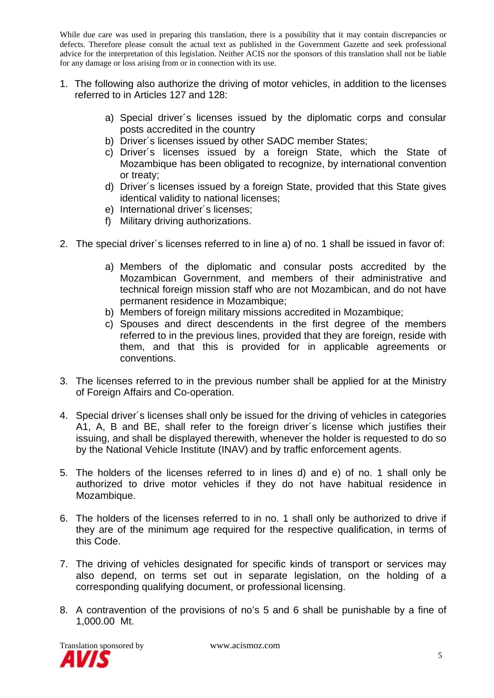- 1. The following also authorize the driving of motor vehicles, in addition to the licenses referred to in Articles 127 and 128:
	- a) Special driver´s licenses issued by the diplomatic corps and consular posts accredited in the country
	- b) Driver´s licenses issued by other SADC member States;
	- c) Driver´s licenses issued by a foreign State, which the State of Mozambique has been obligated to recognize, by international convention or treaty;
	- d) Driver´s licenses issued by a foreign State, provided that this State gives identical validity to national licenses;
	- e) International driver´s licenses;
	- f) Military driving authorizations.
- 2. The special driver´s licenses referred to in line a) of no. 1 shall be issued in favor of:
	- a) Members of the diplomatic and consular posts accredited by the Mozambican Government, and members of their administrative and technical foreign mission staff who are not Mozambican, and do not have permanent residence in Mozambique;
	- b) Members of foreign military missions accredited in Mozambique;
	- c) Spouses and direct descendents in the first degree of the members referred to in the previous lines, provided that they are foreign, reside with them, and that this is provided for in applicable agreements or conventions.
- 3. The licenses referred to in the previous number shall be applied for at the Ministry of Foreign Affairs and Co-operation.
- 4. Special driver´s licenses shall only be issued for the driving of vehicles in categories A1, A, B and BE, shall refer to the foreign driver´s license which justifies their issuing, and shall be displayed therewith, whenever the holder is requested to do so by the National Vehicle Institute (INAV) and by traffic enforcement agents.
- 5. The holders of the licenses referred to in lines d) and e) of no. 1 shall only be authorized to drive motor vehicles if they do not have habitual residence in Mozambique.
- 6. The holders of the licenses referred to in no. 1 shall only be authorized to drive if they are of the minimum age required for the respective qualification, in terms of this Code.
- 7. The driving of vehicles designated for specific kinds of transport or services may also depend, on terms set out in separate legislation, on the holding of a corresponding qualifying document, or professional licensing.
- 8. A contravention of the provisions of no's 5 and 6 shall be punishable by a fine of 1,000.00 Mt.

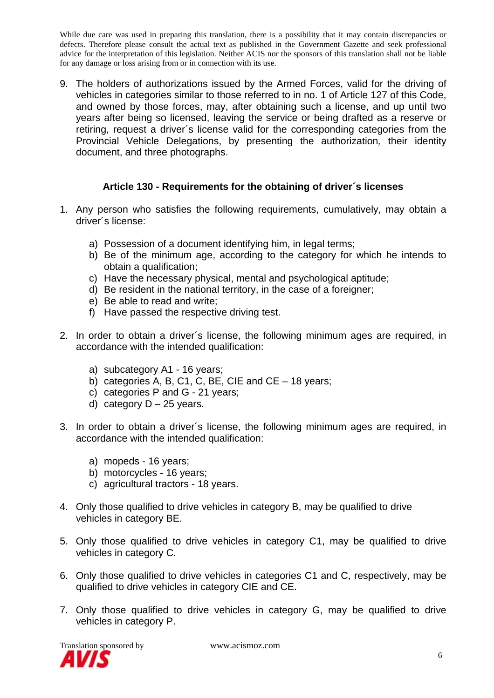9. The holders of authorizations issued by the Armed Forces, valid for the driving of vehicles in categories similar to those referred to in no. 1 of Article 127 of this Code, and owned by those forces, may, after obtaining such a license, and up until two years after being so licensed, leaving the service or being drafted as a reserve or retiring, request a driver´s license valid for the corresponding categories from the Provincial Vehicle Delegations, by presenting the authorization*,* their identity document, and three photographs.

## **Article 130 - Requirements for the obtaining of driver´s licenses**

- 1. Any person who satisfies the following requirements, cumulatively, may obtain a driver´s license:
	- a) Possession of a document identifying him, in legal terms;
	- b) Be of the minimum age, according to the category for which he intends to obtain a qualification;
	- c) Have the necessary physical, mental and psychological aptitude;
	- d) Be resident in the national territory, in the case of a foreigner;
	- e) Be able to read and write;
	- f) Have passed the respective driving test.
- 2. In order to obtain a driver´s license, the following minimum ages are required, in accordance with the intended qualification:
	- a) subcategory A1 16 years;
	- b) categories A, B, C1, C, BE, CIE and CE 18 years;
	- c) categories P and G 21 years;
	- d) category  $D 25$  years.
- 3. In order to obtain a driver´s license, the following minimum ages are required, in accordance with the intended qualification:
	- a) mopeds 16 years;
	- b) motorcycles 16 years;
	- c) agricultural tractors 18 years.
- 4. Only those qualified to drive vehicles in category B, may be qualified to drive vehicles in category BE.
- 5. Only those qualified to drive vehicles in category C1, may be qualified to drive vehicles in category C.
- 6. Only those qualified to drive vehicles in categories C1 and C, respectively, may be qualified to drive vehicles in category CIE and CE.
- 7. Only those qualified to drive vehicles in category G, may be qualified to drive vehicles in category P.

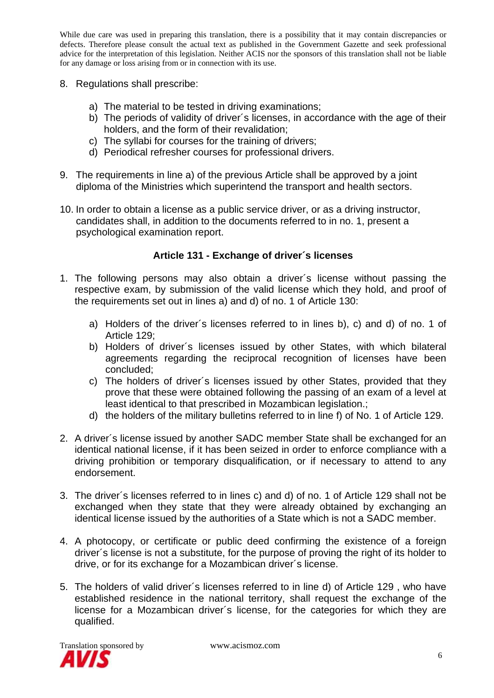- 8. Regulations shall prescribe:
	- a) The material to be tested in driving examinations;
	- b) The periods of validity of driver´s licenses, in accordance with the age of their holders, and the form of their revalidation;
	- c) The syllabi for courses for the training of drivers;
	- d) Periodical refresher courses for professional drivers.
- 9. The requirements in line a) of the previous Article shall be approved by a joint diploma of the Ministries which superintend the transport and health sectors.
- 10. In order to obtain a license as a public service driver, or as a driving instructor, candidates shall, in addition to the documents referred to in no. 1, present a psychological examination report.

# **Article 131 - Exchange of driver´s licenses**

- 1. The following persons may also obtain a driver´s license without passing the respective exam, by submission of the valid license which they hold, and proof of the requirements set out in lines a) and d) of no. 1 of Article 130:
	- a) Holders of the driver´s licenses referred to in lines b), c) and d) of no. 1 of Article 129;
	- b) Holders of driver´s licenses issued by other States, with which bilateral agreements regarding the reciprocal recognition of licenses have been concluded;
	- c) The holders of driver´s licenses issued by other States, provided that they prove that these were obtained following the passing of an exam of a level at least identical to that prescribed in Mozambican legislation.;
	- d) the holders of the military bulletins referred to in line f) of No. 1 of Article 129.
- 2. A driver´s license issued by another SADC member State shall be exchanged for an identical national license, if it has been seized in order to enforce compliance with a driving prohibition or temporary disqualification, or if necessary to attend to any endorsement.
- 3. The driver´s licenses referred to in lines c) and d) of no. 1 of Article 129 shall not be exchanged when they state that they were already obtained by exchanging an identical license issued by the authorities of a State which is not a SADC member.
- 4. A photocopy, or certificate or public deed confirming the existence of a foreign driver´s license is not a substitute, for the purpose of proving the right of its holder to drive, or for its exchange for a Mozambican driver´s license.
- 5. The holders of valid driver´s licenses referred to in line d) of Article 129 , who have established residence in the national territory, shall request the exchange of the license for a Mozambican driver´s license, for the categories for which they are qualified.

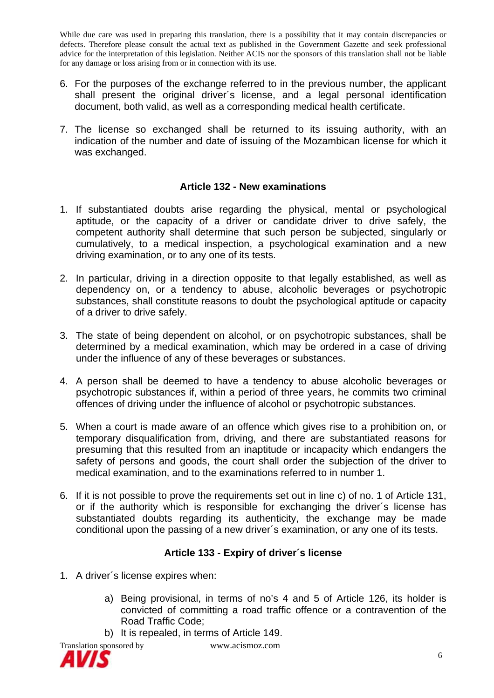- 6. For the purposes of the exchange referred to in the previous number, the applicant shall present the original driver´s license, and a legal personal identification document, both valid, as well as a corresponding medical health certificate.
- 7. The license so exchanged shall be returned to its issuing authority, with an indication of the number and date of issuing of the Mozambican license for which it was exchanged.

#### **Article 132 - New examinations**

- 1. If substantiated doubts arise regarding the physical, mental or psychological aptitude, or the capacity of a driver or candidate driver to drive safely, the competent authority shall determine that such person be subjected, singularly or cumulatively, to a medical inspection, a psychological examination and a new driving examination, or to any one of its tests.
- 2. In particular, driving in a direction opposite to that legally established, as well as dependency on, or a tendency to abuse, alcoholic beverages or psychotropic substances, shall constitute reasons to doubt the psychological aptitude or capacity of a driver to drive safely.
- 3. The state of being dependent on alcohol, or on psychotropic substances, shall be determined by a medical examination, which may be ordered in a case of driving under the influence of any of these beverages or substances.
- 4. A person shall be deemed to have a tendency to abuse alcoholic beverages or psychotropic substances if, within a period of three years, he commits two criminal offences of driving under the influence of alcohol or psychotropic substances.
- 5. When a court is made aware of an offence which gives rise to a prohibition on, or temporary disqualification from, driving, and there are substantiated reasons for presuming that this resulted from an inaptitude or incapacity which endangers the safety of persons and goods, the court shall order the subjection of the driver to medical examination, and to the examinations referred to in number 1.
- 6. If it is not possible to prove the requirements set out in line c) of no. 1 of Article 131, or if the authority which is responsible for exchanging the driver´s license has substantiated doubts regarding its authenticity, the exchange may be made conditional upon the passing of a new driver´s examination, or any one of its tests.

#### **Article 133 - Expiry of driver´s license**

- 1. A driver´s license expires when:
	- a) Being provisional, in terms of no's 4 and 5 of Article 126, its holder is convicted of committing a road traffic offence or a contravention of the Road Traffic Code;
	- b) It is repealed, in terms of Article 149.



Translation sponsored by www.acismoz.com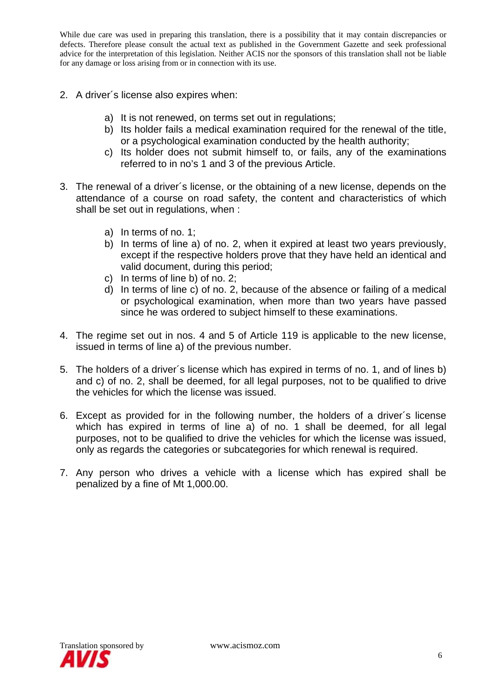- 2. A driver´s license also expires when:
	- a) It is not renewed, on terms set out in regulations;
	- b) Its holder fails a medical examination required for the renewal of the title, or a psychological examination conducted by the health authority;
	- c) Its holder does not submit himself to, or fails, any of the examinations referred to in no's 1 and 3 of the previous Article.
- 3. The renewal of a driver´s license, or the obtaining of a new license, depends on the attendance of a course on road safety, the content and characteristics of which shall be set out in regulations, when :
	- a) In terms of no. 1;
	- b) In terms of line a) of no. 2, when it expired at least two years previously, except if the respective holders prove that they have held an identical and valid document, during this period;
	- c) In terms of line b) of no. 2;
	- d) In terms of line c) of no. 2, because of the absence or failing of a medical or psychological examination, when more than two years have passed since he was ordered to subject himself to these examinations.
- 4. The regime set out in nos. 4 and 5 of Article 119 is applicable to the new license, issued in terms of line a) of the previous number.
- 5. The holders of a driver´s license which has expired in terms of no. 1, and of lines b) and c) of no. 2, shall be deemed, for all legal purposes, not to be qualified to drive the vehicles for which the license was issued.
- 6. Except as provided for in the following number, the holders of a driver´s license which has expired in terms of line a) of no. 1 shall be deemed, for all legal purposes, not to be qualified to drive the vehicles for which the license was issued, only as regards the categories or subcategories for which renewal is required.
- 7. Any person who drives a vehicle with a license which has expired shall be penalized by a fine of Mt 1,000.00.

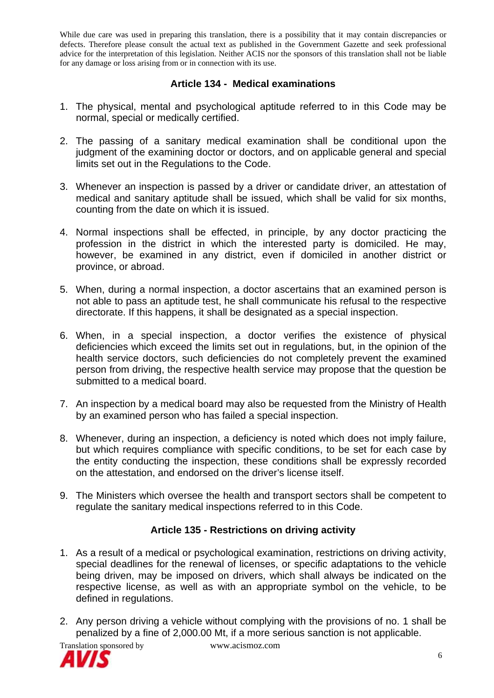## **Article 134 - Medical examinations**

- 1. The physical, mental and psychological aptitude referred to in this Code may be normal, special or medically certified.
- 2. The passing of a sanitary medical examination shall be conditional upon the judgment of the examining doctor or doctors, and on applicable general and special limits set out in the Regulations to the Code.
- 3. Whenever an inspection is passed by a driver or candidate driver, an attestation of medical and sanitary aptitude shall be issued, which shall be valid for six months, counting from the date on which it is issued.
- 4. Normal inspections shall be effected, in principle, by any doctor practicing the profession in the district in which the interested party is domiciled. He may, however, be examined in any district, even if domiciled in another district or province, or abroad.
- 5. When, during a normal inspection, a doctor ascertains that an examined person is not able to pass an aptitude test, he shall communicate his refusal to the respective directorate. If this happens, it shall be designated as a special inspection.
- 6. When, in a special inspection, a doctor verifies the existence of physical deficiencies which exceed the limits set out in regulations, but, in the opinion of the health service doctors, such deficiencies do not completely prevent the examined person from driving, the respective health service may propose that the question be submitted to a medical board.
- 7. An inspection by a medical board may also be requested from the Ministry of Health by an examined person who has failed a special inspection.
- 8. Whenever, during an inspection, a deficiency is noted which does not imply failure, but which requires compliance with specific conditions, to be set for each case by the entity conducting the inspection, these conditions shall be expressly recorded on the attestation, and endorsed on the driver's license itself.
- 9. The Ministers which oversee the health and transport sectors shall be competent to regulate the sanitary medical inspections referred to in this Code.

# **Article 135 - Restrictions on driving activity**

- 1. As a result of a medical or psychological examination, restrictions on driving activity, special deadlines for the renewal of licenses, or specific adaptations to the vehicle being driven, may be imposed on drivers, which shall always be indicated on the respective license, as well as with an appropriate symbol on the vehicle, to be defined in regulations.
- 2. Any person driving a vehicle without complying with the provisions of no. 1 shall be penalized by a fine of 2,000.00 Mt, if a more serious sanction is not applicable.

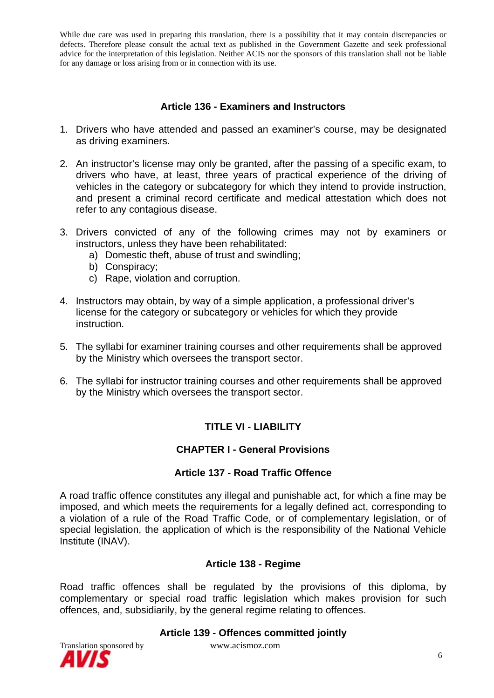## **Article 136 - Examiners and Instructors**

- 1. Drivers who have attended and passed an examiner's course, may be designated as driving examiners.
- 2. An instructor's license may only be granted, after the passing of a specific exam, to drivers who have, at least, three years of practical experience of the driving of vehicles in the category or subcategory for which they intend to provide instruction, and present a criminal record certificate and medical attestation which does not refer to any contagious disease.
- 3. Drivers convicted of any of the following crimes may not by examiners or instructors, unless they have been rehabilitated:
	- a) Domestic theft, abuse of trust and swindling;
	- b) Conspiracy;
	- c) Rape, violation and corruption.
- 4. Instructors may obtain, by way of a simple application, a professional driver's license for the category or subcategory or vehicles for which they provide instruction.
- 5. The syllabi for examiner training courses and other requirements shall be approved by the Ministry which oversees the transport sector.
- 6. The syllabi for instructor training courses and other requirements shall be approved by the Ministry which oversees the transport sector.

# **TITLE VI - LIABILITY**

## **CHAPTER I - General Provisions**

## **Article 137 - Road Traffic Offence**

A road traffic offence constitutes any illegal and punishable act, for which a fine may be imposed, and which meets the requirements for a legally defined act, corresponding to a violation of a rule of the Road Traffic Code, or of complementary legislation, or of special legislation, the application of which is the responsibility of the National Vehicle Institute (INAV).

#### **Article 138 - Regime**

Road traffic offences shall be regulated by the provisions of this diploma, by complementary or special road traffic legislation which makes provision for such offences, and, subsidiarily, by the general regime relating to offences.



**Article 139 - Offences committed jointly**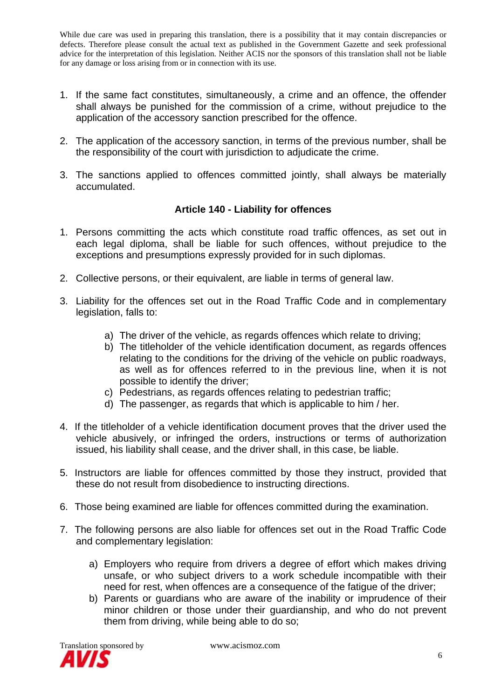- 1. If the same fact constitutes, simultaneously, a crime and an offence, the offender shall always be punished for the commission of a crime, without prejudice to the application of the accessory sanction prescribed for the offence.
- 2. The application of the accessory sanction, in terms of the previous number, shall be the responsibility of the court with jurisdiction to adjudicate the crime.
- 3. The sanctions applied to offences committed jointly, shall always be materially accumulated.

## **Article 140 - Liability for offences**

- 1. Persons committing the acts which constitute road traffic offences, as set out in each legal diploma, shall be liable for such offences, without prejudice to the exceptions and presumptions expressly provided for in such diplomas.
- 2. Collective persons, or their equivalent, are liable in terms of general law.
- 3. Liability for the offences set out in the Road Traffic Code and in complementary legislation, falls to:
	- a) The driver of the vehicle, as regards offences which relate to driving;
	- b) The titleholder of the vehicle identification document, as regards offences relating to the conditions for the driving of the vehicle on public roadways, as well as for offences referred to in the previous line, when it is not possible to identify the driver;
	- c) Pedestrians, as regards offences relating to pedestrian traffic;
	- d) The passenger, as regards that which is applicable to him / her.
- 4. If the titleholder of a vehicle identification document proves that the driver used the vehicle abusively, or infringed the orders, instructions or terms of authorization issued, his liability shall cease, and the driver shall, in this case, be liable.
- 5. Instructors are liable for offences committed by those they instruct, provided that these do not result from disobedience to instructing directions.
- 6. Those being examined are liable for offences committed during the examination.
- 7. The following persons are also liable for offences set out in the Road Traffic Code and complementary legislation:
	- a) Employers who require from drivers a degree of effort which makes driving unsafe, or who subject drivers to a work schedule incompatible with their need for rest, when offences are a consequence of the fatigue of the driver;
	- b) Parents or guardians who are aware of the inability or imprudence of their minor children or those under their guardianship, and who do not prevent them from driving, while being able to do so;

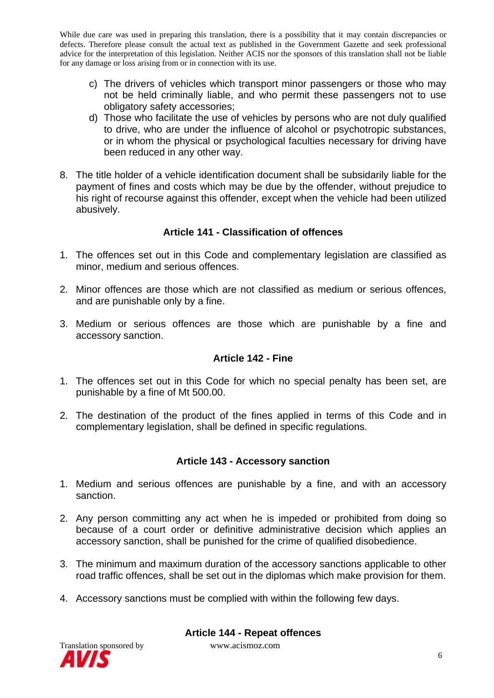- c) The drivers of vehicles which transport minor passengers or those who may not be held criminally liable, and who permit these passengers not to use obligatory safety accessories;
- d) Those who facilitate the use of vehicles by persons who are not duly qualified to drive, who are under the influence of alcohol or psychotropic substances, or in whom the physical or psychological faculties necessary for driving have been reduced in any other way.
- 8. The title holder of a vehicle identification document shall be subsidarily liable for the payment of fines and costs which may be due by the offender, without prejudice to his right of recourse against this offender, except when the vehicle had been utilized abusively.

#### **Article 141 - Classification of offences**

- 1. The offences set out in this Code and complementary legislation are classified as minor, medium and serious offences.
- 2. Minor offences are those which are not classified as medium or serious offences, and are punishable only by a fine.
- 3. Medium or serious offences are those which are punishable by a fine and accessory sanction.

## **Article 142 - Fine**

- 1. The offences set out in this Code for which no special penalty has been set, are punishable by a fine of Mt 500.00.
- 2. The destination of the product of the fines applied in terms of this Code and in complementary legislation, shall be defined in specific regulations.

## **Article 143 - Accessory sanction**

- 1. Medium and serious offences are punishable by a fine, and with an accessory sanction.
- 2. Any person committing any act when he is impeded or prohibited from doing so because of a court order or definitive administrative decision which applies an accessory sanction, shall be punished for the crime of qualified disobedience.
- 3. The minimum and maximum duration of the accessory sanctions applicable to other road traffic offences, shall be set out in the diplomas which make provision for them.
- 4. Accessory sanctions must be complied with within the following few days.



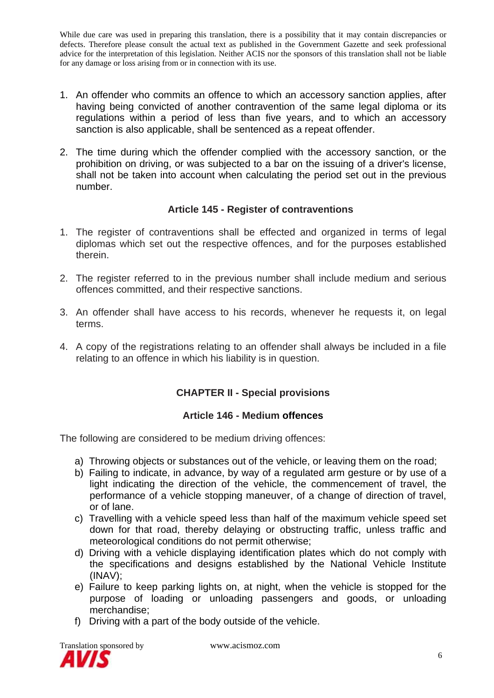- 1. An offender who commits an offence to which an accessory sanction applies, after having being convicted of another contravention of the same legal diploma or its regulations within a period of less than five years, and to which an accessory sanction is also applicable, shall be sentenced as a repeat offender.
- 2. The time during which the offender complied with the accessory sanction, or the prohibition on driving, or was subjected to a bar on the issuing of a driver's license, shall not be taken into account when calculating the period set out in the previous number.

## **Article 145 - Register of contraventions**

- 1. The register of contraventions shall be effected and organized in terms of legal diplomas which set out the respective offences, and for the purposes established therein.
- 2. The register referred to in the previous number shall include medium and serious offences committed, and their respective sanctions.
- 3. An offender shall have access to his records, whenever he requests it, on legal terms.
- 4. A copy of the registrations relating to an offender shall always be included in a file relating to an offence in which his liability is in question.

# **CHAPTER II - Special provisions**

## **Article 146 - Medium offences**

The following are considered to be medium driving offences:

- a) Throwing objects or substances out of the vehicle, or leaving them on the road;
- b) Failing to indicate, in advance, by way of a regulated arm gesture or by use of a light indicating the direction of the vehicle, the commencement of travel, the performance of a vehicle stopping maneuver, of a change of direction of travel, or of lane.
- c) Travelling with a vehicle speed less than half of the maximum vehicle speed set down for that road, thereby delaying or obstructing traffic, unless traffic and meteorological conditions do not permit otherwise;
- d) Driving with a vehicle displaying identification plates which do not comply with the specifications and designs established by the National Vehicle Institute (INAV);
- e) Failure to keep parking lights on, at night, when the vehicle is stopped for the purpose of loading or unloading passengers and goods, or unloading merchandise;
- f) Driving with a part of the body outside of the vehicle.

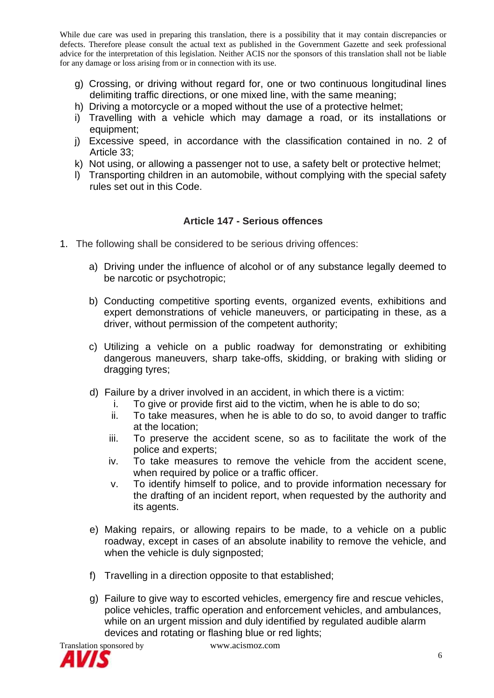- g) Crossing, or driving without regard for, one or two continuous longitudinal lines delimiting traffic directions, or one mixed line, with the same meaning;
- h) Driving a motorcycle or a moped without the use of a protective helmet;
- i) Travelling with a vehicle which may damage a road, or its installations or equipment;
- j) Excessive speed, in accordance with the classification contained in no. 2 of Article 33;
- k) Not using, or allowing a passenger not to use, a safety belt or protective helmet;
- l) Transporting children in an automobile, without complying with the special safety rules set out in this Code.

#### **Article 147 - Serious offences**

- 1. The following shall be considered to be serious driving offences:
	- a) Driving under the influence of alcohol or of any substance legally deemed to be narcotic or psychotropic;
	- b) Conducting competitive sporting events, organized events, exhibitions and expert demonstrations of vehicle maneuvers, or participating in these, as a driver, without permission of the competent authority;
	- c) Utilizing a vehicle on a public roadway for demonstrating or exhibiting dangerous maneuvers, sharp take-offs, skidding, or braking with sliding or dragging tyres;
	- d) Failure by a driver involved in an accident, in which there is a victim:
		- i. To give or provide first aid to the victim, when he is able to do so;
		- ii. To take measures, when he is able to do so, to avoid danger to traffic at the location;
		- iii. To preserve the accident scene, so as to facilitate the work of the police and experts;
		- iv. To take measures to remove the vehicle from the accident scene, when required by police or a traffic officer.
		- v. To identify himself to police, and to provide information necessary for the drafting of an incident report, when requested by the authority and its agents.
	- e) Making repairs, or allowing repairs to be made, to a vehicle on a public roadway, except in cases of an absolute inability to remove the vehicle, and when the vehicle is duly signposted;
	- f) Travelling in a direction opposite to that established;
	- g) Failure to give way to escorted vehicles, emergency fire and rescue vehicles, police vehicles, traffic operation and enforcement vehicles, and ambulances, while on an urgent mission and duly identified by regulated audible alarm devices and rotating or flashing blue or red lights;

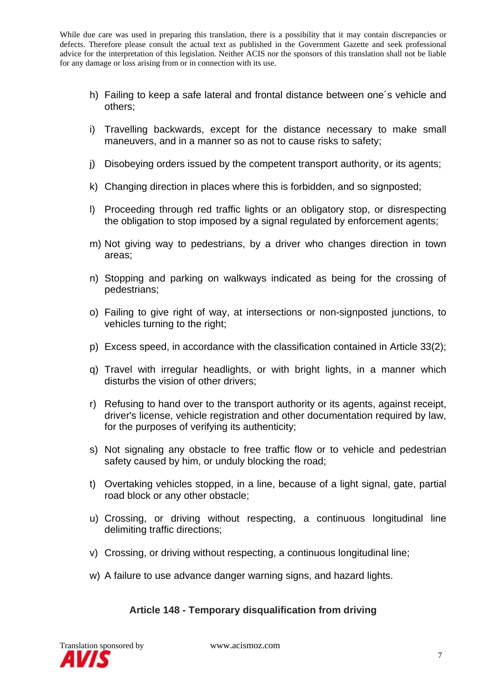- h) Failing to keep a safe lateral and frontal distance between one´s vehicle and others;
- i) Travelling backwards, except for the distance necessary to make small maneuvers, and in a manner so as not to cause risks to safety;
- j) Disobeying orders issued by the competent transport authority, or its agents;
- k) Changing direction in places where this is forbidden, and so signposted;
- l) Proceeding through red traffic lights or an obligatory stop, or disrespecting the obligation to stop imposed by a signal regulated by enforcement agents;
- m) Not giving way to pedestrians, by a driver who changes direction in town areas;
- n) Stopping and parking on walkways indicated as being for the crossing of pedestrians;
- o) Failing to give right of way, at intersections or non-signposted junctions, to vehicles turning to the right;
- p) Excess speed, in accordance with the classification contained in Article 33(2);
- q) Travel with irregular headlights, or with bright lights, in a manner which disturbs the vision of other drivers;
- r) Refusing to hand over to the transport authority or its agents, against receipt, driver's license, vehicle registration and other documentation required by law, for the purposes of verifying its authenticity;
- s) Not signaling any obstacle to free traffic flow or to vehicle and pedestrian safety caused by him, or unduly blocking the road;
- t) Overtaking vehicles stopped, in a line, because of a light signal, gate, partial road block or any other obstacle;
- u) Crossing, or driving without respecting, a continuous longitudinal line delimiting traffic directions;
- v) Crossing, or driving without respecting, a continuous longitudinal line;
- w) A failure to use advance danger warning signs, and hazard lights.

## **Article 148 - Temporary disqualification from driving**

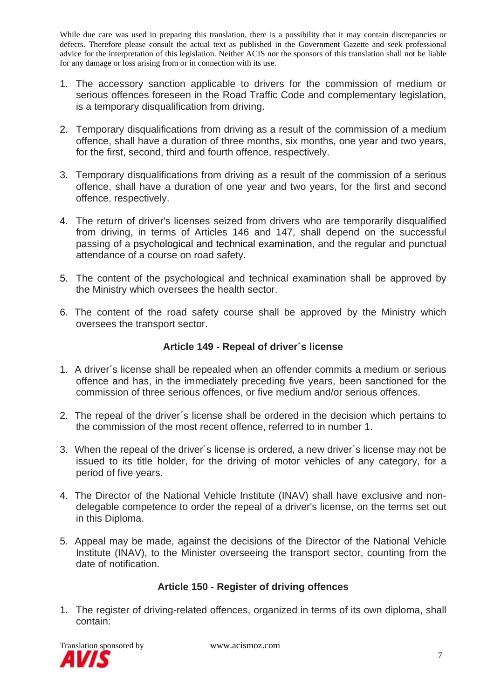- 1. The accessory sanction applicable to drivers for the commission of medium or serious offences foreseen in the Road Traffic Code and complementary legislation, is a temporary disqualification from driving.
- 2. Temporary disqualifications from driving as a result of the commission of a medium offence, shall have a duration of three months, six months, one year and two years, for the first, second, third and fourth offence, respectively.
- 3. Temporary disqualifications from driving as a result of the commission of a serious offence, shall have a duration of one year and two years, for the first and second offence, respectively.
- 4. The return of driver's licenses seized from drivers who are temporarily disqualified from driving, in terms of Articles 146 and 147, shall depend on the successful passing of a psychological and technical examination, and the regular and punctual attendance of a course on road safety.
- 5. The content of the psychological and technical examination shall be approved by the Ministry which oversees the health sector.
- 6. The content of the road safety course shall be approved by the Ministry which oversees the transport sector.

## **Article 149 - Repeal of driver´s license**

- 1. A driver´s license shall be repealed when an offender commits a medium or serious offence and has, in the immediately preceding five years, been sanctioned for the commission of three serious offences, or five medium and/or serious offences.
- 2. The repeal of the driver´s license shall be ordered in the decision which pertains to the commission of the most recent offence, referred to in number 1.
- 3. When the repeal of the driver´s license is ordered, a new driver´s license may not be issued to its title holder, for the driving of motor vehicles of any category, for a period of five years.
- 4. The Director of the National Vehicle Institute (INAV) shall have exclusive and nondelegable competence to order the repeal of a driver's license, on the terms set out in this Diploma.
- 5. Appeal may be made, against the decisions of the Director of the National Vehicle Institute (INAV), to the Minister overseeing the transport sector, counting from the date of notification.

## **Article 150 - Register of driving offences**

1. The register of driving-related offences, organized in terms of its own diploma, shall contain:

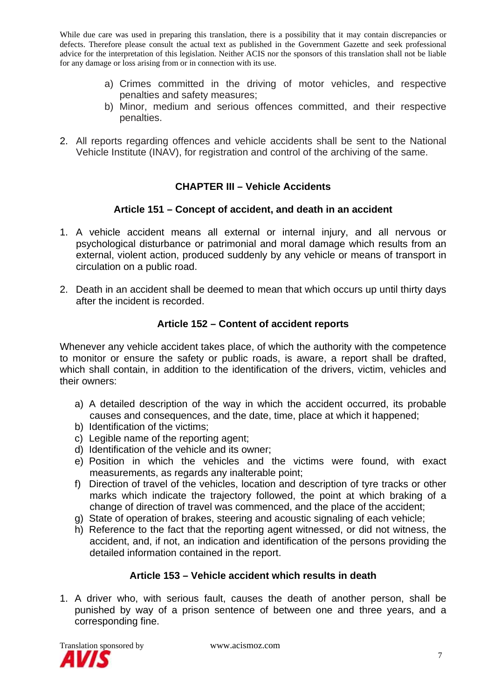- a) Crimes committed in the driving of motor vehicles, and respective penalties and safety measures;
- b) Minor, medium and serious offences committed, and their respective penalties.
- 2. All reports regarding offences and vehicle accidents shall be sent to the National Vehicle Institute (INAV), for registration and control of the archiving of the same.

# **CHAPTER III – Vehicle Accidents**

## **Article 151 – Concept of accident, and death in an accident**

- 1. A vehicle accident means all external or internal injury, and all nervous or psychological disturbance or patrimonial and moral damage which results from an external, violent action, produced suddenly by any vehicle or means of transport in circulation on a public road.
- 2. Death in an accident shall be deemed to mean that which occurs up until thirty days after the incident is recorded.

# **Article 152 – Content of accident reports**

Whenever any vehicle accident takes place, of which the authority with the competence to monitor or ensure the safety or public roads, is aware, a report shall be drafted, which shall contain, in addition to the identification of the drivers, victim, vehicles and their owners:

- a) A detailed description of the way in which the accident occurred, its probable causes and consequences, and the date, time, place at which it happened;
- b) Identification of the victims;
- c) Legible name of the reporting agent;
- d) Identification of the vehicle and its owner;
- e) Position in which the vehicles and the victims were found, with exact measurements, as regards any inalterable point;
- f) Direction of travel of the vehicles, location and description of tyre tracks or other marks which indicate the trajectory followed, the point at which braking of a change of direction of travel was commenced, and the place of the accident;
- g) State of operation of brakes, steering and acoustic signaling of each vehicle;
- h) Reference to the fact that the reporting agent witnessed, or did not witness, the accident, and, if not, an indication and identification of the persons providing the detailed information contained in the report.

## **Article 153 – Vehicle accident which results in death**

1. A driver who, with serious fault, causes the death of another person, shall be punished by way of a prison sentence of between one and three years, and a corresponding fine.

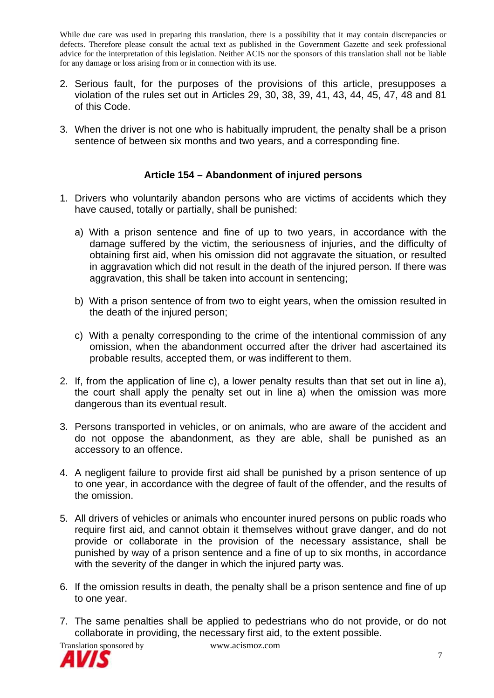- 2. Serious fault, for the purposes of the provisions of this article, presupposes a violation of the rules set out in Articles 29, 30, 38, 39, 41, 43, 44, 45, 47, 48 and 81 of this Code.
- 3. When the driver is not one who is habitually imprudent, the penalty shall be a prison sentence of between six months and two years, and a corresponding fine.

#### **Article 154 – Abandonment of injured persons**

- 1. Drivers who voluntarily abandon persons who are victims of accidents which they have caused, totally or partially, shall be punished:
	- a) With a prison sentence and fine of up to two years, in accordance with the damage suffered by the victim, the seriousness of injuries, and the difficulty of obtaining first aid, when his omission did not aggravate the situation, or resulted in aggravation which did not result in the death of the injured person. If there was aggravation, this shall be taken into account in sentencing;
	- b) With a prison sentence of from two to eight years, when the omission resulted in the death of the injured person;
	- c) With a penalty corresponding to the crime of the intentional commission of any omission, when the abandonment occurred after the driver had ascertained its probable results, accepted them, or was indifferent to them.
- 2. If, from the application of line c), a lower penalty results than that set out in line a), the court shall apply the penalty set out in line a) when the omission was more dangerous than its eventual result.
- 3. Persons transported in vehicles, or on animals, who are aware of the accident and do not oppose the abandonment, as they are able, shall be punished as an accessory to an offence.
- 4. A negligent failure to provide first aid shall be punished by a prison sentence of up to one year, in accordance with the degree of fault of the offender, and the results of the omission.
- 5. All drivers of vehicles or animals who encounter inured persons on public roads who require first aid, and cannot obtain it themselves without grave danger, and do not provide or collaborate in the provision of the necessary assistance, shall be punished by way of a prison sentence and a fine of up to six months, in accordance with the severity of the danger in which the injured party was.
- 6. If the omission results in death, the penalty shall be a prison sentence and fine of up to one year.
- 7. The same penalties shall be applied to pedestrians who do not provide, or do not collaborate in providing, the necessary first aid, to the extent possible.



Translation sponsored by www.acismoz.com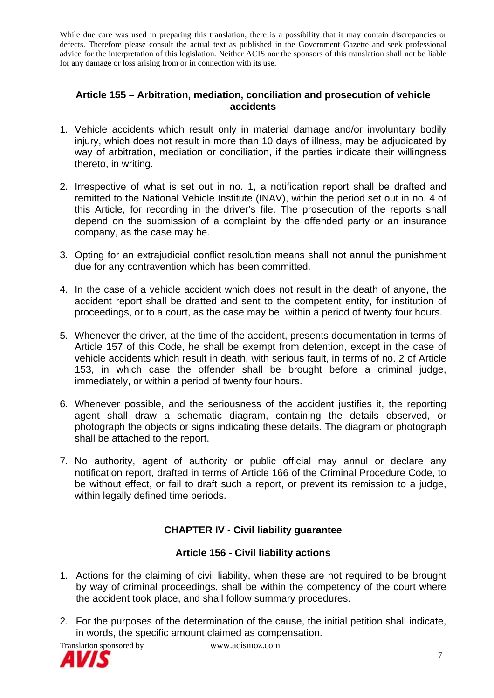#### **Article 155 – Arbitration, mediation, conciliation and prosecution of vehicle accidents**

- 1. Vehicle accidents which result only in material damage and/or involuntary bodily injury, which does not result in more than 10 days of illness, may be adjudicated by way of arbitration, mediation or conciliation, if the parties indicate their willingness thereto, in writing.
- 2. Irrespective of what is set out in no. 1, a notification report shall be drafted and remitted to the National Vehicle Institute (INAV), within the period set out in no. 4 of this Article, for recording in the driver's file. The prosecution of the reports shall depend on the submission of a complaint by the offended party or an insurance company, as the case may be.
- 3. Opting for an extrajudicial conflict resolution means shall not annul the punishment due for any contravention which has been committed.
- 4. In the case of a vehicle accident which does not result in the death of anyone, the accident report shall be dratted and sent to the competent entity, for institution of proceedings, or to a court, as the case may be, within a period of twenty four hours.
- 5. Whenever the driver, at the time of the accident, presents documentation in terms of Article 157 of this Code, he shall be exempt from detention, except in the case of vehicle accidents which result in death, with serious fault, in terms of no. 2 of Article 153, in which case the offender shall be brought before a criminal judge, immediately, or within a period of twenty four hours.
- 6. Whenever possible, and the seriousness of the accident justifies it, the reporting agent shall draw a schematic diagram, containing the details observed, or photograph the objects or signs indicating these details. The diagram or photograph shall be attached to the report.
- 7. No authority, agent of authority or public official may annul or declare any notification report, drafted in terms of Article 166 of the Criminal Procedure Code, to be without effect, or fail to draft such a report, or prevent its remission to a judge, within legally defined time periods.

# **CHAPTER IV - Civil liability guarantee**

## **Article 156 - Civil liability actions**

- 1. Actions for the claiming of civil liability, when these are not required to be brought by way of criminal proceedings, shall be within the competency of the court where the accident took place, and shall follow summary procedures.
- 2. For the purposes of the determination of the cause, the initial petition shall indicate, in words, the specific amount claimed as compensation.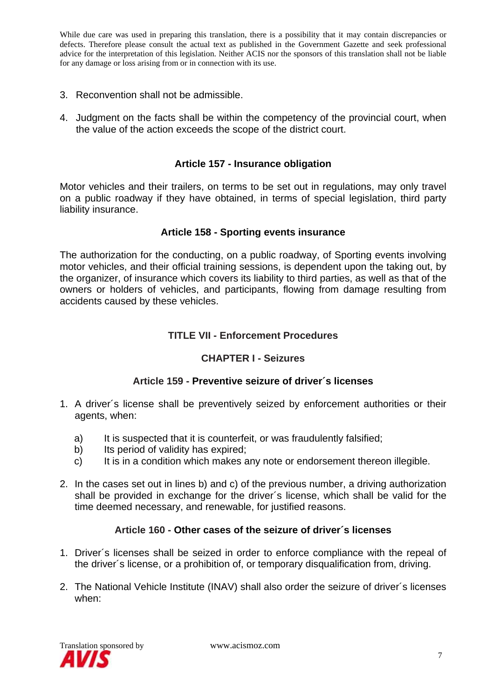- 3. Reconvention shall not be admissible.
- 4. Judgment on the facts shall be within the competency of the provincial court, when the value of the action exceeds the scope of the district court.

#### **Article 157 - Insurance obligation**

Motor vehicles and their trailers, on terms to be set out in regulations, may only travel on a public roadway if they have obtained, in terms of special legislation, third party liability insurance.

#### **Article 158 - Sporting events insurance**

The authorization for the conducting, on a public roadway, of Sporting events involving motor vehicles, and their official training sessions, is dependent upon the taking out, by the organizer, of insurance which covers its liability to third parties, as well as that of the owners or holders of vehicles, and participants, flowing from damage resulting from accidents caused by these vehicles.

#### **TITLE VII - Enforcement Procedures**

#### **CHAPTER I - Seizures**

#### **Article 159 - Preventive seizure of driver´s licenses**

- 1. A driver´s license shall be preventively seized by enforcement authorities or their agents, when:
	- a) It is suspected that it is counterfeit, or was fraudulently falsified;
	- b) Its period of validity has expired;
	- c) It is in a condition which makes any note or endorsement thereon illegible.
- 2. In the cases set out in lines b) and c) of the previous number, a driving authorization shall be provided in exchange for the driver´s license, which shall be valid for the time deemed necessary, and renewable, for justified reasons.

#### **Article 160 - Other cases of the seizure of driver´s licenses**

- 1. Driver´s licenses shall be seized in order to enforce compliance with the repeal of the driver´s license, or a prohibition of, or temporary disqualification from, driving.
- 2. The National Vehicle Institute (INAV) shall also order the seizure of driver´s licenses when:

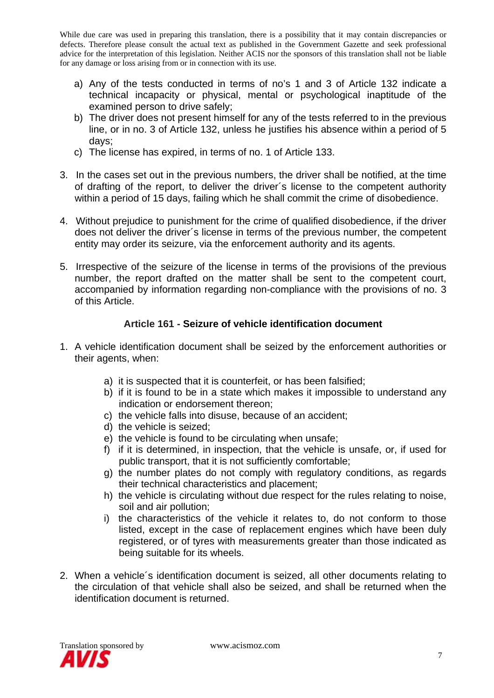- a) Any of the tests conducted in terms of no's 1 and 3 of Article 132 indicate a technical incapacity or physical, mental or psychological inaptitude of the examined person to drive safely;
- b) The driver does not present himself for any of the tests referred to in the previous line, or in no. 3 of Article 132, unless he justifies his absence within a period of 5 days;
- c) The license has expired, in terms of no. 1 of Article 133.
- 3. In the cases set out in the previous numbers, the driver shall be notified, at the time of drafting of the report, to deliver the driver´s license to the competent authority within a period of 15 days, failing which he shall commit the crime of disobedience.
- 4. Without prejudice to punishment for the crime of qualified disobedience, if the driver does not deliver the driver´s license in terms of the previous number, the competent entity may order its seizure, via the enforcement authority and its agents.
- 5. Irrespective of the seizure of the license in terms of the provisions of the previous number, the report drafted on the matter shall be sent to the competent court, accompanied by information regarding non-compliance with the provisions of no. 3 of this Article.

# **Article 161 - Seizure of vehicle identification document**

- 1. A vehicle identification document shall be seized by the enforcement authorities or their agents, when:
	- a) it is suspected that it is counterfeit, or has been falsified;
	- b) if it is found to be in a state which makes it impossible to understand any indication or endorsement thereon;
	- c) the vehicle falls into disuse, because of an accident;
	- d) the vehicle is seized;
	- e) the vehicle is found to be circulating when unsafe;
	- f) if it is determined, in inspection, that the vehicle is unsafe, or, if used for public transport, that it is not sufficiently comfortable;
	- g) the number plates do not comply with regulatory conditions, as regards their technical characteristics and placement;
	- h) the vehicle is circulating without due respect for the rules relating to noise, soil and air pollution;
	- i) the characteristics of the vehicle it relates to, do not conform to those listed, except in the case of replacement engines which have been duly registered, or of tyres with measurements greater than those indicated as being suitable for its wheels.
- 2. When a vehicle´s identification document is seized, all other documents relating to the circulation of that vehicle shall also be seized, and shall be returned when the identification document is returned.

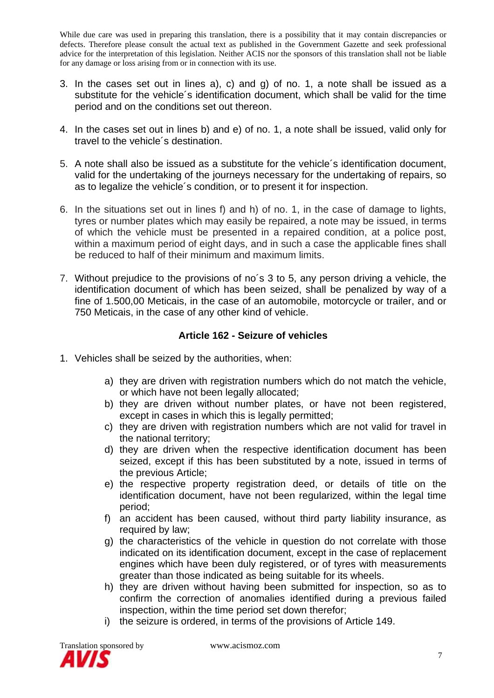- 3. In the cases set out in lines a), c) and g) of no. 1, a note shall be issued as a substitute for the vehicle´s identification document, which shall be valid for the time period and on the conditions set out thereon.
- 4. In the cases set out in lines b) and e) of no. 1, a note shall be issued, valid only for travel to the vehicle´s destination.
- 5. A note shall also be issued as a substitute for the vehicle´s identification document, valid for the undertaking of the journeys necessary for the undertaking of repairs, so as to legalize the vehicle´s condition, or to present it for inspection.
- 6. In the situations set out in lines f) and h) of no. 1, in the case of damage to lights, tyres or number plates which may easily be repaired, a note may be issued, in terms of which the vehicle must be presented in a repaired condition, at a police post, within a maximum period of eight days, and in such a case the applicable fines shall be reduced to half of their minimum and maximum limits.
- 7. Without prejudice to the provisions of no´s 3 to 5, any person driving a vehicle, the identification document of which has been seized, shall be penalized by way of a fine of 1.500,00 Meticais, in the case of an automobile, motorcycle or trailer, and or 750 Meticais, in the case of any other kind of vehicle.

# **Article 162 - Seizure of vehicles**

- 1. Vehicles shall be seized by the authorities, when:
	- a) they are driven with registration numbers which do not match the vehicle, or which have not been legally allocated;
	- b) they are driven without number plates, or have not been registered, except in cases in which this is legally permitted;
	- c) they are driven with registration numbers which are not valid for travel in the national territory;
	- d) they are driven when the respective identification document has been seized, except if this has been substituted by a note, issued in terms of the previous Article;
	- e) the respective property registration deed, or details of title on the identification document, have not been regularized, within the legal time period;
	- f) an accident has been caused, without third party liability insurance, as required by law;
	- g) the characteristics of the vehicle in question do not correlate with those indicated on its identification document, except in the case of replacement engines which have been duly registered, or of tyres with measurements greater than those indicated as being suitable for its wheels.
	- h) they are driven without having been submitted for inspection, so as to confirm the correction of anomalies identified during a previous failed inspection, within the time period set down therefor;
	- i) the seizure is ordered, in terms of the provisions of Article 149.

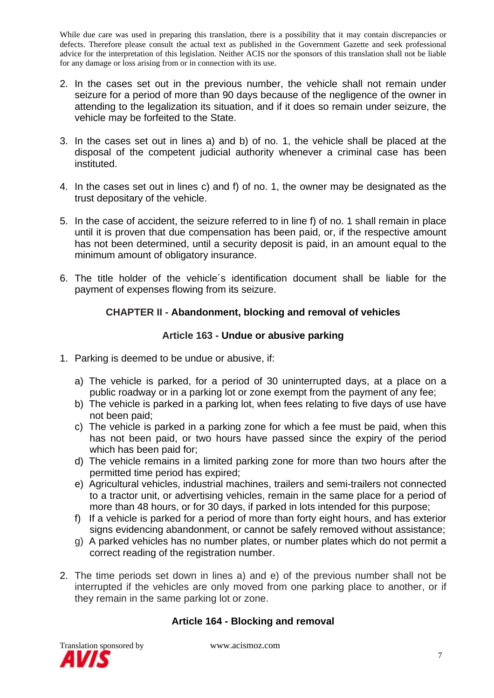- 2. In the cases set out in the previous number, the vehicle shall not remain under seizure for a period of more than 90 days because of the negligence of the owner in attending to the legalization its situation, and if it does so remain under seizure, the vehicle may be forfeited to the State.
- 3. In the cases set out in lines a) and b) of no. 1, the vehicle shall be placed at the disposal of the competent judicial authority whenever a criminal case has been instituted.
- 4. In the cases set out in lines c) and f) of no. 1, the owner may be designated as the trust depositary of the vehicle.
- 5. In the case of accident, the seizure referred to in line f) of no. 1 shall remain in place until it is proven that due compensation has been paid, or, if the respective amount has not been determined, until a security deposit is paid, in an amount equal to the minimum amount of obligatory insurance.
- 6. The title holder of the vehicle´s identification document shall be liable for the payment of expenses flowing from its seizure.

# **CHAPTER II - Abandonment, blocking and removal of vehicles**

## **Article 163 - Undue or abusive parking**

- 1. Parking is deemed to be undue or abusive, if:
	- a) The vehicle is parked, for a period of 30 uninterrupted days, at a place on a public roadway or in a parking lot or zone exempt from the payment of any fee;
	- b) The vehicle is parked in a parking lot, when fees relating to five days of use have not been paid;
	- c) The vehicle is parked in a parking zone for which a fee must be paid, when this has not been paid, or two hours have passed since the expiry of the period which has been paid for;
	- d) The vehicle remains in a limited parking zone for more than two hours after the permitted time period has expired;
	- e) Agricultural vehicles, industrial machines, trailers and semi-trailers not connected to a tractor unit, or advertising vehicles, remain in the same place for a period of more than 48 hours, or for 30 days, if parked in lots intended for this purpose;
	- f) If a vehicle is parked for a period of more than forty eight hours, and has exterior signs evidencing abandonment, or cannot be safely removed without assistance;
	- g) A parked vehicles has no number plates, or number plates which do not permit a correct reading of the registration number.
- 2. The time periods set down in lines a) and e) of the previous number shall not be interrupted if the vehicles are only moved from one parking place to another, or if they remain in the same parking lot or zone.

## **Article 164 - Blocking and removal**

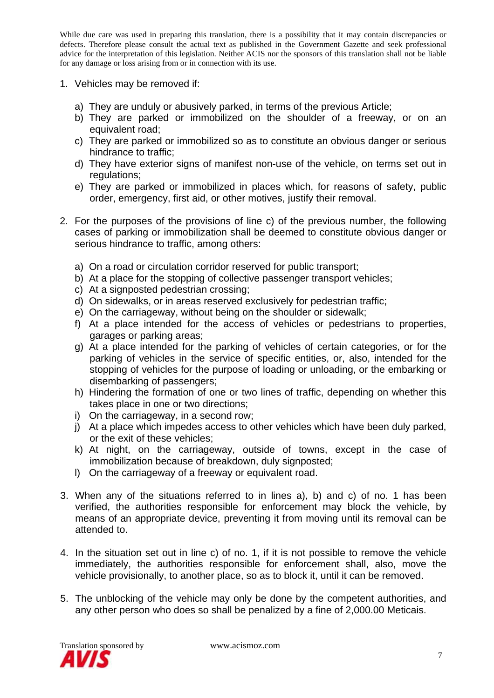- 1. Vehicles may be removed if:
	- a) They are unduly or abusively parked, in terms of the previous Article;
	- b) They are parked or immobilized on the shoulder of a freeway, or on an equivalent road;
	- c) They are parked or immobilized so as to constitute an obvious danger or serious hindrance to traffic;
	- d) They have exterior signs of manifest non-use of the vehicle, on terms set out in regulations;
	- e) They are parked or immobilized in places which, for reasons of safety, public order, emergency, first aid, or other motives, justify their removal.
- 2. For the purposes of the provisions of line c) of the previous number, the following cases of parking or immobilization shall be deemed to constitute obvious danger or serious hindrance to traffic, among others:
	- a) On a road or circulation corridor reserved for public transport;
	- b) At a place for the stopping of collective passenger transport vehicles;
	- c) At a signposted pedestrian crossing;
	- d) On sidewalks, or in areas reserved exclusively for pedestrian traffic;
	- e) On the carriageway, without being on the shoulder or sidewalk;
	- f) At a place intended for the access of vehicles or pedestrians to properties, garages or parking areas;
	- g) At a place intended for the parking of vehicles of certain categories, or for the parking of vehicles in the service of specific entities, or, also, intended for the stopping of vehicles for the purpose of loading or unloading, or the embarking or disembarking of passengers;
	- h) Hindering the formation of one or two lines of traffic, depending on whether this takes place in one or two directions;
	- i) On the carriageway, in a second row;
	- j) At a place which impedes access to other vehicles which have been duly parked, or the exit of these vehicles;
	- k) At night, on the carriageway, outside of towns, except in the case of immobilization because of breakdown, duly signposted;
	- l) On the carriageway of a freeway or equivalent road.
- 3. When any of the situations referred to in lines a), b) and c) of no. 1 has been verified, the authorities responsible for enforcement may block the vehicle, by means of an appropriate device, preventing it from moving until its removal can be attended to.
- 4. In the situation set out in line c) of no. 1, if it is not possible to remove the vehicle immediately, the authorities responsible for enforcement shall, also, move the vehicle provisionally, to another place, so as to block it, until it can be removed.
- 5. The unblocking of the vehicle may only be done by the competent authorities, and any other person who does so shall be penalized by a fine of 2,000.00 Meticais.

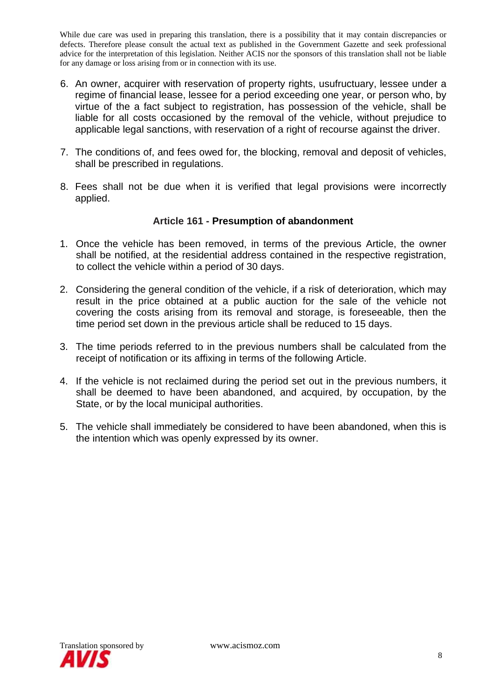- 6. An owner, acquirer with reservation of property rights, usufructuary, lessee under a regime of financial lease, lessee for a period exceeding one year, or person who, by virtue of the a fact subject to registration, has possession of the vehicle, shall be liable for all costs occasioned by the removal of the vehicle, without prejudice to applicable legal sanctions, with reservation of a right of recourse against the driver.
- 7. The conditions of, and fees owed for, the blocking, removal and deposit of vehicles, shall be prescribed in regulations.
- 8. Fees shall not be due when it is verified that legal provisions were incorrectly applied.

#### **Article 161 - Presumption of abandonment**

- 1. Once the vehicle has been removed, in terms of the previous Article, the owner shall be notified, at the residential address contained in the respective registration, to collect the vehicle within a period of 30 days.
- 2. Considering the general condition of the vehicle, if a risk of deterioration, which may result in the price obtained at a public auction for the sale of the vehicle not covering the costs arising from its removal and storage, is foreseeable, then the time period set down in the previous article shall be reduced to 15 days.
- 3. The time periods referred to in the previous numbers shall be calculated from the receipt of notification or its affixing in terms of the following Article.
- 4. If the vehicle is not reclaimed during the period set out in the previous numbers, it shall be deemed to have been abandoned, and acquired, by occupation, by the State, or by the local municipal authorities.
- 5. The vehicle shall immediately be considered to have been abandoned, when this is the intention which was openly expressed by its owner.

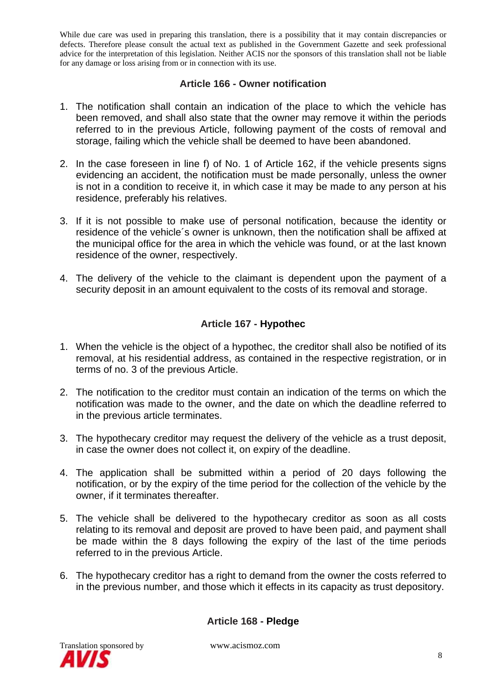#### **Article 166 - Owner notification**

- 1. The notification shall contain an indication of the place to which the vehicle has been removed, and shall also state that the owner may remove it within the periods referred to in the previous Article, following payment of the costs of removal and storage, failing which the vehicle shall be deemed to have been abandoned.
- 2. In the case foreseen in line f) of No. 1 of Article 162, if the vehicle presents signs evidencing an accident, the notification must be made personally, unless the owner is not in a condition to receive it, in which case it may be made to any person at his residence, preferably his relatives.
- 3. If it is not possible to make use of personal notification, because the identity or residence of the vehicle´s owner is unknown, then the notification shall be affixed at the municipal office for the area in which the vehicle was found, or at the last known residence of the owner, respectively.
- 4. The delivery of the vehicle to the claimant is dependent upon the payment of a security deposit in an amount equivalent to the costs of its removal and storage.

#### **Article 167 - Hypothec**

- 1. When the vehicle is the object of a hypothec, the creditor shall also be notified of its removal, at his residential address, as contained in the respective registration, or in terms of no. 3 of the previous Article.
- 2. The notification to the creditor must contain an indication of the terms on which the notification was made to the owner, and the date on which the deadline referred to in the previous article terminates.
- 3. The hypothecary creditor may request the delivery of the vehicle as a trust deposit, in case the owner does not collect it, on expiry of the deadline.
- 4. The application shall be submitted within a period of 20 days following the notification, or by the expiry of the time period for the collection of the vehicle by the owner, if it terminates thereafter.
- 5. The vehicle shall be delivered to the hypothecary creditor as soon as all costs relating to its removal and deposit are proved to have been paid, and payment shall be made within the 8 days following the expiry of the last of the time periods referred to in the previous Article.
- 6. The hypothecary creditor has a right to demand from the owner the costs referred to in the previous number, and those which it effects in its capacity as trust depository.

**Article 168 - Pledge**

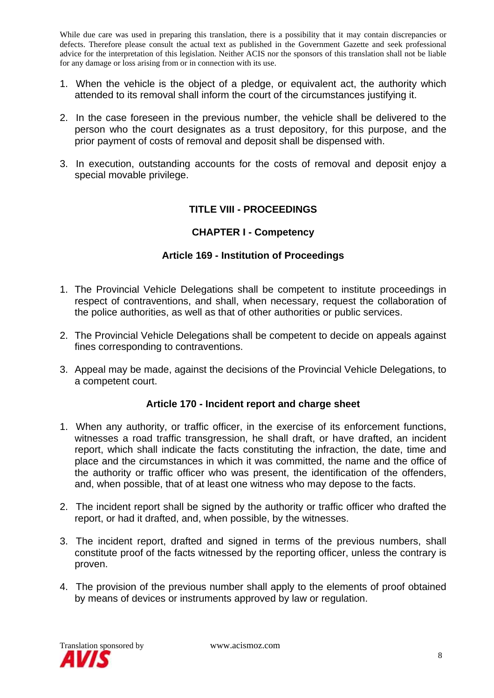- 1. When the vehicle is the object of a pledge, or equivalent act, the authority which attended to its removal shall inform the court of the circumstances justifying it.
- 2. In the case foreseen in the previous number, the vehicle shall be delivered to the person who the court designates as a trust depository, for this purpose, and the prior payment of costs of removal and deposit shall be dispensed with.
- 3. In execution, outstanding accounts for the costs of removal and deposit enjoy a special movable privilege.

## **TITLE VIII - PROCEEDINGS**

#### **CHAPTER I - Competency**

#### **Article 169 - Institution of Proceedings**

- 1. The Provincial Vehicle Delegations shall be competent to institute proceedings in respect of contraventions, and shall, when necessary, request the collaboration of the police authorities, as well as that of other authorities or public services.
- 2. The Provincial Vehicle Delegations shall be competent to decide on appeals against fines corresponding to contraventions.
- 3. Appeal may be made, against the decisions of the Provincial Vehicle Delegations, to a competent court.

#### **Article 170 - Incident report and charge sheet**

- 1. When any authority, or traffic officer, in the exercise of its enforcement functions, witnesses a road traffic transgression, he shall draft, or have drafted, an incident report, which shall indicate the facts constituting the infraction, the date, time and place and the circumstances in which it was committed, the name and the office of the authority or traffic officer who was present, the identification of the offenders, and, when possible, that of at least one witness who may depose to the facts.
- 2. The incident report shall be signed by the authority or traffic officer who drafted the report, or had it drafted, and, when possible, by the witnesses.
- 3. The incident report, drafted and signed in terms of the previous numbers, shall constitute proof of the facts witnessed by the reporting officer, unless the contrary is proven.
- 4. The provision of the previous number shall apply to the elements of proof obtained by means of devices or instruments approved by law or regulation.

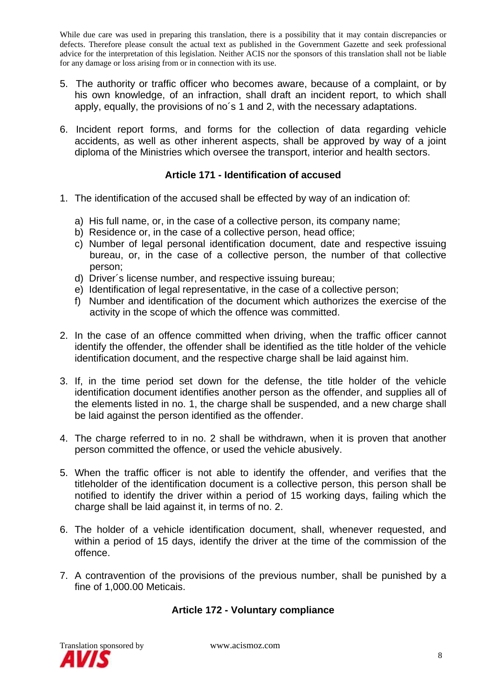- 5. The authority or traffic officer who becomes aware, because of a complaint, or by his own knowledge, of an infraction, shall draft an incident report, to which shall apply, equally, the provisions of no´s 1 and 2, with the necessary adaptations.
- 6. Incident report forms, and forms for the collection of data regarding vehicle accidents, as well as other inherent aspects, shall be approved by way of a joint diploma of the Ministries which oversee the transport, interior and health sectors.

## **Article 171 - Identification of accused**

- 1. The identification of the accused shall be effected by way of an indication of:
	- a) His full name, or, in the case of a collective person, its company name;
	- b) Residence or, in the case of a collective person, head office;
	- c) Number of legal personal identification document, date and respective issuing bureau, or, in the case of a collective person, the number of that collective person;
	- d) Driver´s license number, and respective issuing bureau;
	- e) Identification of legal representative, in the case of a collective person;
	- f) Number and identification of the document which authorizes the exercise of the activity in the scope of which the offence was committed.
- 2. In the case of an offence committed when driving, when the traffic officer cannot identify the offender, the offender shall be identified as the title holder of the vehicle identification document, and the respective charge shall be laid against him.
- 3. If, in the time period set down for the defense, the title holder of the vehicle identification document identifies another person as the offender, and supplies all of the elements listed in no. 1, the charge shall be suspended, and a new charge shall be laid against the person identified as the offender.
- 4. The charge referred to in no. 2 shall be withdrawn, when it is proven that another person committed the offence, or used the vehicle abusively.
- 5. When the traffic officer is not able to identify the offender, and verifies that the titleholder of the identification document is a collective person, this person shall be notified to identify the driver within a period of 15 working days, failing which the charge shall be laid against it, in terms of no. 2.
- 6. The holder of a vehicle identification document, shall, whenever requested, and within a period of 15 days, identify the driver at the time of the commission of the offence.
- 7. A contravention of the provisions of the previous number, shall be punished by a fine of 1,000.00 Meticais.

## **Article 172 - Voluntary compliance**

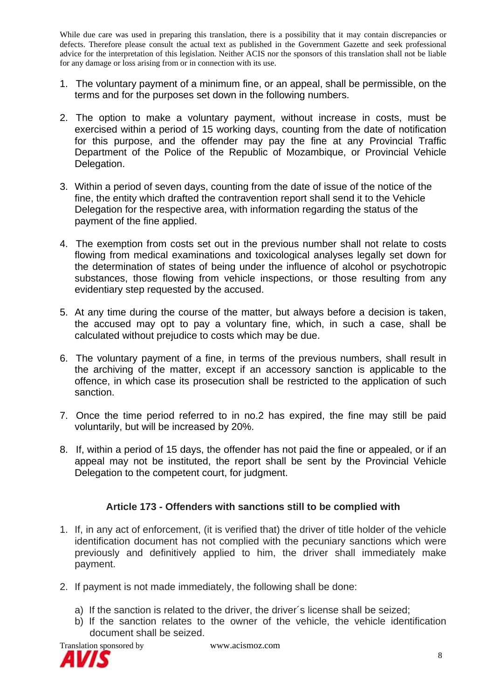- 1. The voluntary payment of a minimum fine, or an appeal, shall be permissible, on the terms and for the purposes set down in the following numbers.
- 2. The option to make a voluntary payment, without increase in costs, must be exercised within a period of 15 working days, counting from the date of notification for this purpose, and the offender may pay the fine at any Provincial Traffic Department of the Police of the Republic of Mozambique, or Provincial Vehicle Delegation.
- 3. Within a period of seven days, counting from the date of issue of the notice of the fine, the entity which drafted the contravention report shall send it to the Vehicle Delegation for the respective area, with information regarding the status of the payment of the fine applied.
- 4. The exemption from costs set out in the previous number shall not relate to costs flowing from medical examinations and toxicological analyses legally set down for the determination of states of being under the influence of alcohol or psychotropic substances, those flowing from vehicle inspections, or those resulting from any evidentiary step requested by the accused.
- 5. At any time during the course of the matter, but always before a decision is taken, the accused may opt to pay a voluntary fine, which, in such a case, shall be calculated without prejudice to costs which may be due.
- 6. The voluntary payment of a fine, in terms of the previous numbers, shall result in the archiving of the matter, except if an accessory sanction is applicable to the offence, in which case its prosecution shall be restricted to the application of such sanction.
- 7. Once the time period referred to in no.2 has expired, the fine may still be paid voluntarily, but will be increased by 20%.
- 8. If, within a period of 15 days, the offender has not paid the fine or appealed, or if an appeal may not be instituted, the report shall be sent by the Provincial Vehicle Delegation to the competent court, for judgment.

## **Article 173 - Offenders with sanctions still to be complied with**

- 1. If, in any act of enforcement, (it is verified that) the driver of title holder of the vehicle identification document has not complied with the pecuniary sanctions which were previously and definitively applied to him, the driver shall immediately make payment.
- 2. If payment is not made immediately, the following shall be done:
	- a) If the sanction is related to the driver, the driver´s license shall be seized;
	- b) If the sanction relates to the owner of the vehicle, the vehicle identification document shall be seized.



Translation sponsored by www.acismoz.com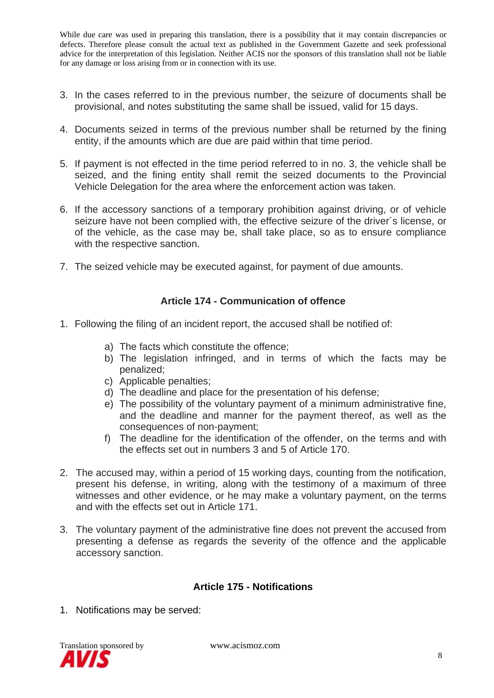- 3. In the cases referred to in the previous number, the seizure of documents shall be provisional, and notes substituting the same shall be issued, valid for 15 days.
- 4. Documents seized in terms of the previous number shall be returned by the fining entity, if the amounts which are due are paid within that time period.
- 5. If payment is not effected in the time period referred to in no. 3, the vehicle shall be seized, and the fining entity shall remit the seized documents to the Provincial Vehicle Delegation for the area where the enforcement action was taken.
- 6. If the accessory sanctions of a temporary prohibition against driving, or of vehicle seizure have not been complied with, the effective seizure of the driver´s license, or of the vehicle, as the case may be, shall take place, so as to ensure compliance with the respective sanction.
- 7. The seized vehicle may be executed against, for payment of due amounts.

## **Article 174 - Communication of offence**

- 1. Following the filing of an incident report, the accused shall be notified of:
	- a) The facts which constitute the offence;
	- b) The legislation infringed, and in terms of which the facts may be penalized;
	- c) Applicable penalties;
	- d) The deadline and place for the presentation of his defense;
	- e) The possibility of the voluntary payment of a minimum administrative fine, and the deadline and manner for the payment thereof, as well as the consequences of non-payment;
	- f) The deadline for the identification of the offender, on the terms and with the effects set out in numbers 3 and 5 of Article 170.
- 2. The accused may, within a period of 15 working days, counting from the notification, present his defense, in writing, along with the testimony of a maximum of three witnesses and other evidence, or he may make a voluntary payment, on the terms and with the effects set out in Article 171.
- 3. The voluntary payment of the administrative fine does not prevent the accused from presenting a defense as regards the severity of the offence and the applicable accessory sanction.

## **Article 175 - Notifications**

1. Notifications may be served:

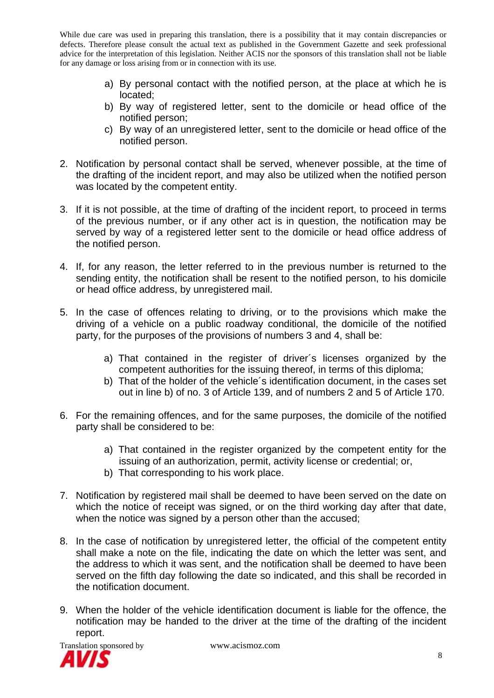- a) By personal contact with the notified person, at the place at which he is located;
- b) By way of registered letter, sent to the domicile or head office of the notified person;
- c) By way of an unregistered letter, sent to the domicile or head office of the notified person.
- 2. Notification by personal contact shall be served, whenever possible, at the time of the drafting of the incident report, and may also be utilized when the notified person was located by the competent entity.
- 3. If it is not possible, at the time of drafting of the incident report, to proceed in terms of the previous number, or if any other act is in question, the notification may be served by way of a registered letter sent to the domicile or head office address of the notified person.
- 4. If, for any reason, the letter referred to in the previous number is returned to the sending entity, the notification shall be resent to the notified person, to his domicile or head office address, by unregistered mail.
- 5. In the case of offences relating to driving, or to the provisions which make the driving of a vehicle on a public roadway conditional, the domicile of the notified party, for the purposes of the provisions of numbers 3 and 4, shall be:
	- a) That contained in the register of driver´s licenses organized by the competent authorities for the issuing thereof, in terms of this diploma;
	- b) That of the holder of the vehicle´s identification document, in the cases set out in line b) of no. 3 of Article 139, and of numbers 2 and 5 of Article 170.
- 6. For the remaining offences, and for the same purposes, the domicile of the notified party shall be considered to be:
	- a) That contained in the register organized by the competent entity for the issuing of an authorization, permit, activity license or credential; or,
	- b) That corresponding to his work place.
- 7. Notification by registered mail shall be deemed to have been served on the date on which the notice of receipt was signed, or on the third working day after that date, when the notice was signed by a person other than the accused;
- 8. In the case of notification by unregistered letter, the official of the competent entity shall make a note on the file, indicating the date on which the letter was sent, and the address to which it was sent, and the notification shall be deemed to have been served on the fifth day following the date so indicated, and this shall be recorded in the notification document.
- 9. When the holder of the vehicle identification document is liable for the offence, the notification may be handed to the driver at the time of the drafting of the incident report.

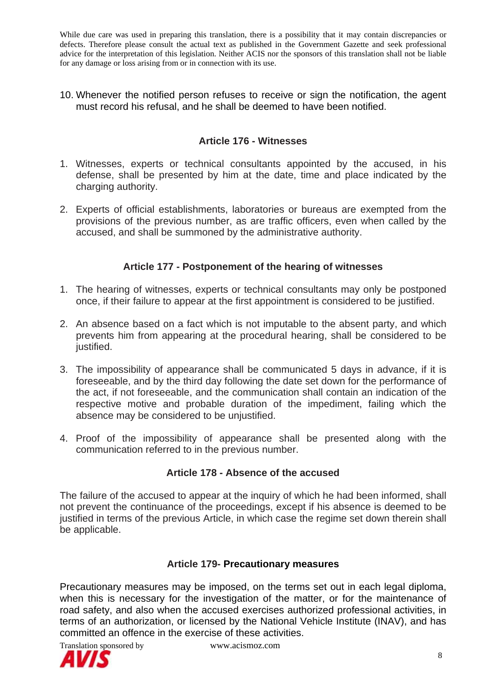10. Whenever the notified person refuses to receive or sign the notification, the agent must record his refusal, and he shall be deemed to have been notified.

## **Article 176 - Witnesses**

- 1. Witnesses, experts or technical consultants appointed by the accused, in his defense, shall be presented by him at the date, time and place indicated by the charging authority.
- 2. Experts of official establishments, laboratories or bureaus are exempted from the provisions of the previous number, as are traffic officers, even when called by the accused, and shall be summoned by the administrative authority.

# **Article 177 - Postponement of the hearing of witnesses**

- 1. The hearing of witnesses, experts or technical consultants may only be postponed once, if their failure to appear at the first appointment is considered to be justified.
- 2. An absence based on a fact which is not imputable to the absent party, and which prevents him from appearing at the procedural hearing, shall be considered to be justified.
- 3. The impossibility of appearance shall be communicated 5 days in advance, if it is foreseeable, and by the third day following the date set down for the performance of the act, if not foreseeable, and the communication shall contain an indication of the respective motive and probable duration of the impediment, failing which the absence may be considered to be unjustified.
- 4. Proof of the impossibility of appearance shall be presented along with the communication referred to in the previous number.

## **Article 178 - Absence of the accused**

The failure of the accused to appear at the inquiry of which he had been informed, shall not prevent the continuance of the proceedings, except if his absence is deemed to be justified in terms of the previous Article, in which case the regime set down therein shall be applicable.

#### **Article 179- Precautionary measures**

Precautionary measures may be imposed, on the terms set out in each legal diploma, when this is necessary for the investigation of the matter, or for the maintenance of road safety, and also when the accused exercises authorized professional activities, in terms of an authorization, or licensed by the National Vehicle Institute (INAV), and has committed an offence in the exercise of these activities.

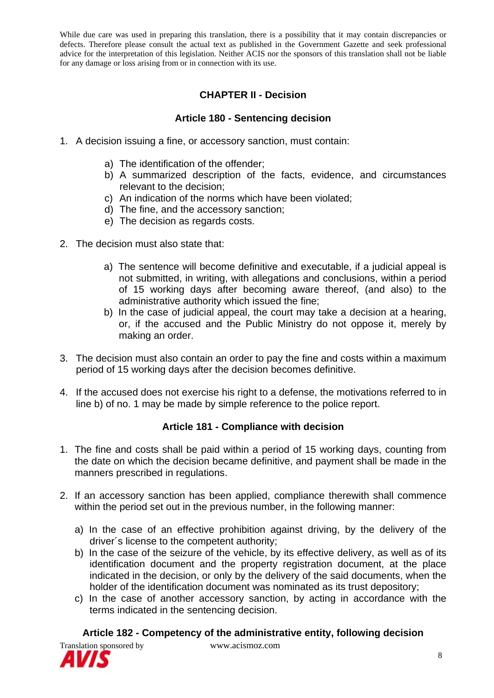# **CHAPTER II - Decision**

# **Article 180 - Sentencing decision**

- 1. A decision issuing a fine, or accessory sanction, must contain:
	- a) The identification of the offender;
	- b) A summarized description of the facts, evidence, and circumstances relevant to the decision;
	- c) An indication of the norms which have been violated;
	- d) The fine, and the accessory sanction;
	- e) The decision as regards costs.
- 2. The decision must also state that:
	- a) The sentence will become definitive and executable, if a judicial appeal is not submitted, in writing, with allegations and conclusions, within a period of 15 working days after becoming aware thereof, (and also) to the administrative authority which issued the fine;
	- b) In the case of judicial appeal, the court may take a decision at a hearing, or, if the accused and the Public Ministry do not oppose it, merely by making an order.
- 3. The decision must also contain an order to pay the fine and costs within a maximum period of 15 working days after the decision becomes definitive.
- 4. If the accused does not exercise his right to a defense, the motivations referred to in line b) of no. 1 may be made by simple reference to the police report.

## **Article 181 - Compliance with decision**

- 1. The fine and costs shall be paid within a period of 15 working days, counting from the date on which the decision became definitive, and payment shall be made in the manners prescribed in regulations.
- 2. If an accessory sanction has been applied, compliance therewith shall commence within the period set out in the previous number, in the following manner:
	- a) In the case of an effective prohibition against driving, by the delivery of the driver´s license to the competent authority;
	- b) In the case of the seizure of the vehicle, by its effective delivery, as well as of its identification document and the property registration document, at the place indicated in the decision, or only by the delivery of the said documents, when the holder of the identification document was nominated as its trust depository;
	- c) In the case of another accessory sanction, by acting in accordance with the terms indicated in the sentencing decision.

## **Article 182 - Competency of the administrative entity, following decision**



Translation sponsored by www.acismoz.com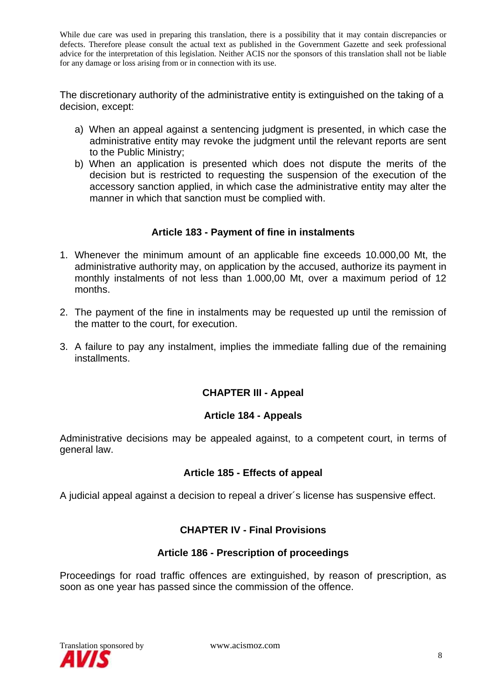The discretionary authority of the administrative entity is extinguished on the taking of a decision, except:

- a) When an appeal against a sentencing judgment is presented, in which case the administrative entity may revoke the judgment until the relevant reports are sent to the Public Ministry;
- b) When an application is presented which does not dispute the merits of the decision but is restricted to requesting the suspension of the execution of the accessory sanction applied, in which case the administrative entity may alter the manner in which that sanction must be complied with.

#### **Article 183 - Payment of fine in instalments**

- 1. Whenever the minimum amount of an applicable fine exceeds 10.000,00 Mt, the administrative authority may, on application by the accused, authorize its payment in monthly instalments of not less than 1.000,00 Mt, over a maximum period of 12 months.
- 2. The payment of the fine in instalments may be requested up until the remission of the matter to the court, for execution.
- 3. A failure to pay any instalment, implies the immediate falling due of the remaining installments.

# **CHAPTER III - Appeal**

#### **Article 184 - Appeals**

Administrative decisions may be appealed against, to a competent court, in terms of general law.

#### **Article 185 - Effects of appeal**

A judicial appeal against a decision to repeal a driver´s license has suspensive effect.

## **CHAPTER IV - Final Provisions**

#### **Article 186 - Prescription of proceedings**

Proceedings for road traffic offences are extinguished, by reason of prescription, as soon as one year has passed since the commission of the offence.

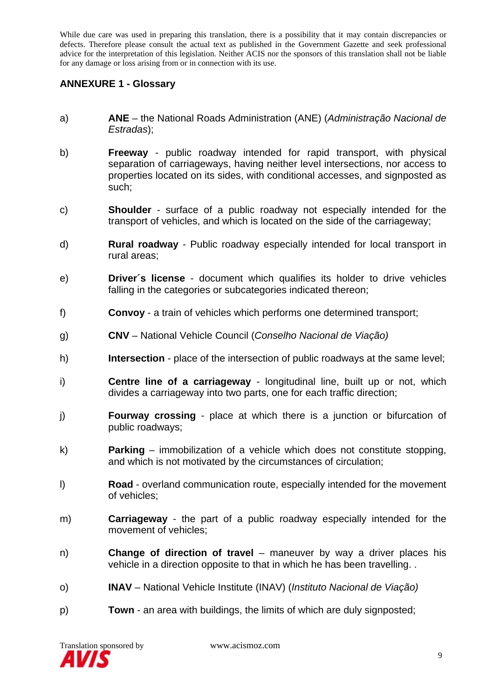## **ANNEXURE 1 - Glossary**

- a) **ANE** the National Roads Administration (ANE) (*Administração Nacional de Estradas*);
- b) **Freeway** public roadway intended for rapid transport, with physical separation of carriageways, having neither level intersections, nor access to properties located on its sides, with conditional accesses, and signposted as such;
- c) **Shoulder** surface of a public roadway not especially intended for the transport of vehicles, and which is located on the side of the carriageway;
- d) **Rural roadway** Public roadway especially intended for local transport in rural areas;
- e) **Driver´s license** document which qualifies its holder to drive vehicles falling in the categories or subcategories indicated thereon;
- f) **Convoy** a train of vehicles which performs one determined transport;
- g) **CNV** National Vehicle Council (*Conselho Nacional de Viação)*
- h) **Intersection** place of the intersection of public roadways at the same level;
- i) **Centre line of a carriageway** longitudinal line, built up or not, which divides a carriageway into two parts, one for each traffic direction;
- j) **Fourway crossing** place at which there is a junction or bifurcation of public roadways;
- k) **Parking**  immobilization of a vehicle which does not constitute stopping, and which is not motivated by the circumstances of circulation;
- l) **Road** overland communication route, especially intended for the movement of vehicles;
- m) **Carriageway** the part of a public roadway especially intended for the movement of vehicles;
- n) **Change of direction of travel** maneuver by way a driver places his vehicle in a direction opposite to that in which he has been travelling. .
- o) **INAV** National Vehicle Institute (INAV) (*Instituto Nacional de Viação)*
- p) **Town** an area with buildings, the limits of which are duly signposted;

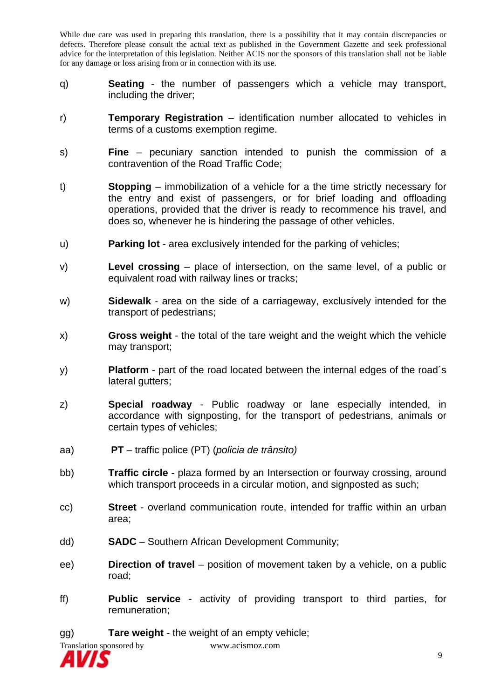- q) **Seating** the number of passengers which a vehicle may transport, including the driver;
- r) **Temporary Registration** identification number allocated to vehicles in terms of a customs exemption regime.
- s) **Fine** pecuniary sanction intended to punish the commission of a contravention of the Road Traffic Code;
- t) **Stopping** immobilization of a vehicle for a the time strictly necessary for the entry and exist of passengers, or for brief loading and offloading operations, provided that the driver is ready to recommence his travel, and does so, whenever he is hindering the passage of other vehicles.
- u) **Parking lot** area exclusively intended for the parking of vehicles;
- v) **Level crossing** place of intersection, on the same level, of a public or equivalent road with railway lines or tracks;
- w) **Sidewalk** area on the side of a carriageway, exclusively intended for the transport of pedestrians;
- x) **Gross weight** the total of the tare weight and the weight which the vehicle may transport;
- y) **Platform** part of the road located between the internal edges of the road´s lateral gutters;
- z) **Special roadway** Public roadway or lane especially intended, in accordance with signposting, for the transport of pedestrians, animals or certain types of vehicles;
- aa) **PT** traffic police (PT) (*policia de trânsito)*
- bb) **Traffic circle** plaza formed by an Intersection or fourway crossing, around which transport proceeds in a circular motion, and signposted as such;
- cc) **Street** overland communication route, intended for traffic within an urban area;
- dd) **SADC** Southern African Development Community;
- ee) **Direction of travel** position of movement taken by a vehicle, on a public road;
- ff) **Public service** activity of providing transport to third parties, for remuneration;

gg) **Tare weight** - the weight of an empty vehicle;



Translation sponsored by www.acismoz.com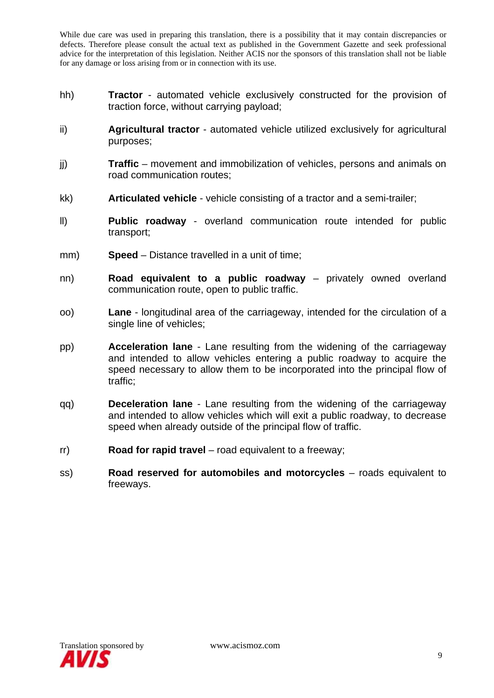- hh) **Tractor** automated vehicle exclusively constructed for the provision of traction force, without carrying payload;
- ii) **Agricultural tractor** automated vehicle utilized exclusively for agricultural purposes;
- jj) **Traffic** movement and immobilization of vehicles, persons and animals on road communication routes;
- kk) **Articulated vehicle** vehicle consisting of a tractor and a semi-trailer;
- ll) **Public roadway** overland communication route intended for public transport;
- mm) **Speed** Distance travelled in a unit of time;
- nn) **Road equivalent to a public roadway** privately owned overland communication route, open to public traffic.
- oo) **Lane** longitudinal area of the carriageway, intended for the circulation of a single line of vehicles;
- pp) **Acceleration lane** Lane resulting from the widening of the carriageway and intended to allow vehicles entering a public roadway to acquire the speed necessary to allow them to be incorporated into the principal flow of traffic;
- qq) **Deceleration lane** Lane resulting from the widening of the carriageway and intended to allow vehicles which will exit a public roadway, to decrease speed when already outside of the principal flow of traffic.
- rr) **Road for rapid travel** road equivalent to a freeway;
- ss) **Road reserved for automobiles and motorcycles** roads equivalent to freeways.